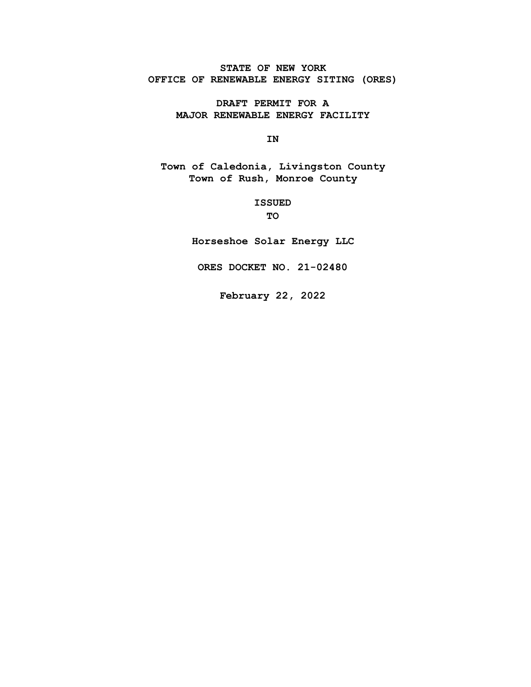**STATE OF NEW YORK OFFICE OF RENEWABLE ENERGY SITING (ORES)** 

> **DRAFT PERMIT FOR A MAJOR RENEWABLE ENERGY FACILITY**

> > **IN**

**Town of Caledonia, Livingston County Town of Rush, Monroe County** 

> **ISSUED TO**

**Horseshoe Solar Energy LLC** 

**ORES DOCKET NO. 21-02480** 

**February 22, 2022**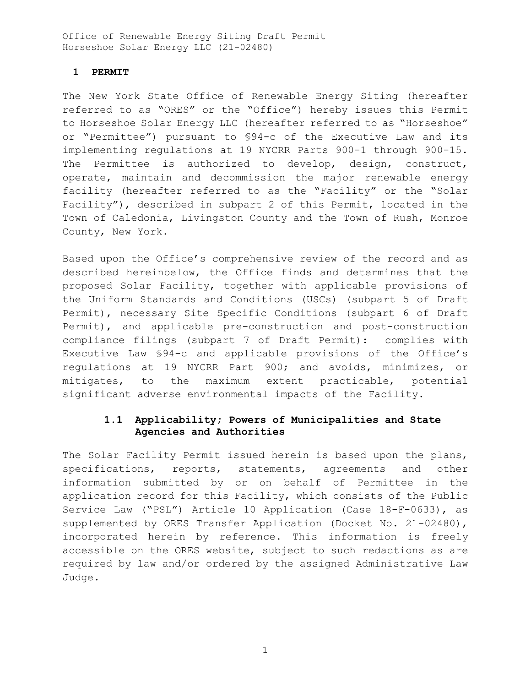## **1 PERMIT**

The New York State Office of Renewable Energy Siting (hereafter referred to as "ORES" or the "Office") hereby issues this Permit to Horseshoe Solar Energy LLC (hereafter referred to as "Horseshoe" or "Permittee") pursuant to §94-c of the Executive Law and its implementing regulations at 19 NYCRR Parts 900-1 through 900-15. The Permittee is authorized to develop, design, construct, operate, maintain and decommission the major renewable energy facility (hereafter referred to as the "Facility" or the "Solar Facility"), described in subpart 2 of this Permit, located in the Town of Caledonia, Livingston County and the Town of Rush, Monroe County, New York.

Based upon the Office's comprehensive review of the record and as described hereinbelow, the Office finds and determines that the proposed Solar Facility, together with applicable provisions of the Uniform Standards and Conditions (USCs) (subpart 5 of Draft Permit), necessary Site Specific Conditions (subpart 6 of Draft Permit), and applicable pre-construction and post-construction compliance filings (subpart 7 of Draft Permit): complies with Executive Law §94-c and applicable provisions of the Office's regulations at 19 NYCRR Part 900; and avoids, minimizes, or mitigates, to the maximum extent practicable, potential significant adverse environmental impacts of the Facility.

# **1.1 Applicability; Powers of Municipalities and State Agencies and Authorities**

The Solar Facility Permit issued herein is based upon the plans, specifications, reports, statements, agreements and other information submitted by or on behalf of Permittee in the application record for this Facility, which consists of the Public Service Law ("PSL") Article 10 Application (Case 18-F-0633), as supplemented by ORES Transfer Application (Docket No. 21-02480), incorporated herein by reference. This information is freely accessible on the ORES website, subject to such redactions as are required by law and/or ordered by the assigned Administrative Law Judge.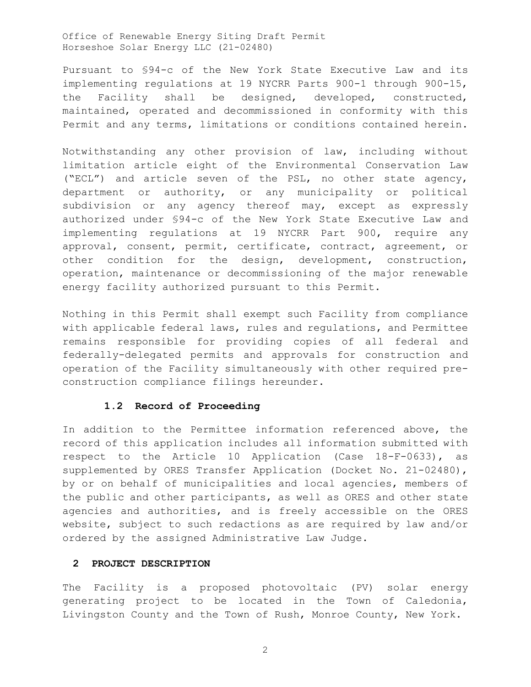Pursuant to §94-c of the New York State Executive Law and its implementing regulations at 19 NYCRR Parts 900-1 through 900-15, the Facility shall be designed, developed, constructed, maintained, operated and decommissioned in conformity with this Permit and any terms, limitations or conditions contained herein.

Notwithstanding any other provision of law, including without limitation article eight of the Environmental Conservation Law ("ECL") and article seven of the PSL, no other state agency, department or authority, or any municipality or political subdivision or any agency thereof may, except as expressly authorized under §94-c of the New York State Executive Law and implementing regulations at 19 NYCRR Part 900, require any approval, consent, permit, certificate, contract, agreement, or other condition for the design, development, construction, operation, maintenance or decommissioning of the major renewable energy facility authorized pursuant to this Permit.

Nothing in this Permit shall exempt such Facility from compliance with applicable federal laws, rules and regulations, and Permittee remains responsible for providing copies of all federal and federally-delegated permits and approvals for construction and operation of the Facility simultaneously with other required preconstruction compliance filings hereunder.

## **1.2 Record of Proceeding**

In addition to the Permittee information referenced above, the record of this application includes all information submitted with respect to the Article 10 Application (Case 18-F-0633), as supplemented by ORES Transfer Application (Docket No. 21-02480), by or on behalf of municipalities and local agencies, members of the public and other participants, as well as ORES and other state agencies and authorities, and is freely accessible on the ORES website, subject to such redactions as are required by law and/or ordered by the assigned Administrative Law Judge.

## **2 PROJECT DESCRIPTION**

The Facility is a proposed photovoltaic (PV) solar energy generating project to be located in the Town of Caledonia, Livingston County and the Town of Rush, Monroe County, New York.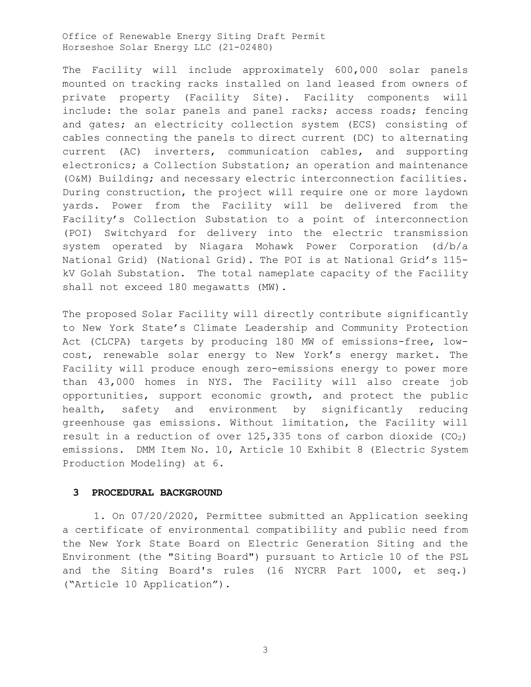The Facility will include approximately 600,000 solar panels mounted on tracking racks installed on land leased from owners of private property (Facility Site). Facility components will include: the solar panels and panel racks; access roads; fencing and gates; an electricity collection system (ECS) consisting of cables connecting the panels to direct current (DC) to alternating current (AC) inverters, communication cables, and supporting electronics; a Collection Substation; an operation and maintenance (O&M) Building; and necessary electric interconnection facilities. During construction, the project will require one or more laydown yards. Power from the Facility will be delivered from the Facility's Collection Substation to a point of interconnection (POI) Switchyard for delivery into the electric transmission system operated by Niagara Mohawk Power Corporation (d/b/a National Grid) (National Grid). The POI is at National Grid's 115 kV Golah Substation. The total nameplate capacity of the Facility shall not exceed 180 megawatts (MW).

The proposed Solar Facility will directly contribute significantly to New York State's Climate Leadership and Community Protection Act (CLCPA) targets by producing 180 MW of emissions-free, lowcost, renewable solar energy to New York's energy market. The Facility will produce enough zero-emissions energy to power more than 43,000 homes in NYS. The Facility will also create job opportunities, support economic growth, and protect the public health, safety and environment by significantly reducing greenhouse gas emissions. Without limitation, the Facility will result in a reduction of over 125,335 tons of carbon dioxide (CO2) emissions. DMM Item No. 10, Article 10 Exhibit 8 (Electric System Production Modeling) at 6.

### **3 PROCEDURAL BACKGROUND**

1. On 07/20/2020, Permittee submitted an Application seeking a certificate of environmental compatibility and public need from the New York State Board on Electric Generation Siting and the Environment (the "Siting Board") pursuant to Article 10 of the PSL and the Siting Board's rules (16 NYCRR Part 1000, et seq.) ("Article 10 Application").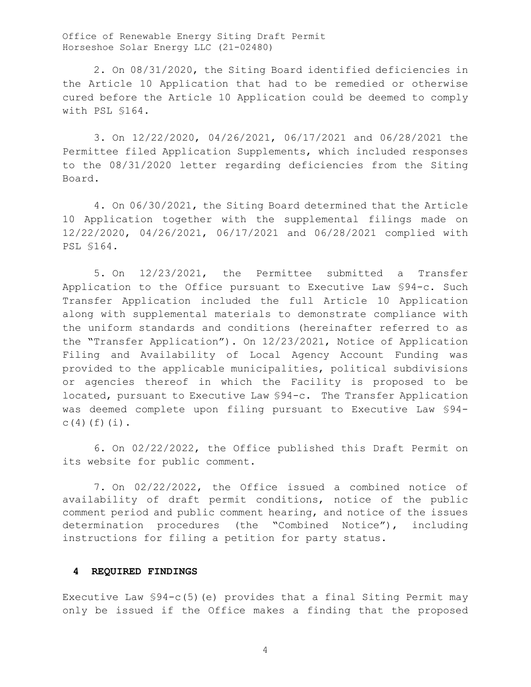2. On 08/31/2020, the Siting Board identified deficiencies in the Article 10 Application that had to be remedied or otherwise cured before the Article 10 Application could be deemed to comply with PSL §164.

3. On 12/22/2020, 04/26/2021, 06/17/2021 and 06/28/2021 the Permittee filed Application Supplements, which included responses to the 08/31/2020 letter regarding deficiencies from the Siting Board.

4. On 06/30/2021, the Siting Board determined that the Article 10 Application together with the supplemental filings made on 12/22/2020, 04/26/2021, 06/17/2021 and 06/28/2021 complied with PSL §164.

5. On 12/23/2021, the Permittee submitted a Transfer Application to the Office pursuant to Executive Law §94-c. Such Transfer Application included the full Article 10 Application along with supplemental materials to demonstrate compliance with the uniform standards and conditions (hereinafter referred to as the "Transfer Application"). On 12/23/2021, Notice of Application Filing and Availability of Local Agency Account Funding was provided to the applicable municipalities, political subdivisions or agencies thereof in which the Facility is proposed to be located, pursuant to Executive Law §94-c. The Transfer Application was deemed complete upon filing pursuant to Executive Law §94-  $C(4)(f)(i)$ .

6. On 02/22/2022, the Office published this Draft Permit on its website for public comment.

7. On 02/22/2022, the Office issued a combined notice of availability of draft permit conditions, notice of the public comment period and public comment hearing, and notice of the issues determination procedures (the "Combined Notice"), including instructions for filing a petition for party status.

## **4 REQUIRED FINDINGS**

Executive Law §94-c(5)(e) provides that a final Siting Permit may only be issued if the Office makes a finding that the proposed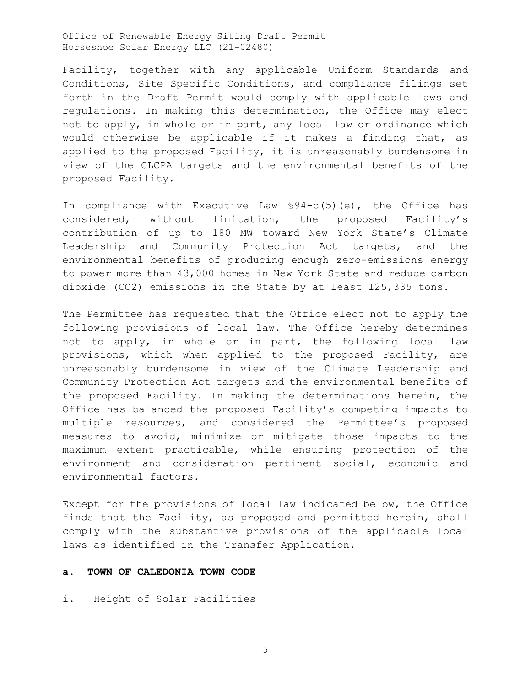Facility, together with any applicable Uniform Standards and Conditions, Site Specific Conditions, and compliance filings set forth in the Draft Permit would comply with applicable laws and regulations. In making this determination, the Office may elect not to apply, in whole or in part, any local law or ordinance which would otherwise be applicable if it makes a finding that, as applied to the proposed Facility, it is unreasonably burdensome in view of the CLCPA targets and the environmental benefits of the proposed Facility.

In compliance with Executive Law §94-c(5)(e), the Office has considered, without limitation, the proposed Facility's contribution of up to 180 MW toward New York State's Climate Leadership and Community Protection Act targets, and the environmental benefits of producing enough zero-emissions energy to power more than 43,000 homes in New York State and reduce carbon dioxide (CO2) emissions in the State by at least 125,335 tons.

The Permittee has requested that the Office elect not to apply the following provisions of local law. The Office hereby determines not to apply, in whole or in part, the following local law provisions, which when applied to the proposed Facility, are unreasonably burdensome in view of the Climate Leadership and Community Protection Act targets and the environmental benefits of the proposed Facility. In making the determinations herein, the Office has balanced the proposed Facility's competing impacts to multiple resources, and considered the Permittee's proposed measures to avoid, minimize or mitigate those impacts to the maximum extent practicable, while ensuring protection of the environment and consideration pertinent social, economic and environmental factors.

Except for the provisions of local law indicated below, the Office finds that the Facility, as proposed and permitted herein, shall comply with the substantive provisions of the applicable local laws as identified in the Transfer Application.

## **a. TOWN OF CALEDONIA TOWN CODE**

### i. Height of Solar Facilities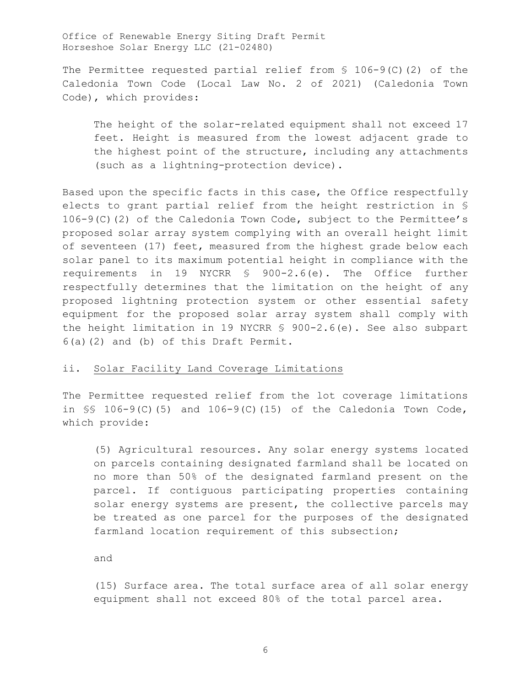The Permittee requested partial relief from  $\S$  106-9(C)(2) of the Caledonia Town Code (Local Law No. 2 of 2021) (Caledonia Town Code), which provides:

The height of the solar-related equipment shall not exceed 17 feet. Height is measured from the lowest adjacent grade to the highest point of the structure, including any attachments (such as a lightning-protection device).

Based upon the specific facts in this case, the Office respectfully elects to grant partial relief from the height restriction in § 106-9(C)(2) of the Caledonia Town Code, subject to the Permittee's proposed solar array system complying with an overall height limit of seventeen (17) feet, measured from the highest grade below each solar panel to its maximum potential height in compliance with the requirements in 19 NYCRR § 900-2.6(e). The Office further respectfully determines that the limitation on the height of any proposed lightning protection system or other essential safety equipment for the proposed solar array system shall comply with the height limitation in 19 NYCRR § 900-2.6(e). See also subpart 6(a)(2) and (b) of this Draft Permit.

## ii. Solar Facility Land Coverage Limitations

The Permittee requested relief from the lot coverage limitations in  $\S$  106-9(C)(5) and 106-9(C)(15) of the Caledonia Town Code, which provide:

(5) Agricultural resources. Any solar energy systems located on parcels containing designated farmland shall be located on no more than 50% of the designated farmland present on the parcel. If contiguous participating properties containing solar energy systems are present, the collective parcels may be treated as one parcel for the purposes of the designated farmland location requirement of this subsection;

and

(15) Surface area. The total surface area of all solar energy equipment shall not exceed 80% of the total parcel area.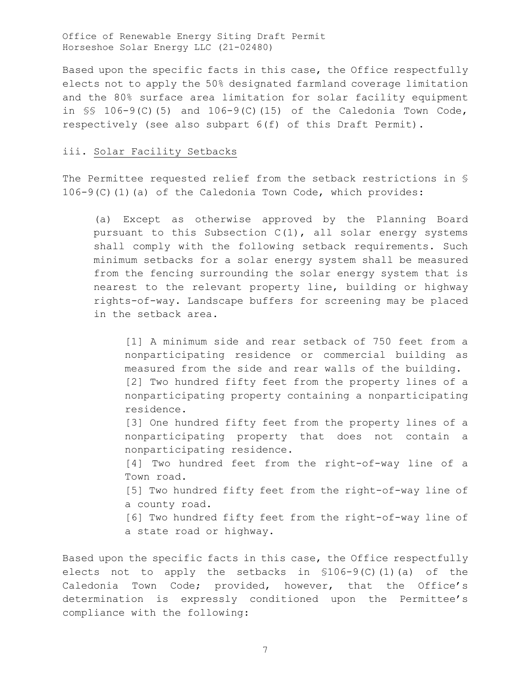Based upon the specific facts in this case, the Office respectfully elects not to apply the 50% designated farmland coverage limitation and the 80% surface area limitation for solar facility equipment in  $\S$  106-9(C)(5) and 106-9(C)(15) of the Caledonia Town Code, respectively (see also subpart 6(f) of this Draft Permit).

#### iii. Solar Facility Setbacks

The Permittee requested relief from the setback restrictions in § 106-9(C)(1)(a) of the Caledonia Town Code, which provides:

(a) Except as otherwise approved by the Planning Board pursuant to this Subsection C(1), all solar energy systems shall comply with the following setback requirements. Such minimum setbacks for a solar energy system shall be measured from the fencing surrounding the solar energy system that is nearest to the relevant property line, building or highway rights-of-way. Landscape buffers for screening may be placed in the setback area.

[1] A minimum side and rear setback of 750 feet from a nonparticipating residence or commercial building as measured from the side and rear walls of the building. [2] Two hundred fifty feet from the property lines of a nonparticipating property containing a nonparticipating residence.

[3] One hundred fifty feet from the property lines of a nonparticipating property that does not contain a nonparticipating residence.

[4] Two hundred feet from the right-of-way line of a Town road.

[5] Two hundred fifty feet from the right-of-way line of a county road.

[6] Two hundred fifty feet from the right-of-way line of a state road or highway.

Based upon the specific facts in this case, the Office respectfully elects not to apply the setbacks in §106-9(C)(1)(a) of the Caledonia Town Code; provided, however, that the Office's determination is expressly conditioned upon the Permittee's compliance with the following: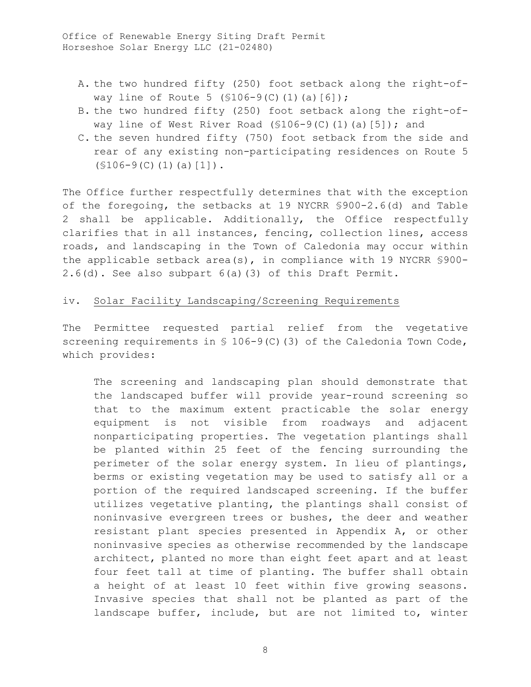- A. the two hundred fifty (250) foot setback along the right-ofway line of Route 5 ( $$106-9(C)(1)(a)[6]$ );
- B. the two hundred fifty (250) foot setback along the right-ofway line of West River Road ( $$106-9(C)$ (1)(a)[5]); and
- C. the seven hundred fifty (750) foot setback from the side and rear of any existing non-participating residences on Route 5  $(S106-9(C)(1)(a)[1])$ .

The Office further respectfully determines that with the exception of the foregoing, the setbacks at 19 NYCRR §900-2.6(d) and Table 2 shall be applicable. Additionally, the Office respectfully clarifies that in all instances, fencing, collection lines, access roads, and landscaping in the Town of Caledonia may occur within the applicable setback area(s), in compliance with 19 NYCRR §900- 2.6(d). See also subpart 6(a)(3) of this Draft Permit.

# iv. Solar Facility Landscaping/Screening Requirements

The Permittee requested partial relief from the vegetative screening requirements in  $\frac{106-9(C)}{3}$  of the Caledonia Town Code, which provides:

The screening and landscaping plan should demonstrate that the landscaped buffer will provide year-round screening so that to the maximum extent practicable the solar energy equipment is not visible from roadways and adjacent nonparticipating properties. The vegetation plantings shall be planted within 25 feet of the fencing surrounding the perimeter of the solar energy system. In lieu of plantings, berms or existing vegetation may be used to satisfy all or a portion of the required landscaped screening. If the buffer utilizes vegetative planting, the plantings shall consist of noninvasive evergreen trees or bushes, the deer and weather resistant plant species presented in Appendix A, or other noninvasive species as otherwise recommended by the landscape architect, planted no more than eight feet apart and at least four feet tall at time of planting. The buffer shall obtain a height of at least 10 feet within five growing seasons. Invasive species that shall not be planted as part of the landscape buffer, include, but are not limited to, winter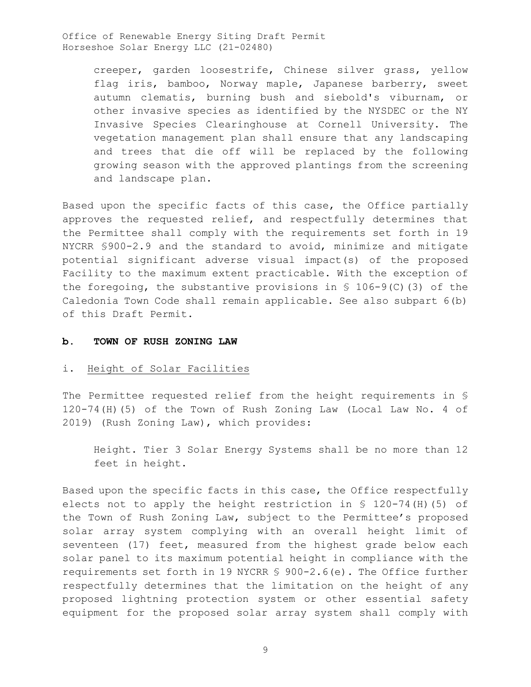> creeper, garden loosestrife, Chinese silver grass, yellow flag iris, bamboo, Norway maple, Japanese barberry, sweet autumn clematis, burning bush and siebold's viburnam, or other invasive species as identified by the NYSDEC or the NY Invasive Species Clearinghouse at Cornell University. The vegetation management plan shall ensure that any landscaping and trees that die off will be replaced by the following growing season with the approved plantings from the screening and landscape plan.

Based upon the specific facts of this case, the Office partially approves the requested relief, and respectfully determines that the Permittee shall comply with the requirements set forth in 19 NYCRR §900-2.9 and the standard to avoid, minimize and mitigate potential significant adverse visual impact(s) of the proposed Facility to the maximum extent practicable. With the exception of the foregoing, the substantive provisions in  $\S$  106-9(C)(3) of the Caledonia Town Code shall remain applicable. See also subpart 6(b) of this Draft Permit.

#### **b. TOWN OF RUSH ZONING LAW**

#### i. Height of Solar Facilities

The Permittee requested relief from the height requirements in § 120-74(H)(5) of the Town of Rush Zoning Law (Local Law No. 4 of 2019) (Rush Zoning Law), which provides:

Height. Tier 3 Solar Energy Systems shall be no more than 12 feet in height.

Based upon the specific facts in this case, the Office respectfully elects not to apply the height restriction in § 120-74(H)(5) of the Town of Rush Zoning Law, subject to the Permittee's proposed solar array system complying with an overall height limit of seventeen (17) feet, measured from the highest grade below each solar panel to its maximum potential height in compliance with the requirements set forth in 19 NYCRR § 900-2.6(e). The Office further respectfully determines that the limitation on the height of any proposed lightning protection system or other essential safety equipment for the proposed solar array system shall comply with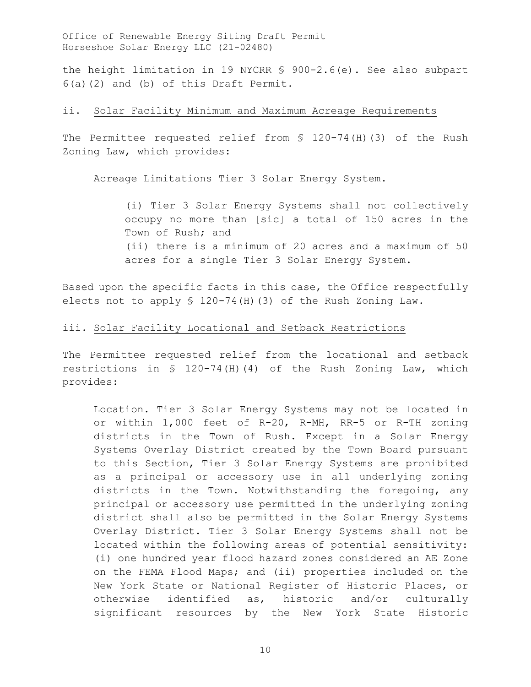the height limitation in 19 NYCRR § 900-2.6(e). See also subpart 6(a)(2) and (b) of this Draft Permit.

## ii. Solar Facility Minimum and Maximum Acreage Requirements

The Permittee requested relief from § 120-74(H)(3) of the Rush Zoning Law, which provides:

Acreage Limitations Tier 3 Solar Energy System.

(i) Tier 3 Solar Energy Systems shall not collectively occupy no more than [sic] a total of 150 acres in the Town of Rush; and (ii) there is a minimum of 20 acres and a maximum of 50 acres for a single Tier 3 Solar Energy System.

Based upon the specific facts in this case, the Office respectfully elects not to apply § 120-74(H)(3) of the Rush Zoning Law.

## iii. Solar Facility Locational and Setback Restrictions

The Permittee requested relief from the locational and setback restrictions in § 120-74(H)(4) of the Rush Zoning Law, which provides:

Location. Tier 3 Solar Energy Systems may not be located in or within 1,000 feet of R-20, R-MH, RR-5 or R-TH zoning districts in the Town of Rush. Except in a Solar Energy Systems Overlay District created by the Town Board pursuant to this Section, Tier 3 Solar Energy Systems are prohibited as a principal or accessory use in all underlying zoning districts in the Town. Notwithstanding the foregoing, any principal or accessory use permitted in the underlying zoning district shall also be permitted in the Solar Energy Systems Overlay District. Tier 3 Solar Energy Systems shall not be located within the following areas of potential sensitivity: (i) one hundred year flood hazard zones considered an AE Zone on the FEMA Flood Maps; and (ii) properties included on the New York State or National Register of Historic Places, or otherwise identified as, historic and/or culturally significant resources by the New York State Historic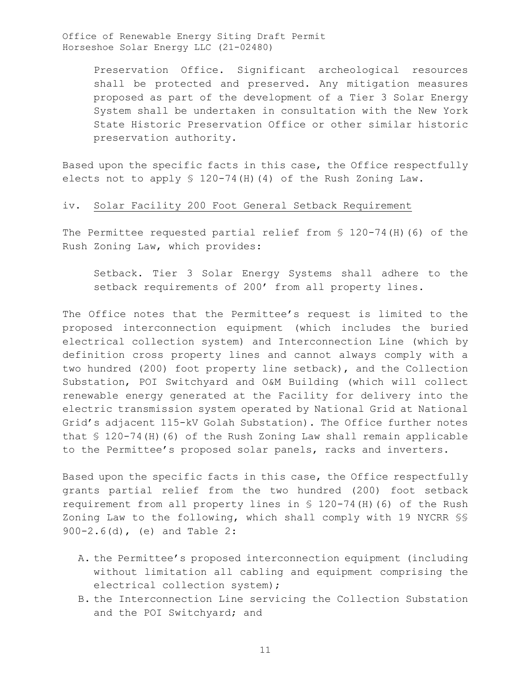> Preservation Office. Significant archeological resources shall be protected and preserved. Any mitigation measures proposed as part of the development of a Tier 3 Solar Energy System shall be undertaken in consultation with the New York State Historic Preservation Office or other similar historic preservation authority.

Based upon the specific facts in this case, the Office respectfully elects not to apply § 120-74(H)(4) of the Rush Zoning Law.

## iv. Solar Facility 200 Foot General Setback Requirement

The Permittee requested partial relief from § 120-74(H)(6) of the Rush Zoning Law, which provides:

Setback. Tier 3 Solar Energy Systems shall adhere to the setback requirements of 200' from all property lines.

The Office notes that the Permittee's request is limited to the proposed interconnection equipment (which includes the buried electrical collection system) and Interconnection Line (which by definition cross property lines and cannot always comply with a two hundred (200) foot property line setback), and the Collection Substation, POI Switchyard and O&M Building (which will collect renewable energy generated at the Facility for delivery into the electric transmission system operated by National Grid at National Grid's adjacent 115-kV Golah Substation). The Office further notes that § 120-74(H)(6) of the Rush Zoning Law shall remain applicable to the Permittee's proposed solar panels, racks and inverters.

Based upon the specific facts in this case, the Office respectfully grants partial relief from the two hundred (200) foot setback requirement from all property lines in § 120-74(H)(6) of the Rush Zoning Law to the following, which shall comply with 19 NYCRR §§ 900-2.6(d), (e) and Table 2:

- A. the Permittee's proposed interconnection equipment (including without limitation all cabling and equipment comprising the electrical collection system);
- B. the Interconnection Line servicing the Collection Substation and the POI Switchyard; and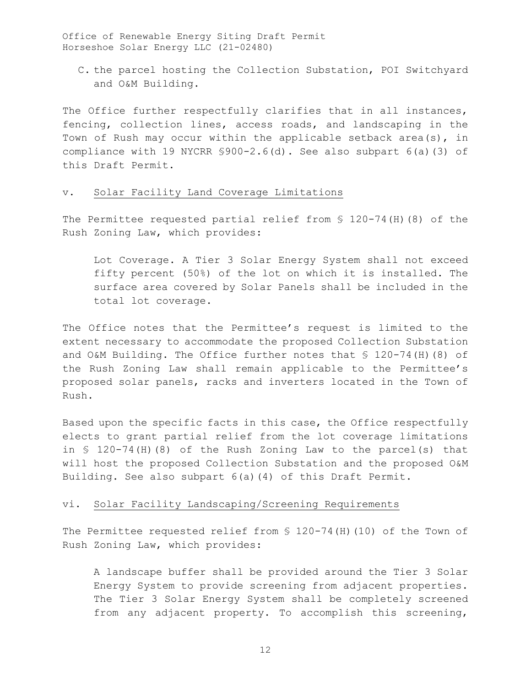C. the parcel hosting the Collection Substation, POI Switchyard and O&M Building.

The Office further respectfully clarifies that in all instances, fencing, collection lines, access roads, and landscaping in the Town of Rush may occur within the applicable setback area(s), in compliance with 19 NYCRR §900-2.6(d). See also subpart 6(a)(3) of this Draft Permit.

### v. Solar Facility Land Coverage Limitations

The Permittee requested partial relief from § 120-74(H)(8) of the Rush Zoning Law, which provides:

Lot Coverage. A Tier 3 Solar Energy System shall not exceed fifty percent (50%) of the lot on which it is installed. The surface area covered by Solar Panels shall be included in the total lot coverage.

The Office notes that the Permittee's request is limited to the extent necessary to accommodate the proposed Collection Substation and O&M Building. The Office further notes that § 120-74(H)(8) of the Rush Zoning Law shall remain applicable to the Permittee's proposed solar panels, racks and inverters located in the Town of Rush.

Based upon the specific facts in this case, the Office respectfully elects to grant partial relief from the lot coverage limitations in § 120-74(H)(8) of the Rush Zoning Law to the parcel(s) that will host the proposed Collection Substation and the proposed O&M Building. See also subpart 6(a)(4) of this Draft Permit.

## vi. Solar Facility Landscaping/Screening Requirements

The Permittee requested relief from § 120-74(H)(10) of the Town of Rush Zoning Law, which provides:

A landscape buffer shall be provided around the Tier 3 Solar Energy System to provide screening from adjacent properties. The Tier 3 Solar Energy System shall be completely screened from any adjacent property. To accomplish this screening,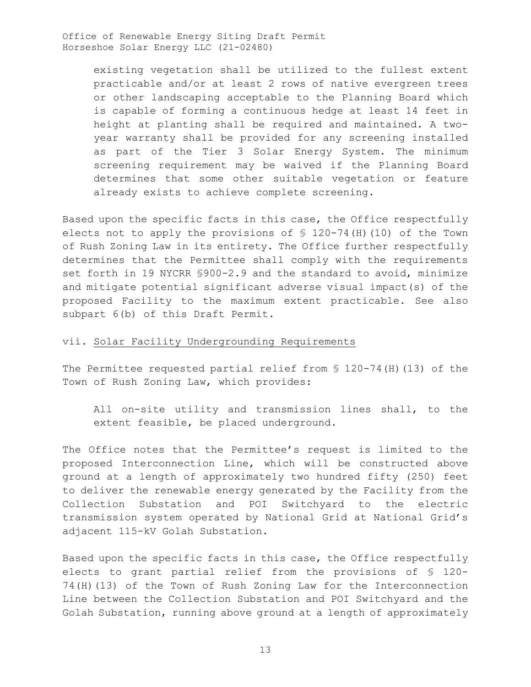> existing vegetation shall be utilized to the fullest extent practicable and/or at least 2 rows of native evergreen trees or other landscaping acceptable to the Planning Board which is capable of forming a continuous hedge at least 14 feet in height at planting shall be required and maintained. A twoyear warranty shall be provided for any screening installed as part of the Tier 3 Solar Energy System. The minimum screening requirement may be waived if the Planning Board determines that some other suitable vegetation or feature already exists to achieve complete screening.

Based upon the specific facts in this case, the Office respectfully elects not to apply the provisions of § 120-74(H)(10) of the Town of Rush Zoning Law in its entirety. The Office further respectfully determines that the Permittee shall comply with the requirements set forth in 19 NYCRR §900-2.9 and the standard to avoid, minimize and mitigate potential significant adverse visual impact(s) of the proposed Facility to the maximum extent practicable. See also subpart 6(b) of this Draft Permit.

### vii. Solar Facility Undergrounding Requirements

The Permittee requested partial relief from § 120-74(H)(13) of the Town of Rush Zoning Law, which provides:

All on-site utility and transmission lines shall, to the extent feasible, be placed underground.

The Office notes that the Permittee's request is limited to the proposed Interconnection Line, which will be constructed above ground at a length of approximately two hundred fifty (250) feet to deliver the renewable energy generated by the Facility from the Collection Substation and POI Switchyard to the electric transmission system operated by National Grid at National Grid's adjacent 115-kV Golah Substation.

Based upon the specific facts in this case, the Office respectfully elects to grant partial relief from the provisions of § 120- 74(H)(13) of the Town of Rush Zoning Law for the Interconnection Line between the Collection Substation and POI Switchyard and the Golah Substation, running above ground at a length of approximately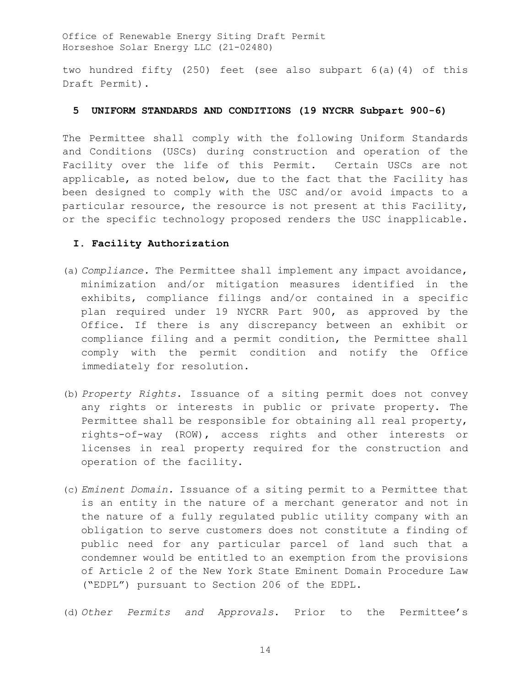two hundred fifty (250) feet (see also subpart 6(a)(4) of this Draft Permit).

### **5 UNIFORM STANDARDS AND CONDITIONS (19 NYCRR Subpart 900-6)**

The Permittee shall comply with the following Uniform Standards and Conditions (USCs) during construction and operation of the Facility over the life of this Permit. Certain USCs are not applicable, as noted below, due to the fact that the Facility has been designed to comply with the USC and/or avoid impacts to a particular resource, the resource is not present at this Facility, or the specific technology proposed renders the USC inapplicable.

## **I. Facility Authorization**

- (a) *Compliance.* The Permittee shall implement any impact avoidance, minimization and/or mitigation measures identified in the exhibits, compliance filings and/or contained in a specific plan required under 19 NYCRR Part 900, as approved by the Office. If there is any discrepancy between an exhibit or compliance filing and a permit condition, the Permittee shall comply with the permit condition and notify the Office immediately for resolution.
- (b) *Property Rights*. Issuance of a siting permit does not convey any rights or interests in public or private property. The Permittee shall be responsible for obtaining all real property, rights-of-way (ROW), access rights and other interests or licenses in real property required for the construction and operation of the facility.
- (c) *Eminent Domain.* Issuance of a siting permit to a Permittee that is an entity in the nature of a merchant generator and not in the nature of a fully regulated public utility company with an obligation to serve customers does not constitute a finding of public need for any particular parcel of land such that a condemner would be entitled to an exemption from the provisions of Article 2 of the New York State Eminent Domain Procedure Law ("EDPL") pursuant to Section 206 of the EDPL.
- (d) *Other Permits and Approvals*. Prior to the Permittee's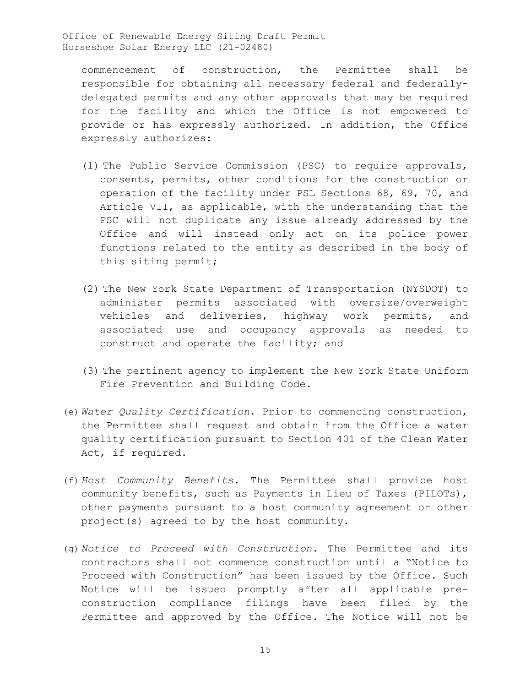commencement of construction, the Permittee shall be responsible for obtaining all necessary federal and federallydelegated permits and any other approvals that may be required for the facility and which the Office is not empowered to provide or has expressly authorized. In addition, the Office expressly authorizes:

- (1) The Public Service Commission (PSC) to require approvals, consents, permits, other conditions for the construction or operation of the facility under PSL Sections 68, 69, 70, and Article VII, as applicable, with the understanding that the PSC will not duplicate any issue already addressed by the Office and will instead only act on its police power functions related to the entity as described in the body of this siting permit;
- (2) The New York State Department of Transportation (NYSDOT) to administer permits associated with oversize/overweight vehicles and deliveries, highway work permits, and associated use and occupancy approvals as needed to construct and operate the facility; and
- (3) The pertinent agency to implement the New York State Uniform Fire Prevention and Building Code.
- (e) *Water Quality Certification*. Prior to commencing construction, the Permittee shall request and obtain from the Office a water quality certification pursuant to Section 401 of the Clean Water Act, if required.
- (f) *Host Community Benefits*. The Permittee shall provide host community benefits, such as Payments in Lieu of Taxes (PILOTs), other payments pursuant to a host community agreement or other project(s) agreed to by the host community.
- (g) *Notice to Proceed with Construction*. The Permittee and its contractors shall not commence construction until a "Notice to Proceed with Construction" has been issued by the Office. Such Notice will be issued promptly after all applicable preconstruction compliance filings have been filed by the Permittee and approved by the Office. The Notice will not be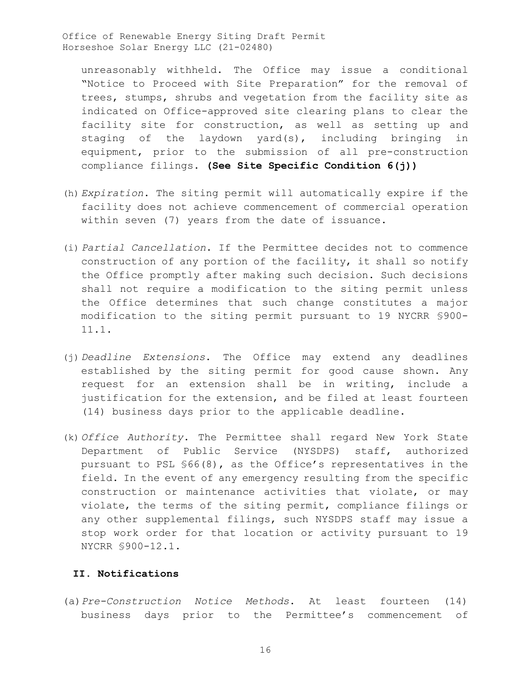unreasonably withheld. The Office may issue a conditional "Notice to Proceed with Site Preparation" for the removal of trees, stumps, shrubs and vegetation from the facility site as indicated on Office-approved site clearing plans to clear the facility site for construction, as well as setting up and staging of the laydown yard(s), including bringing in equipment, prior to the submission of all pre-construction compliance filings. **(See Site Specific Condition 6(j))**

- (h) *Expiration*. The siting permit will automatically expire if the facility does not achieve commencement of commercial operation within seven (7) years from the date of issuance.
- (i) *Partial Cancellation*. If the Permittee decides not to commence construction of any portion of the facility, it shall so notify the Office promptly after making such decision. Such decisions shall not require a modification to the siting permit unless the Office determines that such change constitutes a major modification to the siting permit pursuant to 19 NYCRR §900- 11.1.
- (j) *Deadline Extensions*. The Office may extend any deadlines established by the siting permit for good cause shown. Any request for an extension shall be in writing, include a justification for the extension, and be filed at least fourteen (14) business days prior to the applicable deadline.
- (k) *Office Authority*. The Permittee shall regard New York State Department of Public Service (NYSDPS) staff, authorized pursuant to PSL §66(8), as the Office's representatives in the field. In the event of any emergency resulting from the specific construction or maintenance activities that violate, or may violate, the terms of the siting permit, compliance filings or any other supplemental filings, such NYSDPS staff may issue a stop work order for that location or activity pursuant to 19 NYCRR §900-12.1.

# **II. Notifications**

(a)*Pre-Construction Notice Methods*. At least fourteen (14) business days prior to the Permittee's commencement of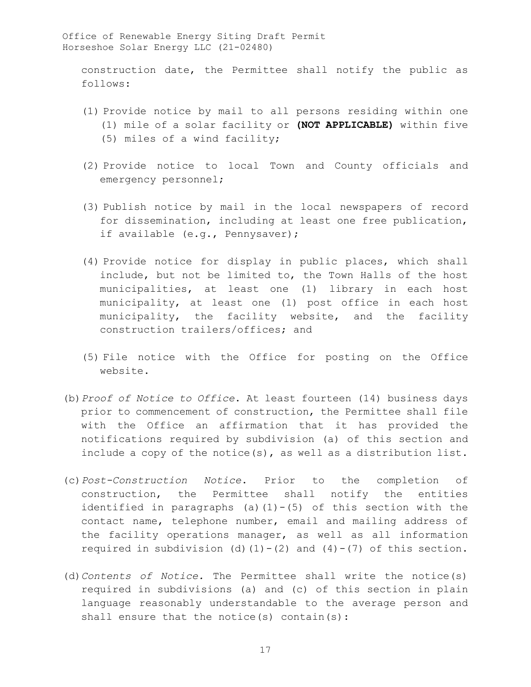construction date, the Permittee shall notify the public as follows:

- (1) Provide notice by mail to all persons residing within one (1) mile of a solar facility or **(NOT APPLICABLE)** within five (5) miles of a wind facility;
- (2) Provide notice to local Town and County officials and emergency personnel;
- (3) Publish notice by mail in the local newspapers of record for dissemination, including at least one free publication, if available (e.g., Pennysaver);
- (4) Provide notice for display in public places, which shall include, but not be limited to, the Town Halls of the host municipalities, at least one (1) library in each host municipality, at least one (1) post office in each host municipality, the facility website, and the facility construction trailers/offices; and
- (5) File notice with the Office for posting on the Office website.
- (b)*Proof of Notice to Office*. At least fourteen (14) business days prior to commencement of construction, the Permittee shall file with the Office an affirmation that it has provided the notifications required by subdivision (a) of this section and include a copy of the notice(s), as well as a distribution list.
- (c)*Post-Construction Notice*. Prior to the completion of construction, the Permittee shall notify the entities identified in paragraphs (a)(1)-(5) of this section with the contact name, telephone number, email and mailing address of the facility operations manager, as well as all information required in subdivision (d)(1)-(2) and  $(4)-(7)$  of this section.
- (d)*Contents of Notice.* The Permittee shall write the notice(s) required in subdivisions (a) and (c) of this section in plain language reasonably understandable to the average person and shall ensure that the notice(s) contain(s):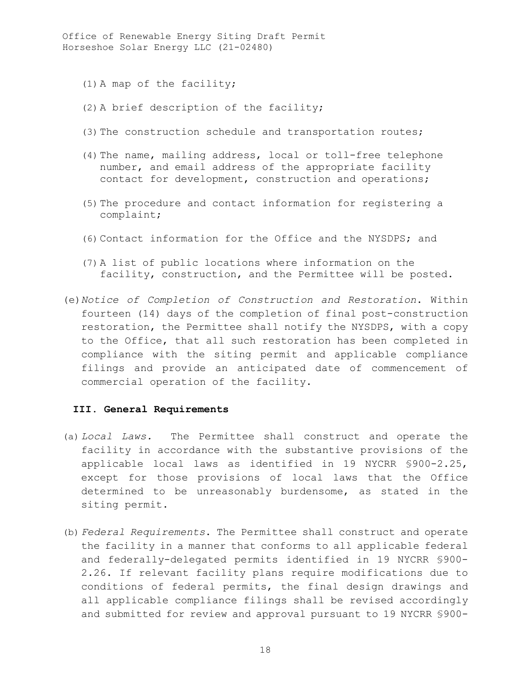- (1) A map of the facility;
- (2) A brief description of the facility;
- (3) The construction schedule and transportation routes;
- (4) The name, mailing address, local or toll-free telephone number, and email address of the appropriate facility contact for development, construction and operations;
- (5) The procedure and contact information for registering a complaint;
- (6) Contact information for the Office and the NYSDPS; and
- (7) A list of public locations where information on the facility, construction, and the Permittee will be posted.
- (e)*Notice of Completion of Construction and Restoration*. Within fourteen (14) days of the completion of final post-construction restoration, the Permittee shall notify the NYSDPS, with a copy to the Office, that all such restoration has been completed in compliance with the siting permit and applicable compliance filings and provide an anticipated date of commencement of commercial operation of the facility.

#### **III. General Requirements**

- (a) *Local Laws.* The Permittee shall construct and operate the facility in accordance with the substantive provisions of the applicable local laws as identified in 19 NYCRR §900-2.25, except for those provisions of local laws that the Office determined to be unreasonably burdensome, as stated in the siting permit.
- (b) *Federal Requirements*. The Permittee shall construct and operate the facility in a manner that conforms to all applicable federal and federally-delegated permits identified in 19 NYCRR §900- 2.26. If relevant facility plans require modifications due to conditions of federal permits, the final design drawings and all applicable compliance filings shall be revised accordingly and submitted for review and approval pursuant to 19 NYCRR §900-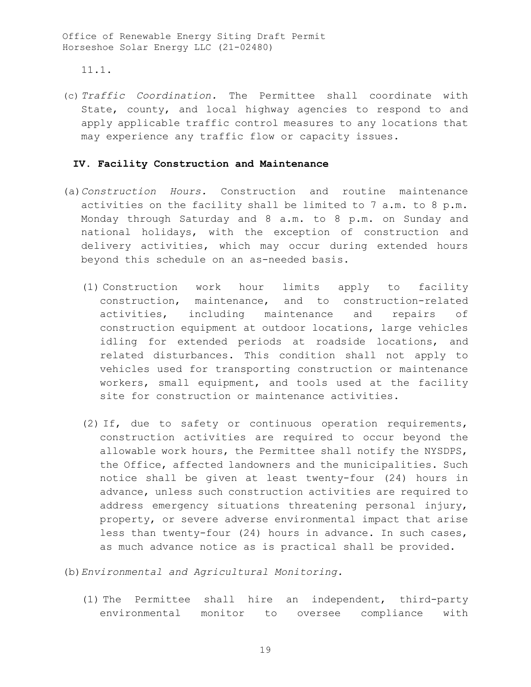11.1.

(c) *Traffic Coordination.* The Permittee shall coordinate with State, county, and local highway agencies to respond to and apply applicable traffic control measures to any locations that may experience any traffic flow or capacity issues.

### **IV. Facility Construction and Maintenance**

- (a)*Construction Hours.* Construction and routine maintenance activities on the facility shall be limited to 7 a.m. to 8 p.m. Monday through Saturday and 8 a.m. to 8 p.m. on Sunday and national holidays, with the exception of construction and delivery activities, which may occur during extended hours beyond this schedule on an as-needed basis.
	- (1) Construction work hour limits apply to facility construction, maintenance, and to construction-related activities, including maintenance and repairs of construction equipment at outdoor locations, large vehicles idling for extended periods at roadside locations, and related disturbances. This condition shall not apply to vehicles used for transporting construction or maintenance workers, small equipment, and tools used at the facility site for construction or maintenance activities.
	- (2) If, due to safety or continuous operation requirements, construction activities are required to occur beyond the allowable work hours, the Permittee shall notify the NYSDPS, the Office, affected landowners and the municipalities. Such notice shall be given at least twenty-four (24) hours in advance, unless such construction activities are required to address emergency situations threatening personal injury, property, or severe adverse environmental impact that arise less than twenty-four (24) hours in advance. In such cases, as much advance notice as is practical shall be provided.

(b)*Environmental and Agricultural Monitoring.* 

(1) The Permittee shall hire an independent, third-party environmental monitor to oversee compliance with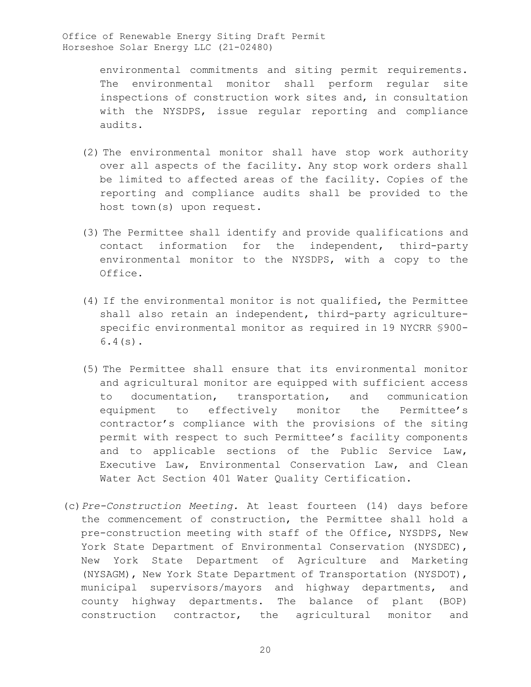> environmental commitments and siting permit requirements. The environmental monitor shall perform regular site inspections of construction work sites and, in consultation with the NYSDPS, issue regular reporting and compliance audits.

- (2) The environmental monitor shall have stop work authority over all aspects of the facility. Any stop work orders shall be limited to affected areas of the facility. Copies of the reporting and compliance audits shall be provided to the host town(s) upon request.
- (3) The Permittee shall identify and provide qualifications and contact information for the independent, third-party environmental monitor to the NYSDPS, with a copy to the Office.
- (4) If the environmental monitor is not qualified, the Permittee shall also retain an independent, third-party agriculturespecific environmental monitor as required in 19 NYCRR §900- 6.4(s).
- (5) The Permittee shall ensure that its environmental monitor and agricultural monitor are equipped with sufficient access to documentation, transportation, and communication equipment to effectively monitor the Permittee's contractor's compliance with the provisions of the siting permit with respect to such Permittee's facility components and to applicable sections of the Public Service Law, Executive Law, Environmental Conservation Law, and Clean Water Act Section 401 Water Quality Certification.
- (c)*Pre-Construction Meeting.* At least fourteen (14) days before the commencement of construction, the Permittee shall hold a pre-construction meeting with staff of the Office, NYSDPS, New York State Department of Environmental Conservation (NYSDEC), New York State Department of Agriculture and Marketing (NYSAGM), New York State Department of Transportation (NYSDOT), municipal supervisors/mayors and highway departments, and county highway departments. The balance of plant (BOP) construction contractor, the agricultural monitor and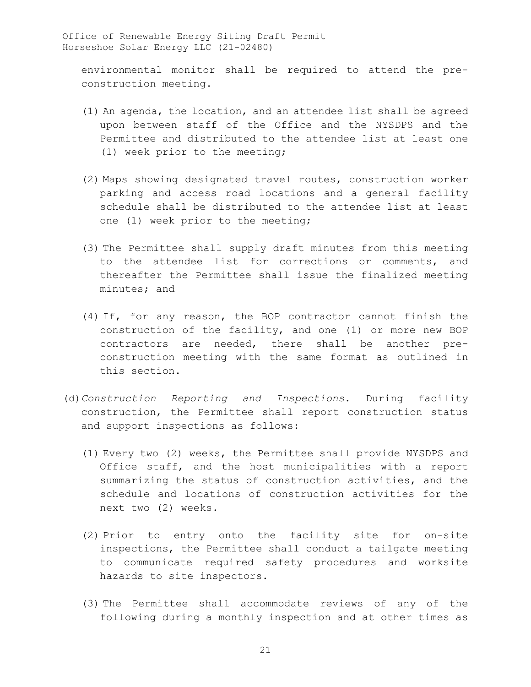environmental monitor shall be required to attend the preconstruction meeting.

- (1) An agenda, the location, and an attendee list shall be agreed upon between staff of the Office and the NYSDPS and the Permittee and distributed to the attendee list at least one (1) week prior to the meeting;
- (2) Maps showing designated travel routes, construction worker parking and access road locations and a general facility schedule shall be distributed to the attendee list at least one (1) week prior to the meeting;
- (3) The Permittee shall supply draft minutes from this meeting to the attendee list for corrections or comments, and thereafter the Permittee shall issue the finalized meeting minutes; and
- (4) If, for any reason, the BOP contractor cannot finish the construction of the facility, and one (1) or more new BOP contractors are needed, there shall be another preconstruction meeting with the same format as outlined in this section.
- (d)*Construction Reporting and Inspections*. During facility construction, the Permittee shall report construction status and support inspections as follows:
	- (1) Every two (2) weeks, the Permittee shall provide NYSDPS and Office staff, and the host municipalities with a report summarizing the status of construction activities, and the schedule and locations of construction activities for the next two (2) weeks.
	- (2) Prior to entry onto the facility site for on-site inspections, the Permittee shall conduct a tailgate meeting to communicate required safety procedures and worksite hazards to site inspectors.
	- (3) The Permittee shall accommodate reviews of any of the following during a monthly inspection and at other times as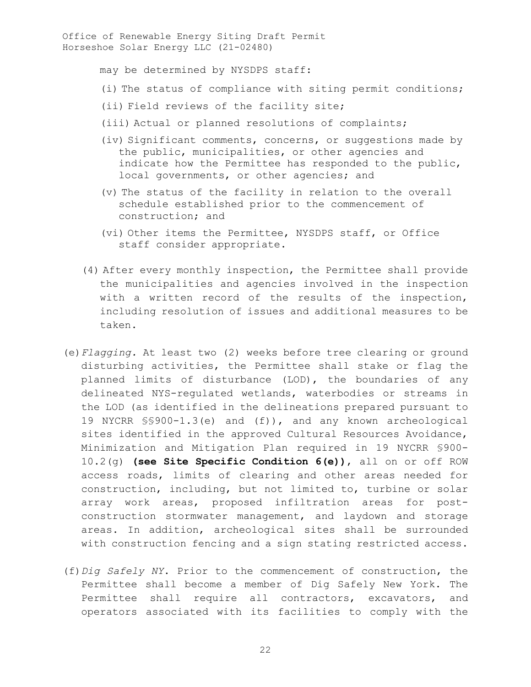may be determined by NYSDPS staff:

- (i) The status of compliance with siting permit conditions;
- (ii) Field reviews of the facility site;
- (iii) Actual or planned resolutions of complaints;
- (iv) Significant comments, concerns, or suggestions made by the public, municipalities, or other agencies and indicate how the Permittee has responded to the public, local governments, or other agencies; and
- (v) The status of the facility in relation to the overall schedule established prior to the commencement of construction; and
- (vi) Other items the Permittee, NYSDPS staff, or Office staff consider appropriate.
- (4) After every monthly inspection, the Permittee shall provide the municipalities and agencies involved in the inspection with a written record of the results of the inspection, including resolution of issues and additional measures to be taken.
- (e)*Flagging.* At least two (2) weeks before tree clearing or ground disturbing activities, the Permittee shall stake or flag the planned limits of disturbance (LOD), the boundaries of any delineated NYS-regulated wetlands, waterbodies or streams in the LOD (as identified in the delineations prepared pursuant to 19 NYCRR §§900-1.3(e) and (f)), and any known archeological sites identified in the approved Cultural Resources Avoidance, Minimization and Mitigation Plan required in 19 NYCRR §900- 10.2(g) **(see Site Specific Condition 6(e))**, all on or off ROW access roads, limits of clearing and other areas needed for construction, including, but not limited to, turbine or solar array work areas, proposed infiltration areas for postconstruction stormwater management, and laydown and storage areas. In addition, archeological sites shall be surrounded with construction fencing and a sign stating restricted access.
- (f)*Dig Safely NY*. Prior to the commencement of construction, the Permittee shall become a member of Dig Safely New York. The Permittee shall require all contractors, excavators, and operators associated with its facilities to comply with the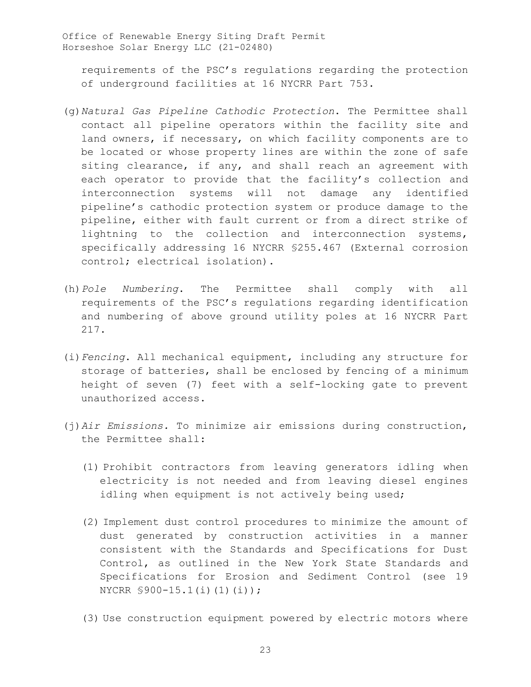requirements of the PSC's regulations regarding the protection of underground facilities at 16 NYCRR Part 753.

- (g)*Natural Gas Pipeline Cathodic Protection*. The Permittee shall contact all pipeline operators within the facility site and land owners, if necessary, on which facility components are to be located or whose property lines are within the zone of safe siting clearance, if any, and shall reach an agreement with each operator to provide that the facility's collection and interconnection systems will not damage any identified pipeline's cathodic protection system or produce damage to the pipeline, either with fault current or from a direct strike of lightning to the collection and interconnection systems, specifically addressing 16 NYCRR §255.467 (External corrosion control; electrical isolation).
- (h)*Pole Numbering*. The Permittee shall comply with all requirements of the PSC's regulations regarding identification and numbering of above ground utility poles at 16 NYCRR Part 217.
- (i)*Fencing*. All mechanical equipment, including any structure for storage of batteries, shall be enclosed by fencing of a minimum height of seven (7) feet with a self-locking gate to prevent unauthorized access.
- (j)*Air Emissions.* To minimize air emissions during construction, the Permittee shall:
	- (1) Prohibit contractors from leaving generators idling when electricity is not needed and from leaving diesel engines idling when equipment is not actively being used;
	- (2) Implement dust control procedures to minimize the amount of dust generated by construction activities in a manner consistent with the Standards and Specifications for Dust Control, as outlined in the New York State Standards and Specifications for Erosion and Sediment Control (see 19 NYCRR §900-15.1(i)(1)(i));
	- (3) Use construction equipment powered by electric motors where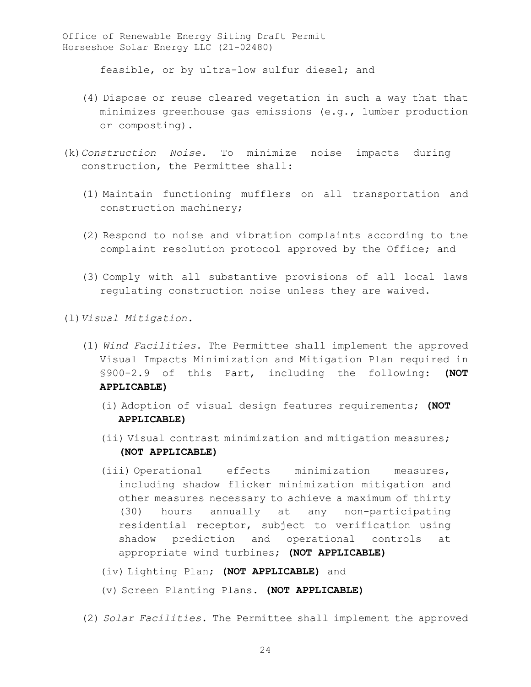feasible, or by ultra-low sulfur diesel; and

- (4) Dispose or reuse cleared vegetation in such a way that that minimizes greenhouse gas emissions (e.g., lumber production or composting).
- (k)*Construction Noise*. To minimize noise impacts during construction, the Permittee shall:
	- (1) Maintain functioning mufflers on all transportation and construction machinery;
	- (2) Respond to noise and vibration complaints according to the complaint resolution protocol approved by the Office; and
	- (3) Comply with all substantive provisions of all local laws regulating construction noise unless they are waived.

(l)*Visual Mitigation.* 

- (1) *Wind Facilities*. The Permittee shall implement the approved Visual Impacts Minimization and Mitigation Plan required in §900-2.9 of this Part, including the following: **(NOT APPLICABLE)**
	- (i) Adoption of visual design features requirements; **(NOT APPLICABLE)**
	- (ii) Visual contrast minimization and mitigation measures; **(NOT APPLICABLE)**
	- (iii) Operational effects minimization measures, including shadow flicker minimization mitigation and other measures necessary to achieve a maximum of thirty (30) hours annually at any non-participating residential receptor, subject to verification using shadow prediction and operational controls at appropriate wind turbines; **(NOT APPLICABLE)**
	- (iv) Lighting Plan; **(NOT APPLICABLE)** and
	- (v) Screen Planting Plans. **(NOT APPLICABLE)**
- (2) *Solar Facilities*. The Permittee shall implement the approved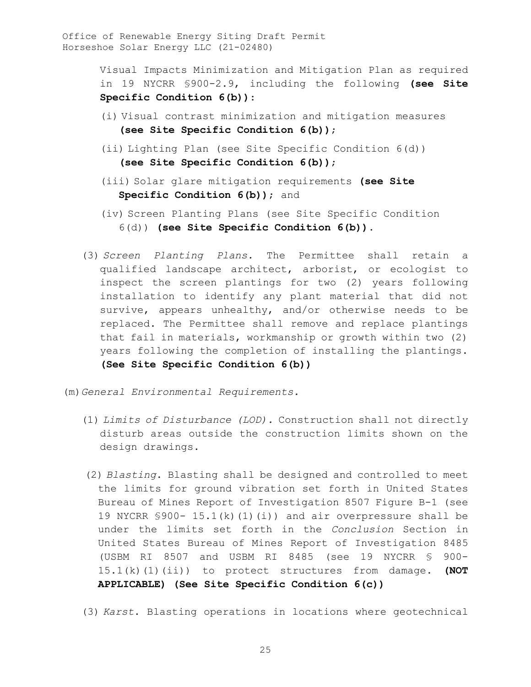> Visual Impacts Minimization and Mitigation Plan as required in 19 NYCRR §900-2.9, including the following **(see Site Specific Condition 6(b))**:

- (i) Visual contrast minimization and mitigation measures **(see Site Specific Condition 6(b))**;
- (ii) Lighting Plan (see Site Specific Condition 6(d)) **(see Site Specific Condition 6(b))**;
- (iii) Solar glare mitigation requirements **(see Site Specific Condition 6(b))**; and
- (iv) Screen Planting Plans (see Site Specific Condition 6(d)) **(see Site Specific Condition 6(b))**.
- (3) *Screen Planting Plans.* The Permittee shall retain a qualified landscape architect, arborist, or ecologist to inspect the screen plantings for two (2) years following installation to identify any plant material that did not survive, appears unhealthy, and/or otherwise needs to be replaced. The Permittee shall remove and replace plantings that fail in materials, workmanship or growth within two (2) years following the completion of installing the plantings. **(See Site Specific Condition 6(b))**

(m)*General Environmental Requirements.* 

- (1) *Limits of Disturbance (LOD).* Construction shall not directly disturb areas outside the construction limits shown on the design drawings.
- (2) *Blasting*. Blasting shall be designed and controlled to meet the limits for ground vibration set forth in United States Bureau of Mines Report of Investigation 8507 Figure B-1 (see 19 NYCRR §900- 15.1(k)(1)(i)) and air overpressure shall be under the limits set forth in the *Conclusion* Section in United States Bureau of Mines Report of Investigation 8485 (USBM RI 8507 and USBM RI 8485 (see 19 NYCRR § 900- 15.1(k)(1)(ii)) to protect structures from damage. **(NOT APPLICABLE) (See Site Specific Condition 6(c))**
- (3) *Karst*. Blasting operations in locations where geotechnical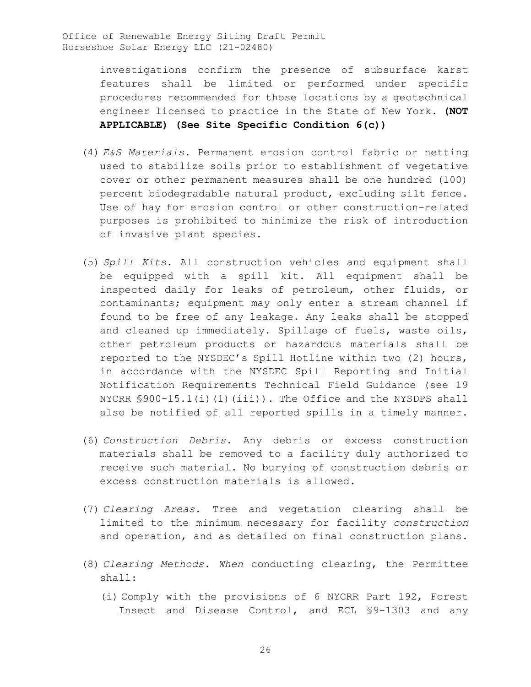> investigations confirm the presence of subsurface karst features shall be limited or performed under specific procedures recommended for those locations by a geotechnical engineer licensed to practice in the State of New York. **(NOT APPLICABLE) (See Site Specific Condition 6(c))**

- (4) *E&S Materials.* Permanent erosion control fabric or netting used to stabilize soils prior to establishment of vegetative cover or other permanent measures shall be one hundred (100) percent biodegradable natural product, excluding silt fence. Use of hay for erosion control or other construction-related purposes is prohibited to minimize the risk of introduction of invasive plant species.
- (5) *Spill Kits*. All construction vehicles and equipment shall be equipped with a spill kit. All equipment shall be inspected daily for leaks of petroleum, other fluids, or contaminants; equipment may only enter a stream channel if found to be free of any leakage. Any leaks shall be stopped and cleaned up immediately. Spillage of fuels, waste oils, other petroleum products or hazardous materials shall be reported to the NYSDEC's Spill Hotline within two (2) hours, in accordance with the NYSDEC Spill Reporting and Initial Notification Requirements Technical Field Guidance (see 19 NYCRR  $$900-15.1(i)(1)(iii)$ . The Office and the NYSDPS shall also be notified of all reported spills in a timely manner.
- (6) *Construction Debris*. Any debris or excess construction materials shall be removed to a facility duly authorized to receive such material. No burying of construction debris or excess construction materials is allowed.
- (7) *Clearing Areas*. Tree and vegetation clearing shall be limited to the minimum necessary for facility *construction* and operation, and as detailed on final construction plans.
- (8) *Clearing Methods*. *When* conducting clearing, the Permittee shall:
	- (i) Comply with the provisions of 6 NYCRR Part 192, Forest Insect and Disease Control, and ECL §9-1303 and any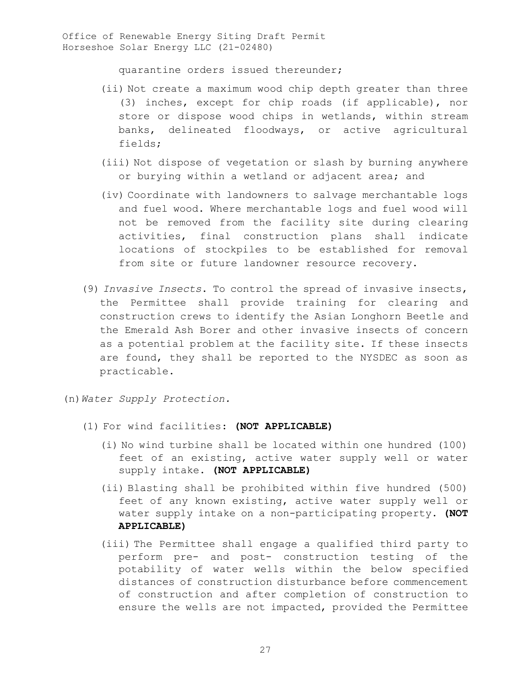quarantine orders issued thereunder;

- (ii) Not create a maximum wood chip depth greater than three (3) inches, except for chip roads (if applicable), nor store or dispose wood chips in wetlands, within stream banks, delineated floodways, or active agricultural fields;
- (iii) Not dispose of vegetation or slash by burning anywhere or burying within a wetland or adjacent area; and
- (iv) Coordinate with landowners to salvage merchantable logs and fuel wood. Where merchantable logs and fuel wood will not be removed from the facility site during clearing activities, final construction plans shall indicate locations of stockpiles to be established for removal from site or future landowner resource recovery.
- (9) *Invasive Insects*. To control the spread of invasive insects, the Permittee shall provide training for clearing and construction crews to identify the Asian Longhorn Beetle and the Emerald Ash Borer and other invasive insects of concern as a potential problem at the facility site. If these insects are found, they shall be reported to the NYSDEC as soon as practicable.
- (n)*Water Supply Protection.* 
	- (1) For wind facilities: **(NOT APPLICABLE)**
		- (i) No wind turbine shall be located within one hundred (100) feet of an existing, active water supply well or water supply intake. **(NOT APPLICABLE)**
		- (ii) Blasting shall be prohibited within five hundred (500) feet of any known existing, active water supply well or water supply intake on a non-participating property. **(NOT APPLICABLE)**
		- (iii) The Permittee shall engage a qualified third party to perform pre- and post- construction testing of the potability of water wells within the below specified distances of construction disturbance before commencement of construction and after completion of construction to ensure the wells are not impacted, provided the Permittee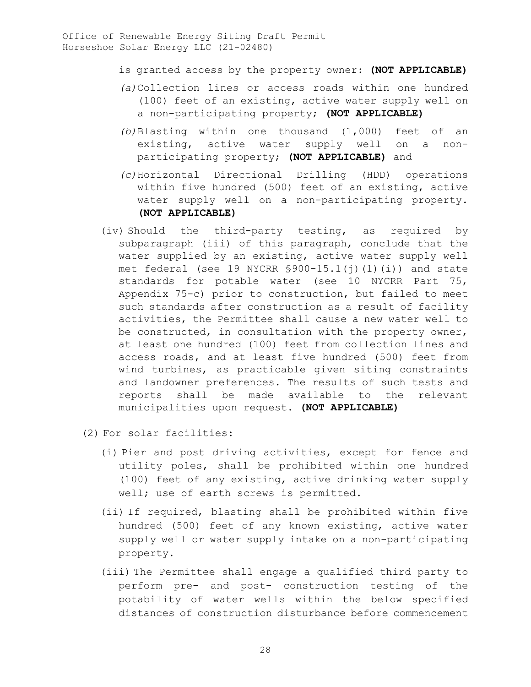- is granted access by the property owner: **(NOT APPLICABLE)**
- *(a)*Collection lines or access roads within one hundred (100) feet of an existing, active water supply well on a non-participating property; **(NOT APPLICABLE)**
- *(b)*Blasting within one thousand (1,000) feet of an existing, active water supply well on a nonparticipating property; **(NOT APPLICABLE)** and
- *(c)*Horizontal Directional Drilling (HDD) operations within five hundred (500) feet of an existing, active water supply well on a non-participating property. **(NOT APPLICABLE)**
- (iv) Should the third-party testing, as required by subparagraph (iii) of this paragraph, conclude that the water supplied by an existing, active water supply well met federal (see 19 NYCRR §900-15.1(j)(1)(i)) and state standards for potable water (see 10 NYCRR Part 75, Appendix 75-c) prior to construction, but failed to meet such standards after construction as a result of facility activities, the Permittee shall cause a new water well to be constructed, in consultation with the property owner, at least one hundred (100) feet from collection lines and access roads, and at least five hundred (500) feet from wind turbines, as practicable given siting constraints and landowner preferences. The results of such tests and reports shall be made available to the relevant municipalities upon request. **(NOT APPLICABLE)**
- (2) For solar facilities:
	- (i) Pier and post driving activities, except for fence and utility poles, shall be prohibited within one hundred (100) feet of any existing, active drinking water supply well; use of earth screws is permitted.
	- (ii) If required, blasting shall be prohibited within five hundred (500) feet of any known existing, active water supply well or water supply intake on a non-participating property.
	- (iii) The Permittee shall engage a qualified third party to perform pre- and post- construction testing of the potability of water wells within the below specified distances of construction disturbance before commencement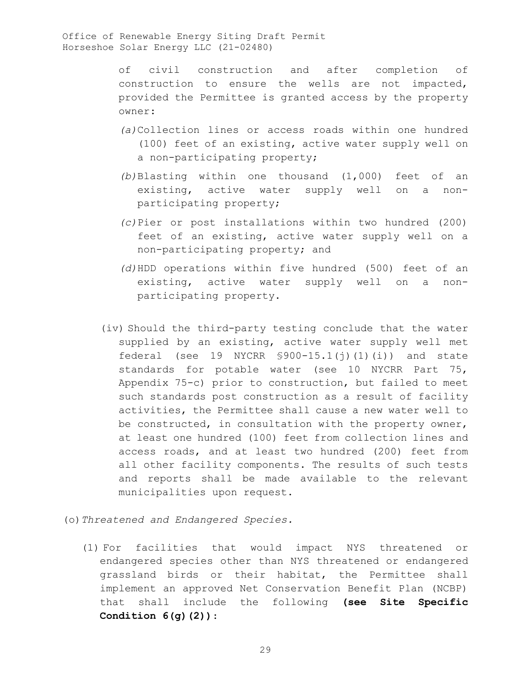of civil construction and after completion of construction to ensure the wells are not impacted, provided the Permittee is granted access by the property owner:

- *(a)*Collection lines or access roads within one hundred (100) feet of an existing, active water supply well on a non-participating property;
- *(b)*Blasting within one thousand (1,000) feet of an existing, active water supply well on a nonparticipating property;
- *(c)*Pier or post installations within two hundred (200) feet of an existing, active water supply well on a non-participating property; and
- *(d)*HDD operations within five hundred (500) feet of an existing, active water supply well on a nonparticipating property.
- (iv) Should the third-party testing conclude that the water supplied by an existing, active water supply well met federal (see 19 NYCRR  $$900-15.1(j)(1)(i)$ ) and state standards for potable water (see 10 NYCRR Part 75, Appendix 75-c) prior to construction, but failed to meet such standards post construction as a result of facility activities, the Permittee shall cause a new water well to be constructed, in consultation with the property owner, at least one hundred (100) feet from collection lines and access roads, and at least two hundred (200) feet from all other facility components. The results of such tests and reports shall be made available to the relevant municipalities upon request.
- (o)*Threatened and Endangered Species.* 
	- (1) For facilities that would impact NYS threatened or endangered species other than NYS threatened or endangered grassland birds or their habitat, the Permittee shall implement an approved Net Conservation Benefit Plan (NCBP) that shall include the following **(see Site Specific Condition 6(g)(2))**: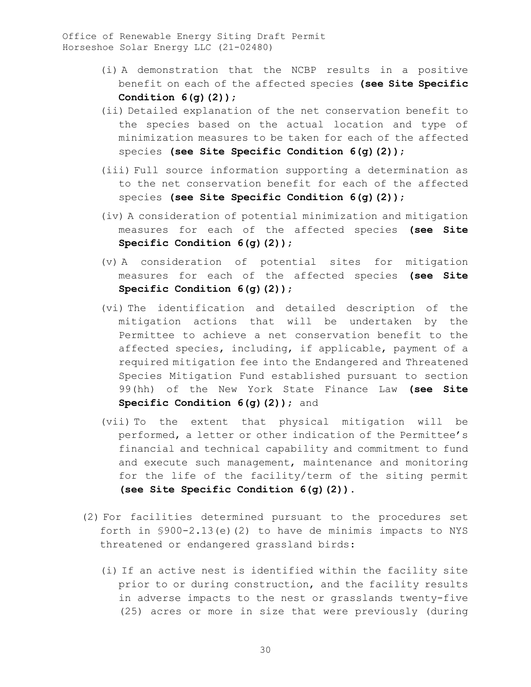- (i) A demonstration that the NCBP results in a positive benefit on each of the affected species **(see Site Specific Condition 6(g)(2))**;
- (ii) Detailed explanation of the net conservation benefit to the species based on the actual location and type of minimization measures to be taken for each of the affected species **(see Site Specific Condition 6(g)(2))**;
- (iii) Full source information supporting a determination as to the net conservation benefit for each of the affected species **(see Site Specific Condition 6(g)(2))**;
- (iv) A consideration of potential minimization and mitigation measures for each of the affected species **(see Site Specific Condition 6(g)(2))**;
- (v) A consideration of potential sites for mitigation measures for each of the affected species **(see Site Specific Condition 6(g)(2))**;
- (vi) The identification and detailed description of the mitigation actions that will be undertaken by the Permittee to achieve a net conservation benefit to the affected species, including, if applicable, payment of a required mitigation fee into the Endangered and Threatened Species Mitigation Fund established pursuant to section 99(hh) of the New York State Finance Law **(see Site Specific Condition 6(g)(2))**; and
- (vii) To the extent that physical mitigation will be performed, a letter or other indication of the Permittee's financial and technical capability and commitment to fund and execute such management, maintenance and monitoring for the life of the facility/term of the siting permit **(see Site Specific Condition 6(g)(2))**.
- (2) For facilities determined pursuant to the procedures set forth in §900-2.13(e)(2) to have de minimis impacts to NYS threatened or endangered grassland birds:
	- (i) If an active nest is identified within the facility site prior to or during construction, and the facility results in adverse impacts to the nest or grasslands twenty-five (25) acres or more in size that were previously (during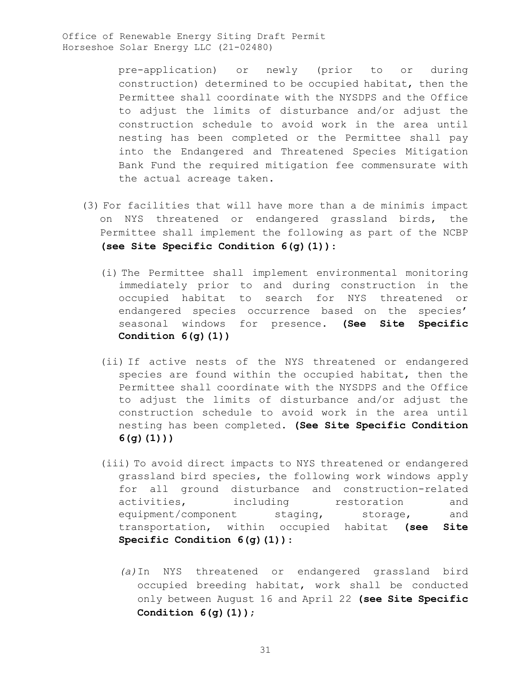> pre-application) or newly (prior to or during construction) determined to be occupied habitat, then the Permittee shall coordinate with the NYSDPS and the Office to adjust the limits of disturbance and/or adjust the construction schedule to avoid work in the area until nesting has been completed or the Permittee shall pay into the Endangered and Threatened Species Mitigation Bank Fund the required mitigation fee commensurate with the actual acreage taken.

- (3) For facilities that will have more than a de minimis impact on NYS threatened or endangered grassland birds, the Permittee shall implement the following as part of the NCBP **(see Site Specific Condition 6(g)(1))**:
	- (i) The Permittee shall implement environmental monitoring immediately prior to and during construction in the occupied habitat to search for NYS threatened or endangered species occurrence based on the species' seasonal windows for presence. **(See Site Specific Condition 6(g)(1))**
	- (ii) If active nests of the NYS threatened or endangered species are found within the occupied habitat, then the Permittee shall coordinate with the NYSDPS and the Office to adjust the limits of disturbance and/or adjust the construction schedule to avoid work in the area until nesting has been completed. **(See Site Specific Condition 6(g)(1)))**
	- (iii) To avoid direct impacts to NYS threatened or endangered grassland bird species, the following work windows apply for all ground disturbance and construction-related activities, including restoration and equipment/component staging, storage, and transportation, within occupied habitat **(see Site Specific Condition 6(g)(1))**:
		- *(a)*In NYS threatened or endangered grassland bird occupied breeding habitat, work shall be conducted only between August 16 and April 22 **(see Site Specific Condition 6(g)(1))**;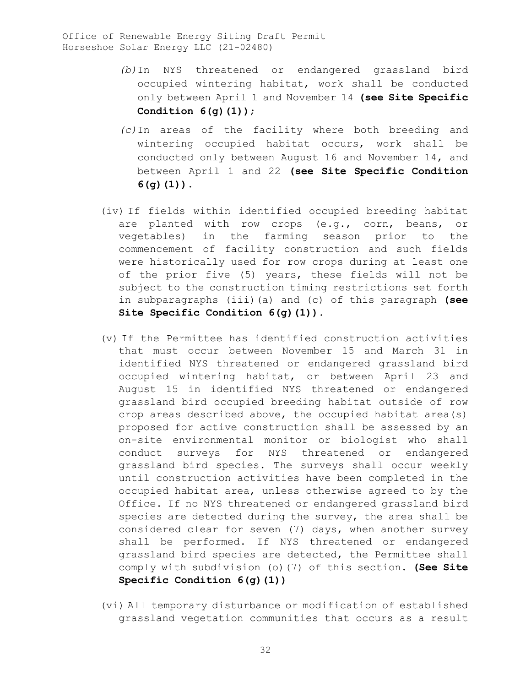- *(b)*In NYS threatened or endangered grassland bird occupied wintering habitat, work shall be conducted only between April 1 and November 14 **(see Site Specific Condition 6(g)(1))**;
- *(c)*In areas of the facility where both breeding and wintering occupied habitat occurs, work shall be conducted only between August 16 and November 14, and between April 1 and 22 **(see Site Specific Condition 6(g)(1))**.
- (iv) If fields within identified occupied breeding habitat are planted with row crops (e.g., corn, beans, or vegetables) in the farming season prior to the commencement of facility construction and such fields were historically used for row crops during at least one of the prior five (5) years, these fields will not be subject to the construction timing restrictions set forth in subparagraphs (iii)(a) and (c) of this paragraph **(see Site Specific Condition 6(g)(1))**.
- (v) If the Permittee has identified construction activities that must occur between November 15 and March 31 in identified NYS threatened or endangered grassland bird occupied wintering habitat, or between April 23 and August 15 in identified NYS threatened or endangered grassland bird occupied breeding habitat outside of row crop areas described above, the occupied habitat area(s) proposed for active construction shall be assessed by an on-site environmental monitor or biologist who shall conduct surveys for NYS threatened or endangered grassland bird species. The surveys shall occur weekly until construction activities have been completed in the occupied habitat area, unless otherwise agreed to by the Office. If no NYS threatened or endangered grassland bird species are detected during the survey, the area shall be considered clear for seven (7) days, when another survey shall be performed. If NYS threatened or endangered grassland bird species are detected, the Permittee shall comply with subdivision (o)(7) of this section. **(See Site Specific Condition 6(g)(1))**
- (vi) All temporary disturbance or modification of established grassland vegetation communities that occurs as a result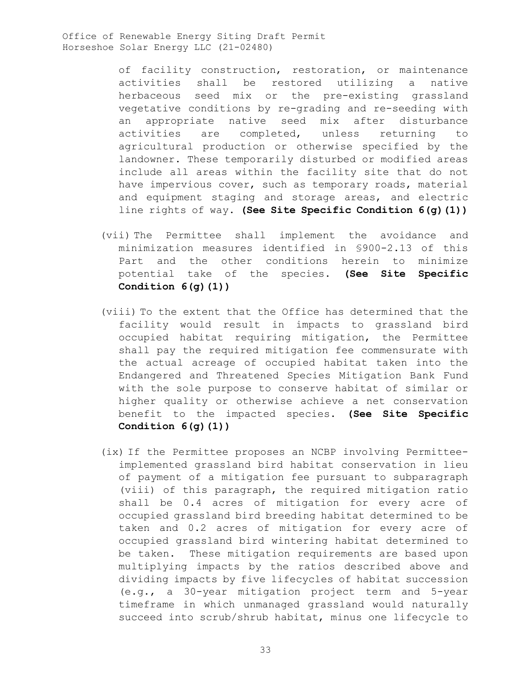> of facility construction, restoration, or maintenance activities shall be restored utilizing a native herbaceous seed mix or the pre-existing grassland vegetative conditions by re-grading and re-seeding with an appropriate native seed mix after disturbance<br>activities are completed, unless returning to are completed, unless returning to agricultural production or otherwise specified by the landowner. These temporarily disturbed or modified areas include all areas within the facility site that do not have impervious cover, such as temporary roads, material and equipment staging and storage areas, and electric line rights of way. **(See Site Specific Condition 6(g)(1))**

- (vii) The Permittee shall implement the avoidance and minimization measures identified in §900-2.13 of this Part and the other conditions herein to minimize potential take of the species. **(See Site Specific Condition 6(g)(1))**
- (viii) To the extent that the Office has determined that the facility would result in impacts to grassland bird occupied habitat requiring mitigation, the Permittee shall pay the required mitigation fee commensurate with the actual acreage of occupied habitat taken into the Endangered and Threatened Species Mitigation Bank Fund with the sole purpose to conserve habitat of similar or higher quality or otherwise achieve a net conservation benefit to the impacted species. **(See Site Specific Condition 6(g)(1))**
- (ix) If the Permittee proposes an NCBP involving Permitteeimplemented grassland bird habitat conservation in lieu of payment of a mitigation fee pursuant to subparagraph (viii) of this paragraph, the required mitigation ratio shall be 0.4 acres of mitigation for every acre of occupied grassland bird breeding habitat determined to be taken and 0.2 acres of mitigation for every acre of occupied grassland bird wintering habitat determined to be taken. These mitigation requirements are based upon multiplying impacts by the ratios described above and dividing impacts by five lifecycles of habitat succession (e.g., a 30-year mitigation project term and 5-year timeframe in which unmanaged grassland would naturally succeed into scrub/shrub habitat, minus one lifecycle to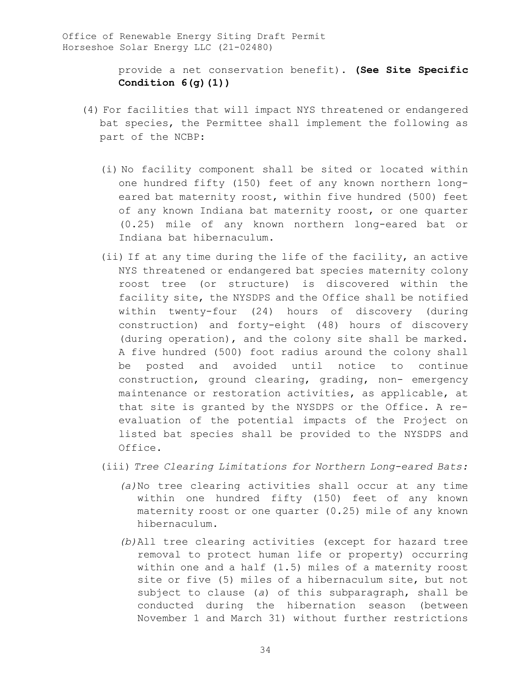> provide a net conservation benefit). **(See Site Specific Condition 6(g)(1))**

- (4) For facilities that will impact NYS threatened or endangered bat species, the Permittee shall implement the following as part of the NCBP:
	- (i) No facility component shall be sited or located within one hundred fifty (150) feet of any known northern longeared bat maternity roost, within five hundred (500) feet of any known Indiana bat maternity roost, or one quarter (0.25) mile of any known northern long-eared bat or Indiana bat hibernaculum.
	- (ii) If at any time during the life of the facility, an active NYS threatened or endangered bat species maternity colony roost tree (or structure) is discovered within the facility site, the NYSDPS and the Office shall be notified within twenty-four (24) hours of discovery (during construction) and forty-eight (48) hours of discovery (during operation), and the colony site shall be marked. A five hundred (500) foot radius around the colony shall be posted and avoided until notice to continue construction, ground clearing, grading, non- emergency maintenance or restoration activities, as applicable, at that site is granted by the NYSDPS or the Office. A reevaluation of the potential impacts of the Project on listed bat species shall be provided to the NYSDPS and Office.

(iii) *Tree Clearing Limitations for Northern Long-eared Bats:* 

- *(a)*No tree clearing activities shall occur at any time within one hundred fifty (150) feet of any known maternity roost or one quarter (0.25) mile of any known hibernaculum.
- *(b)*All tree clearing activities (except for hazard tree removal to protect human life or property) occurring within one and a half (1.5) miles of a maternity roost site or five (5) miles of a hibernaculum site, but not subject to clause (*a*) of this subparagraph, shall be conducted during the hibernation season (between November 1 and March 31) without further restrictions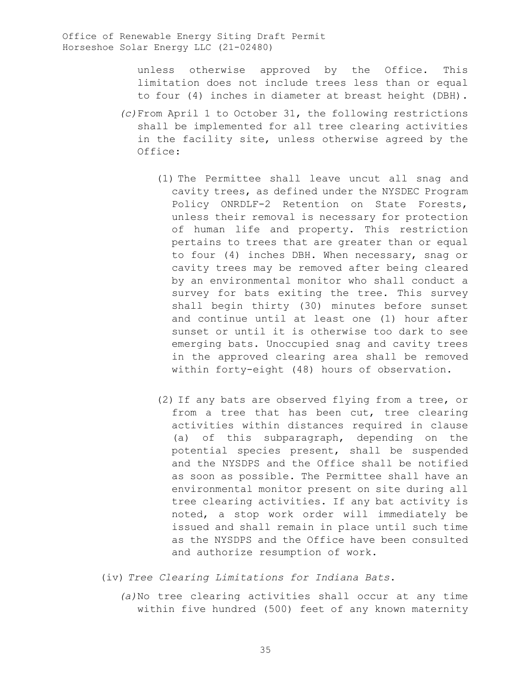unless otherwise approved by the Office. This limitation does not include trees less than or equal to four (4) inches in diameter at breast height (DBH).

- *(c)*From April 1 to October 31, the following restrictions shall be implemented for all tree clearing activities in the facility site, unless otherwise agreed by the Office:
	- (1) The Permittee shall leave uncut all snag and cavity trees, as defined under the NYSDEC Program Policy ONRDLF-2 Retention on State Forests, unless their removal is necessary for protection of human life and property. This restriction pertains to trees that are greater than or equal to four (4) inches DBH. When necessary, snag or cavity trees may be removed after being cleared by an environmental monitor who shall conduct a survey for bats exiting the tree. This survey shall begin thirty (30) minutes before sunset and continue until at least one (1) hour after sunset or until it is otherwise too dark to see emerging bats. Unoccupied snag and cavity trees in the approved clearing area shall be removed within forty-eight (48) hours of observation.
	- (2) If any bats are observed flying from a tree, or from a tree that has been cut, tree clearing activities within distances required in clause (a) of this subparagraph, depending on the potential species present, shall be suspended and the NYSDPS and the Office shall be notified as soon as possible. The Permittee shall have an environmental monitor present on site during all tree clearing activities. If any bat activity is noted, a stop work order will immediately be issued and shall remain in place until such time as the NYSDPS and the Office have been consulted and authorize resumption of work.
- (iv) *Tree Clearing Limitations for Indiana Bats*.
	- *(a)*No tree clearing activities shall occur at any time within five hundred (500) feet of any known maternity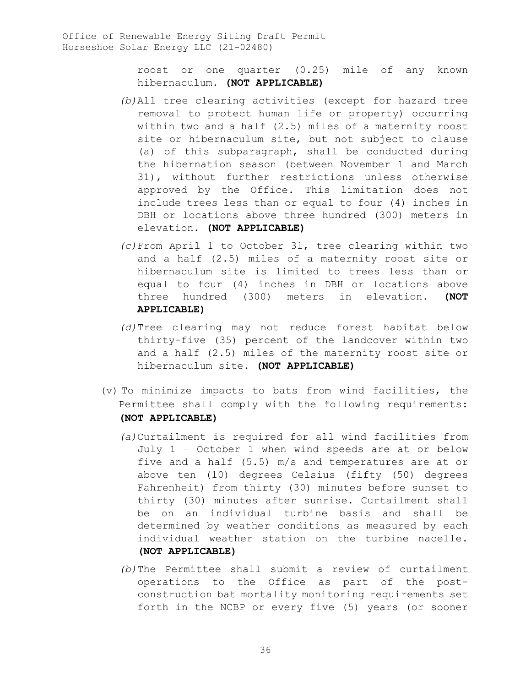roost or one quarter (0.25) mile of any known hibernaculum. **(NOT APPLICABLE)**

- *(b)*All tree clearing activities (except for hazard tree removal to protect human life or property) occurring within two and a half (2.5) miles of a maternity roost site or hibernaculum site, but not subject to clause (a) of this subparagraph, shall be conducted during the hibernation season (between November 1 and March 31), without further restrictions unless otherwise approved by the Office. This limitation does not include trees less than or equal to four (4) inches in DBH or locations above three hundred (300) meters in elevation. **(NOT APPLICABLE)**
- *(c)*From April 1 to October 31, tree clearing within two and a half (2.5) miles of a maternity roost site or hibernaculum site is limited to trees less than or equal to four (4) inches in DBH or locations above three hundred (300) meters in elevation. **(NOT APPLICABLE)**
- *(d)*Tree clearing may not reduce forest habitat below thirty-five (35) percent of the landcover within two and a half (2.5) miles of the maternity roost site or hibernaculum site. **(NOT APPLICABLE)**
- (v) To minimize impacts to bats from wind facilities, the Permittee shall comply with the following requirements: **(NOT APPLICABLE)**
	- *(a)*Curtailment is required for all wind facilities from July 1 – October 1 when wind speeds are at or below five and a half (5.5) m/s and temperatures are at or above ten (10) degrees Celsius (fifty (50) degrees Fahrenheit) from thirty (30) minutes before sunset to thirty (30) minutes after sunrise. Curtailment shall be on an individual turbine basis and shall be determined by weather conditions as measured by each individual weather station on the turbine nacelle. **(NOT APPLICABLE)**
	- *(b)*The Permittee shall submit a review of curtailment operations to the Office as part of the postconstruction bat mortality monitoring requirements set forth in the NCBP or every five (5) years (or sooner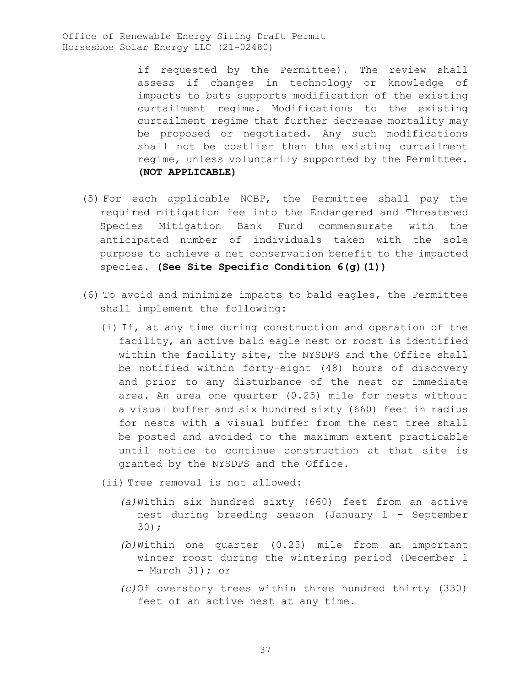> if requested by the Permittee). The review shall assess if changes in technology or knowledge of impacts to bats supports modification of the existing curtailment regime. Modifications to the existing curtailment regime that further decrease mortality may be proposed or negotiated. Any such modifications shall not be costlier than the existing curtailment regime, unless voluntarily supported by the Permittee. **(NOT APPLICABLE)**

- (5) For each applicable NCBP, the Permittee shall pay the required mitigation fee into the Endangered and Threatened Species Mitigation Bank Fund commensurate with the anticipated number of individuals taken with the sole purpose to achieve a net conservation benefit to the impacted species. **(See Site Specific Condition 6(g)(1))**
- (6) To avoid and minimize impacts to bald eagles, the Permittee shall implement the following:
	- (i) If, at any time during construction and operation of the facility, an active bald eagle nest or roost is identified within the facility site, the NYSDPS and the Office shall be notified within forty-eight (48) hours of discovery and prior to any disturbance of the nest or immediate area. An area one quarter (0.25) mile for nests without a visual buffer and six hundred sixty (660) feet in radius for nests with a visual buffer from the nest tree shall be posted and avoided to the maximum extent practicable until notice to continue construction at that site is granted by the NYSDPS and the Office.

(ii) Tree removal is not allowed:

- *(a)*Within six hundred sixty (660) feet from an active nest during breeding season (January 1 – September 30);
- *(b)*Within one quarter (0.25) mile from an important winter roost during the wintering period (December 1 – March 31); or
- *(c)*Of overstory trees within three hundred thirty (330) feet of an active nest at any time.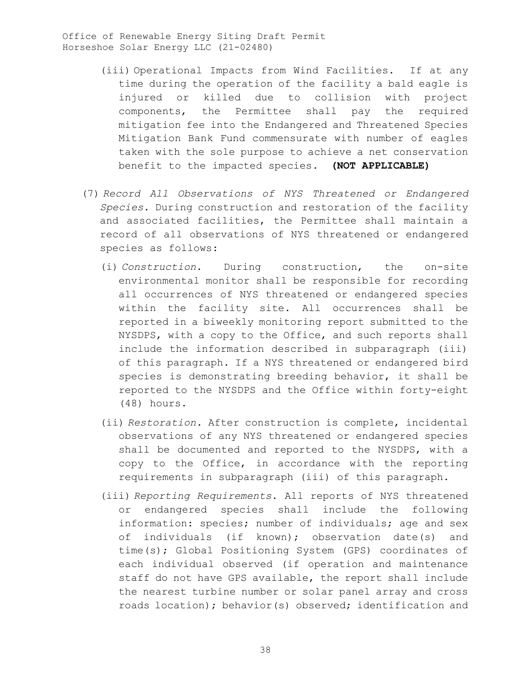- (iii) Operational Impacts from Wind Facilities. If at any time during the operation of the facility a bald eagle is injured or killed due to collision with project components, the Permittee shall pay the required mitigation fee into the Endangered and Threatened Species Mitigation Bank Fund commensurate with number of eagles taken with the sole purpose to achieve a net conservation benefit to the impacted species*.* **(NOT APPLICABLE)**
- (7) *Record All Observations of NYS Threatened or Endangered Species*. During construction and restoration of the facility and associated facilities, the Permittee shall maintain a record of all observations of NYS threatened or endangered species as follows:
	- (i) *Construction*. During construction, the on-site environmental monitor shall be responsible for recording all occurrences of NYS threatened or endangered species within the facility site. All occurrences shall be reported in a biweekly monitoring report submitted to the NYSDPS, with a copy to the Office, and such reports shall include the information described in subparagraph (iii) of this paragraph. If a NYS threatened or endangered bird species is demonstrating breeding behavior, it shall be reported to the NYSDPS and the Office within forty-eight (48) hours.
	- (ii) *Restoration.* After construction is complete, incidental observations of any NYS threatened or endangered species shall be documented and reported to the NYSDPS, with a copy to the Office, in accordance with the reporting requirements in subparagraph (iii) of this paragraph.
	- (iii) *Reporting Requirements*. All reports of NYS threatened or endangered species shall include the following information: species; number of individuals; age and sex of individuals (if known); observation date(s) and time(s); Global Positioning System (GPS) coordinates of each individual observed (if operation and maintenance staff do not have GPS available, the report shall include the nearest turbine number or solar panel array and cross roads location); behavior(s) observed; identification and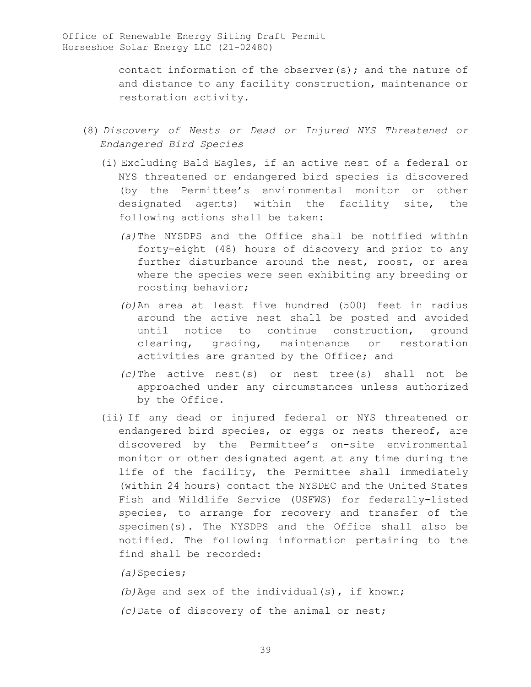contact information of the observer(s); and the nature of and distance to any facility construction, maintenance or restoration activity.

- (8) *Discovery of Nests or Dead or Injured NYS Threatened or Endangered Bird Species* 
	- (i) Excluding Bald Eagles, if an active nest of a federal or NYS threatened or endangered bird species is discovered (by the Permittee's environmental monitor or other designated agents) within the facility site, the following actions shall be taken:
		- *(a)*The NYSDPS and the Office shall be notified within forty-eight (48) hours of discovery and prior to any further disturbance around the nest, roost, or area where the species were seen exhibiting any breeding or roosting behavior;
		- *(b)*An area at least five hundred (500) feet in radius around the active nest shall be posted and avoided until notice to continue construction, ground clearing, grading, maintenance or restoration activities are granted by the Office; and
		- *(c)*The active nest(s) or nest tree(s) shall not be approached under any circumstances unless authorized by the Office.
	- (ii) If any dead or injured federal or NYS threatened or endangered bird species, or eggs or nests thereof, are discovered by the Permittee's on-site environmental monitor or other designated agent at any time during the life of the facility, the Permittee shall immediately (within 24 hours) contact the NYSDEC and the United States Fish and Wildlife Service (USFWS) for federally-listed species, to arrange for recovery and transfer of the specimen(s). The NYSDPS and the Office shall also be notified. The following information pertaining to the find shall be recorded:

*(a)*Species;

*(b)*Age and sex of the individual(s), if known; *(c)*Date of discovery of the animal or nest;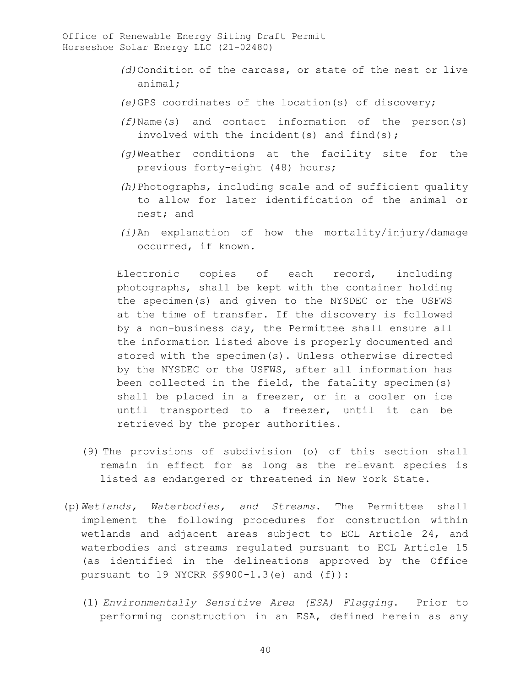- *(d)*Condition of the carcass, or state of the nest or live animal;
- *(e)*GPS coordinates of the location(s) of discovery;
- *(f)*Name(s) and contact information of the person(s) involved with the incident(s) and find(s);
- *(g)*Weather conditions at the facility site for the previous forty-eight (48) hours;
- *(h)*Photographs, including scale and of sufficient quality to allow for later identification of the animal or nest; and
- *(i)*An explanation of how the mortality/injury/damage occurred, if known.

Electronic copies of each record, including photographs, shall be kept with the container holding the specimen(s) and given to the NYSDEC or the USFWS at the time of transfer. If the discovery is followed by a non-business day, the Permittee shall ensure all the information listed above is properly documented and stored with the specimen(s). Unless otherwise directed by the NYSDEC or the USFWS, after all information has been collected in the field, the fatality specimen(s) shall be placed in a freezer, or in a cooler on ice until transported to a freezer, until it can be retrieved by the proper authorities.

- (9) The provisions of subdivision (o) of this section shall remain in effect for as long as the relevant species is listed as endangered or threatened in New York State.
- (p)*Wetlands, Waterbodies, and Streams*. The Permittee shall implement the following procedures for construction within wetlands and adjacent areas subject to ECL Article 24, and waterbodies and streams regulated pursuant to ECL Article 15 (as identified in the delineations approved by the Office pursuant to 19 NYCRR §§900-1.3(e) and (f)):
	- (1) *Environmentally Sensitive Area (ESA) Flagging*. Prior to performing construction in an ESA, defined herein as any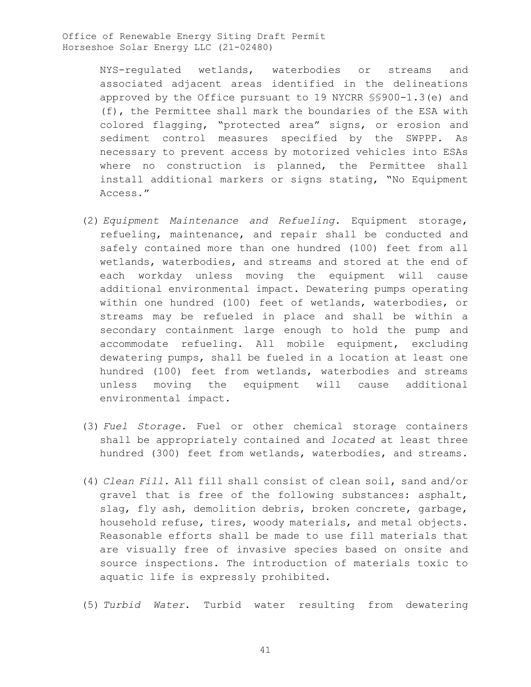> NYS-regulated wetlands, waterbodies or streams and associated adjacent areas identified in the delineations approved by the Office pursuant to 19 NYCRR §§900-1.3(e) and (f), the Permittee shall mark the boundaries of the ESA with colored flagging, "protected area" signs, or erosion and sediment control measures specified by the SWPPP. As necessary to prevent access by motorized vehicles into ESAs where no construction is planned, the Permittee shall install additional markers or signs stating, "No Equipment Access."

- (2) *Equipment Maintenance and Refueling.* Equipment storage, refueling, maintenance, and repair shall be conducted and safely contained more than one hundred (100) feet from all wetlands, waterbodies, and streams and stored at the end of each workday unless moving the equipment will cause additional environmental impact. Dewatering pumps operating within one hundred (100) feet of wetlands, waterbodies, or streams may be refueled in place and shall be within a secondary containment large enough to hold the pump and accommodate refueling. All mobile equipment, excluding dewatering pumps, shall be fueled in a location at least one hundred (100) feet from wetlands, waterbodies and streams unless moving the equipment will cause additional environmental impact.
- (3) *Fuel Storage.* Fuel or other chemical storage containers shall be appropriately contained and *located* at least three hundred (300) feet from wetlands, waterbodies, and streams.
- (4) *Clean Fill.* All fill shall consist of clean soil, sand and/or gravel that is free of the following substances: asphalt, slag, fly ash, demolition debris, broken concrete, garbage, household refuse, tires, woody materials, and metal objects. Reasonable efforts shall be made to use fill materials that are visually free of invasive species based on onsite and source inspections. The introduction of materials toxic to aquatic life is expressly prohibited.
- (5) *Turbid Water*. Turbid water resulting from dewatering

41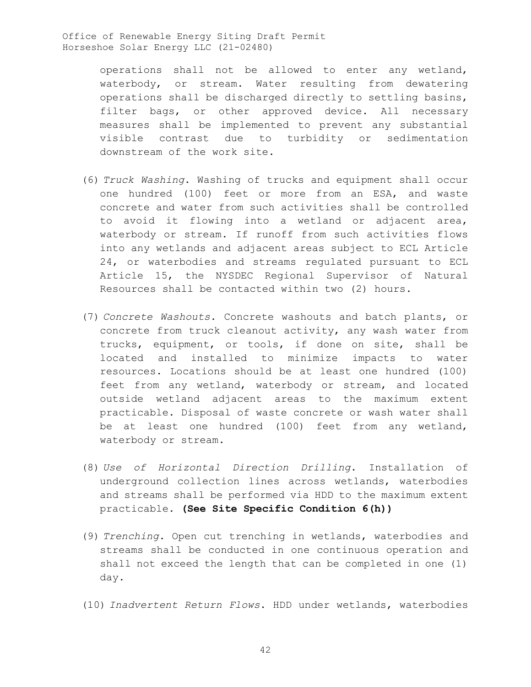> operations shall not be allowed to enter any wetland, waterbody, or stream. Water resulting from dewatering operations shall be discharged directly to settling basins, filter bags, or other approved device. All necessary measures shall be implemented to prevent any substantial visible contrast due to turbidity or sedimentation downstream of the work site.

- (6) *Truck Washing*. Washing of trucks and equipment shall occur one hundred (100) feet or more from an ESA, and waste concrete and water from such activities shall be controlled to avoid it flowing into a wetland or adjacent area, waterbody or stream. If runoff from such activities flows into any wetlands and adjacent areas subject to ECL Article 24, or waterbodies and streams regulated pursuant to ECL Article 15, the NYSDEC Regional Supervisor of Natural Resources shall be contacted within two (2) hours.
- (7) *Concrete Washouts*. Concrete washouts and batch plants, or concrete from truck cleanout activity, any wash water from trucks, equipment, or tools, if done on site, shall be located and installed to minimize impacts to water resources. Locations should be at least one hundred (100) feet from any wetland, waterbody or stream, and located outside wetland adjacent areas to the maximum extent practicable. Disposal of waste concrete or wash water shall be at least one hundred (100) feet from any wetland, waterbody or stream.
- (8) *Use of Horizontal Direction Drilling*. Installation of underground collection lines across wetlands, waterbodies and streams shall be performed via HDD to the maximum extent practicable. **(See Site Specific Condition 6(h))**
- (9) *Trenching*. Open cut trenching in wetlands, waterbodies and streams shall be conducted in one continuous operation and shall not exceed the length that can be completed in one (1) day.
- (10) *Inadvertent Return Flows*. HDD under wetlands, waterbodies

42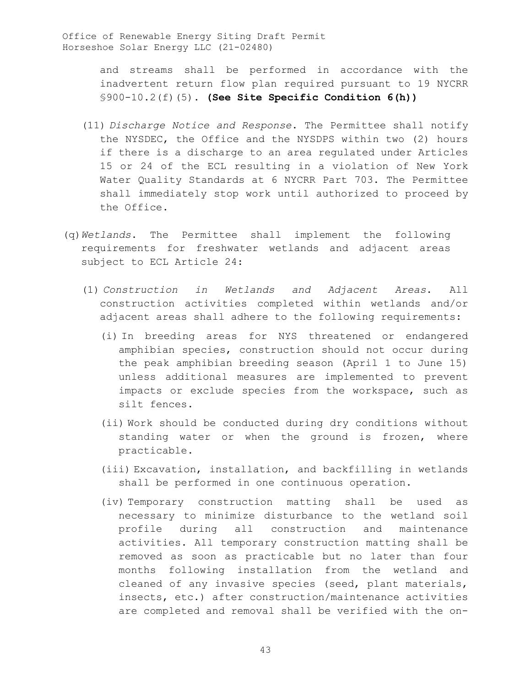> and streams shall be performed in accordance with the inadvertent return flow plan required pursuant to 19 NYCRR §900-10.2(f)(5). **(See Site Specific Condition 6(h))**

- (11) *Discharge Notice and Response*. The Permittee shall notify the NYSDEC, the Office and the NYSDPS within two (2) hours if there is a discharge to an area regulated under Articles 15 or 24 of the ECL resulting in a violation of New York Water Quality Standards at 6 NYCRR Part 703. The Permittee shall immediately stop work until authorized to proceed by the Office.
- (q)*Wetlands*. The Permittee shall implement the following requirements for freshwater wetlands and adjacent areas subject to ECL Article 24:
	- (1) *Construction in Wetlands and Adjacent Areas*. All construction activities completed within wetlands and/or adjacent areas shall adhere to the following requirements:
		- (i) In breeding areas for NYS threatened or endangered amphibian species, construction should not occur during the peak amphibian breeding season (April 1 to June 15) unless additional measures are implemented to prevent impacts or exclude species from the workspace, such as silt fences.
		- (ii) Work should be conducted during dry conditions without standing water or when the ground is frozen, where practicable.
		- (iii) Excavation, installation, and backfilling in wetlands shall be performed in one continuous operation.
		- (iv) Temporary construction matting shall be used as necessary to minimize disturbance to the wetland soil profile during all construction and maintenance activities. All temporary construction matting shall be removed as soon as practicable but no later than four months following installation from the wetland and cleaned of any invasive species (seed, plant materials, insects, etc.) after construction/maintenance activities are completed and removal shall be verified with the on-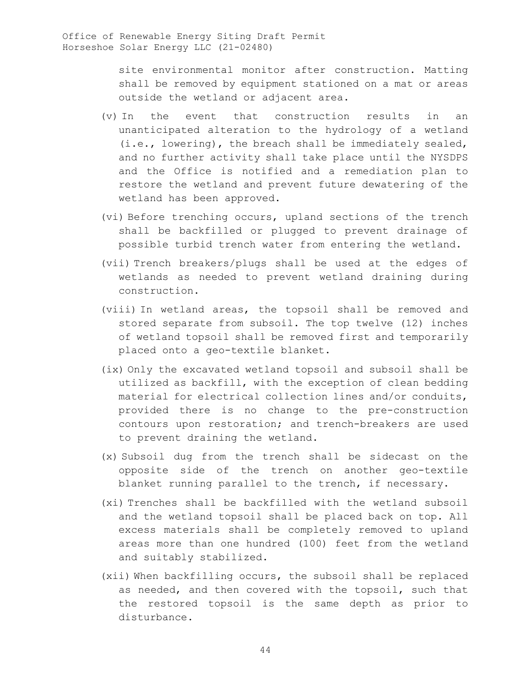site environmental monitor after construction. Matting shall be removed by equipment stationed on a mat or areas outside the wetland or adjacent area.

- (v) In the event that construction results in an unanticipated alteration to the hydrology of a wetland (i.e., lowering), the breach shall be immediately sealed, and no further activity shall take place until the NYSDPS and the Office is notified and a remediation plan to restore the wetland and prevent future dewatering of the wetland has been approved.
- (vi) Before trenching occurs, upland sections of the trench shall be backfilled or plugged to prevent drainage of possible turbid trench water from entering the wetland.
- (vii) Trench breakers/plugs shall be used at the edges of wetlands as needed to prevent wetland draining during construction.
- (viii) In wetland areas, the topsoil shall be removed and stored separate from subsoil. The top twelve (12) inches of wetland topsoil shall be removed first and temporarily placed onto a geo-textile blanket.
- (ix) Only the excavated wetland topsoil and subsoil shall be utilized as backfill, with the exception of clean bedding material for electrical collection lines and/or conduits, provided there is no change to the pre-construction contours upon restoration; and trench-breakers are used to prevent draining the wetland.
- (x) Subsoil dug from the trench shall be sidecast on the opposite side of the trench on another geo-textile blanket running parallel to the trench, if necessary.
- (xi) Trenches shall be backfilled with the wetland subsoil and the wetland topsoil shall be placed back on top. All excess materials shall be completely removed to upland areas more than one hundred (100) feet from the wetland and suitably stabilized.
- (xii) When backfilling occurs, the subsoil shall be replaced as needed, and then covered with the topsoil, such that the restored topsoil is the same depth as prior to disturbance.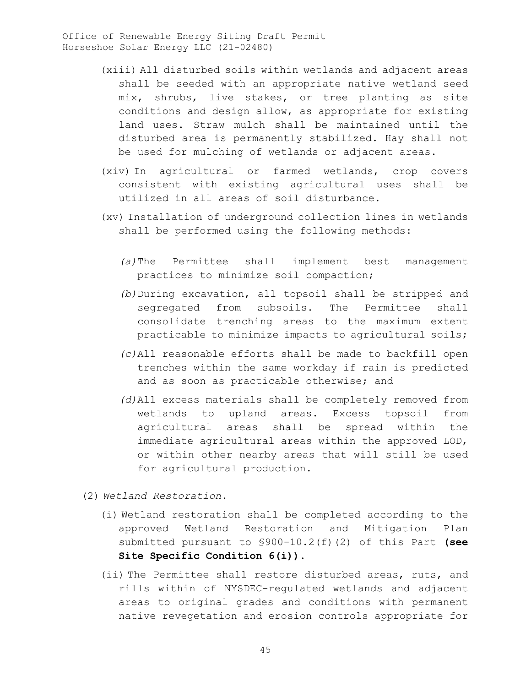- (xiii) All disturbed soils within wetlands and adjacent areas shall be seeded with an appropriate native wetland seed mix, shrubs, live stakes, or tree planting as site conditions and design allow, as appropriate for existing land uses. Straw mulch shall be maintained until the disturbed area is permanently stabilized. Hay shall not be used for mulching of wetlands or adjacent areas.
- (xiv) In agricultural or farmed wetlands, crop covers consistent with existing agricultural uses shall be utilized in all areas of soil disturbance.
- (xv) Installation of underground collection lines in wetlands shall be performed using the following methods:
	- *(a)*The Permittee shall implement best management practices to minimize soil compaction;
	- *(b)*During excavation, all topsoil shall be stripped and segregated from subsoils. The Permittee shall consolidate trenching areas to the maximum extent practicable to minimize impacts to agricultural soils;
	- *(c)*All reasonable efforts shall be made to backfill open trenches within the same workday if rain is predicted and as soon as practicable otherwise; and
	- *(d)*All excess materials shall be completely removed from wetlands to upland areas. Excess topsoil from agricultural areas shall be spread within the immediate agricultural areas within the approved LOD, or within other nearby areas that will still be used for agricultural production.
- (2) *Wetland Restoration.* 
	- (i) Wetland restoration shall be completed according to the approved Wetland Restoration and Mitigation Plan submitted pursuant to §900-10.2(f)(2) of this Part **(see Site Specific Condition 6(i))**.
	- (ii) The Permittee shall restore disturbed areas, ruts, and rills within of NYSDEC-regulated wetlands and adjacent areas to original grades and conditions with permanent native revegetation and erosion controls appropriate for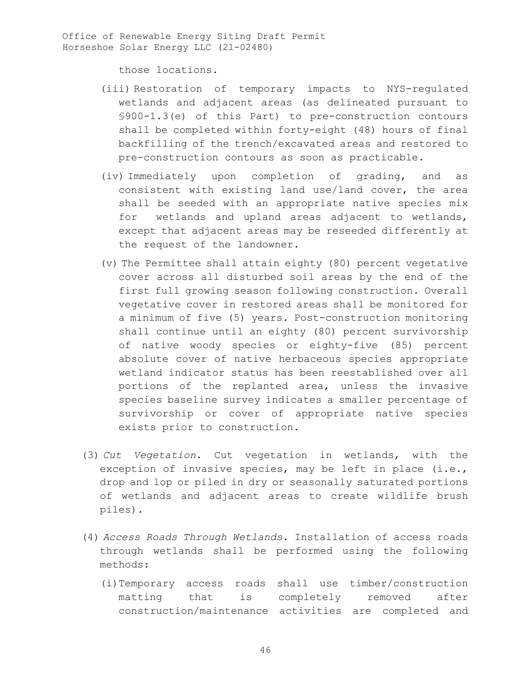those locations.

- (iii) Restoration of temporary impacts to NYS-regulated wetlands and adjacent areas (as delineated pursuant to §900-1.3(e) of this Part) to pre-construction contours shall be completed within forty-eight (48) hours of final backfilling of the trench/excavated areas and restored to pre-construction contours as soon as practicable.
- (iv) Immediately upon completion of grading, and as consistent with existing land use/land cover, the area shall be seeded with an appropriate native species mix for wetlands and upland areas adjacent to wetlands, except that adjacent areas may be reseeded differently at the request of the landowner.
- (v) The Permittee shall attain eighty (80) percent vegetative cover across all disturbed soil areas by the end of the first full growing season following construction. Overall vegetative cover in restored areas shall be monitored for a minimum of five (5) years. Post-construction monitoring shall continue until an eighty (80) percent survivorship of native woody species or eighty-five (85) percent absolute cover of native herbaceous species appropriate wetland indicator status has been reestablished over all portions of the replanted area, unless the invasive species baseline survey indicates a smaller percentage of survivorship or cover of appropriate native species exists prior to construction.
- (3) *Cut Vegetation*. Cut vegetation in wetlands, with the exception of invasive species, may be left in place (i.e., drop and lop or piled in dry or seasonally saturated portions of wetlands and adjacent areas to create wildlife brush piles).
- (4) *Access Roads Through Wetlands*. Installation of access roads through wetlands shall be performed using the following methods:
	- (i)Temporary access roads shall use timber/construction matting that is completely removed after construction/maintenance activities are completed and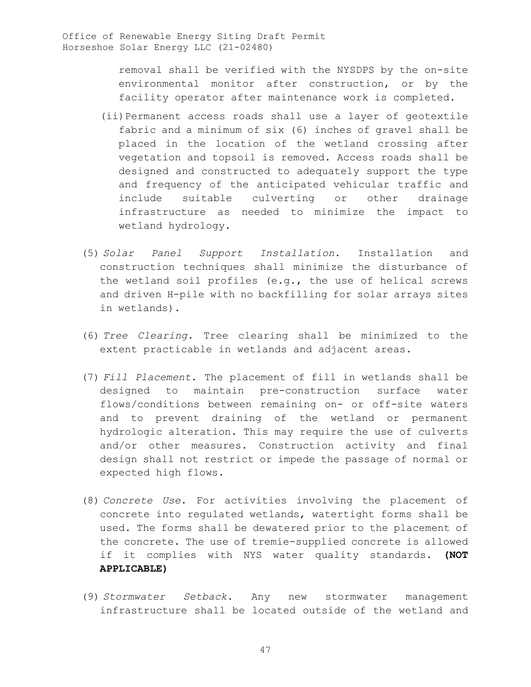removal shall be verified with the NYSDPS by the on-site environmental monitor after construction, or by the facility operator after maintenance work is completed.

- (ii)Permanent access roads shall use a layer of geotextile fabric and a minimum of six (6) inches of gravel shall be placed in the location of the wetland crossing after vegetation and topsoil is removed. Access roads shall be designed and constructed to adequately support the type and frequency of the anticipated vehicular traffic and include suitable culverting or other drainage infrastructure as needed to minimize the impact to wetland hydrology.
- (5) *Solar Panel Support Installation*. Installation and construction techniques shall minimize the disturbance of the wetland soil profiles (e.g., the use of helical screws and driven H-pile with no backfilling for solar arrays sites in wetlands).
- (6) *Tree Clearing*. Tree clearing shall be minimized to the extent practicable in wetlands and adjacent areas.
- (7) *Fill Placement*. The placement of fill in wetlands shall be designed to maintain pre-construction surface water flows/conditions between remaining on- or off-site waters and to prevent draining of the wetland or permanent hydrologic alteration. This may require the use of culverts and/or other measures. Construction activity and final design shall not restrict or impede the passage of normal or expected high flows.
- (8) *Concrete Use*. For activities involving the placement of concrete into regulated wetlands, watertight forms shall be used. The forms shall be dewatered prior to the placement of the concrete. The use of tremie-supplied concrete is allowed if it complies with NYS water quality standards. **(NOT APPLICABLE)**
- (9) *Stormwater Setback*. Any new stormwater management infrastructure shall be located outside of the wetland and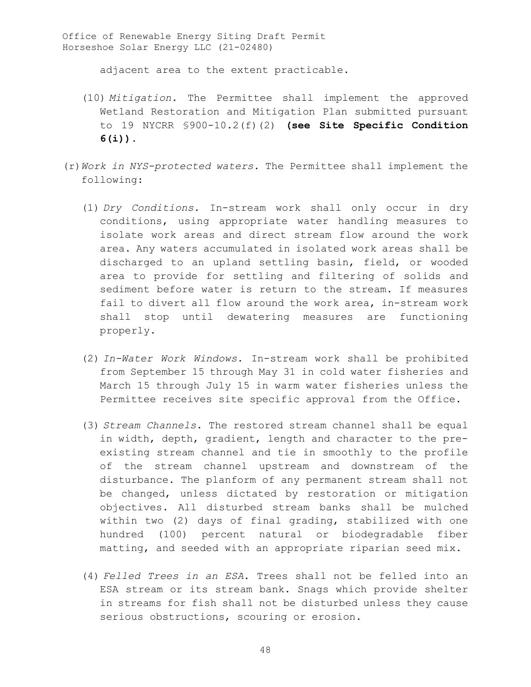adjacent area to the extent practicable.

- (10) *Mitigation*. The Permittee shall implement the approved Wetland Restoration and Mitigation Plan submitted pursuant to 19 NYCRR §900-10.2(f)(2) **(see Site Specific Condition 6(i))**.
- (r)*Work in NYS-protected waters*. The Permittee shall implement the following:
	- (1) *Dry Conditions.* In-stream work shall only occur in dry conditions, using appropriate water handling measures to isolate work areas and direct stream flow around the work area. Any waters accumulated in isolated work areas shall be discharged to an upland settling basin, field, or wooded area to provide for settling and filtering of solids and sediment before water is return to the stream. If measures fail to divert all flow around the work area, in-stream work shall stop until dewatering measures are functioning properly.
	- (2) *In-Water Work Windows.* In-stream work shall be prohibited from September 15 through May 31 in cold water fisheries and March 15 through July 15 in warm water fisheries unless the Permittee receives site specific approval from the Office.
	- (3) *Stream Channels*. The restored stream channel shall be equal in width, depth, gradient, length and character to the preexisting stream channel and tie in smoothly to the profile of the stream channel upstream and downstream of the disturbance. The planform of any permanent stream shall not be changed, unless dictated by restoration or mitigation objectives. All disturbed stream banks shall be mulched within two (2) days of final grading, stabilized with one hundred (100) percent natural or biodegradable fiber matting, and seeded with an appropriate riparian seed mix.
	- (4) *Felled Trees in an ESA*. Trees shall not be felled into an ESA stream or its stream bank. Snags which provide shelter in streams for fish shall not be disturbed unless they cause serious obstructions, scouring or erosion.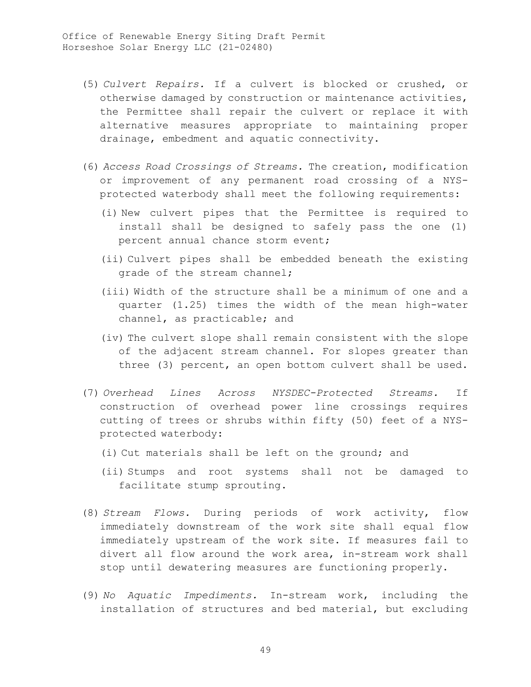- (5) *Culvert Repairs.* If a culvert is blocked or crushed, or otherwise damaged by construction or maintenance activities, the Permittee shall repair the culvert or replace it with alternative measures appropriate to maintaining proper drainage, embedment and aquatic connectivity.
- (6) *Access Road Crossings of Streams.* The creation, modification or improvement of any permanent road crossing of a NYSprotected waterbody shall meet the following requirements:
	- (i) New culvert pipes that the Permittee is required to install shall be designed to safely pass the one (1) percent annual chance storm event;
	- (ii) Culvert pipes shall be embedded beneath the existing grade of the stream channel;
	- (iii) Width of the structure shall be a minimum of one and a quarter (1.25) times the width of the mean high-water channel, as practicable; and
	- (iv) The culvert slope shall remain consistent with the slope of the adjacent stream channel. For slopes greater than three (3) percent, an open bottom culvert shall be used.
- (7) *Overhead Lines Across NYSDEC-Protected Streams.* If construction of overhead power line crossings requires cutting of trees or shrubs within fifty (50) feet of a NYSprotected waterbody:
	- (i) Cut materials shall be left on the ground; and
	- (ii) Stumps and root systems shall not be damaged to facilitate stump sprouting.
- (8) *Stream Flows.* During periods of work activity, flow immediately downstream of the work site shall equal flow immediately upstream of the work site. If measures fail to divert all flow around the work area, in-stream work shall stop until dewatering measures are functioning properly.
- (9) *No Aquatic Impediments.* In-stream work, including the installation of structures and bed material, but excluding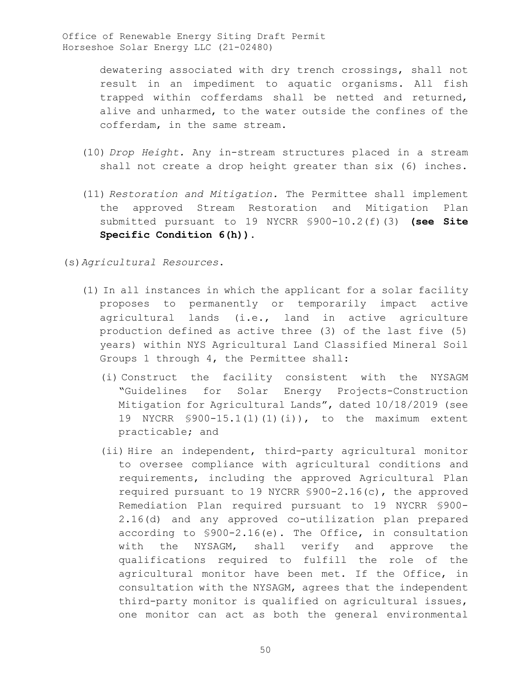> dewatering associated with dry trench crossings, shall not result in an impediment to aquatic organisms. All fish trapped within cofferdams shall be netted and returned, alive and unharmed, to the water outside the confines of the cofferdam, in the same stream.

- (10) *Drop Height.* Any in-stream structures placed in a stream shall not create a drop height greater than six (6) inches.
- (11) *Restoration and Mitigation.* The Permittee shall implement the approved Stream Restoration and Mitigation Plan submitted pursuant to 19 NYCRR §900-10.2(f)(3) **(see Site Specific Condition 6(h))**.

(s)*Agricultural Resources*.

- (1) In all instances in which the applicant for a solar facility proposes to permanently or temporarily impact active agricultural lands (i.e., land in active agriculture production defined as active three (3) of the last five (5) years) within NYS Agricultural Land Classified Mineral Soil Groups 1 through 4, the Permittee shall:
	- (i) Construct the facility consistent with the NYSAGM "Guidelines for Solar Energy Projects-Construction Mitigation for Agricultural Lands", dated 10/18/2019 (see 19 NYCRR §900-15.1(l)(1)(i)), to the maximum extent practicable; and
	- (ii) Hire an independent, third-party agricultural monitor to oversee compliance with agricultural conditions and requirements, including the approved Agricultural Plan required pursuant to 19 NYCRR §900-2.16(c), the approved Remediation Plan required pursuant to 19 NYCRR §900- 2.16(d) and any approved co-utilization plan prepared according to §900-2.16(e). The Office, in consultation with the NYSAGM, shall verify and approve the qualifications required to fulfill the role of the agricultural monitor have been met. If the Office, in consultation with the NYSAGM, agrees that the independent third-party monitor is qualified on agricultural issues, one monitor can act as both the general environmental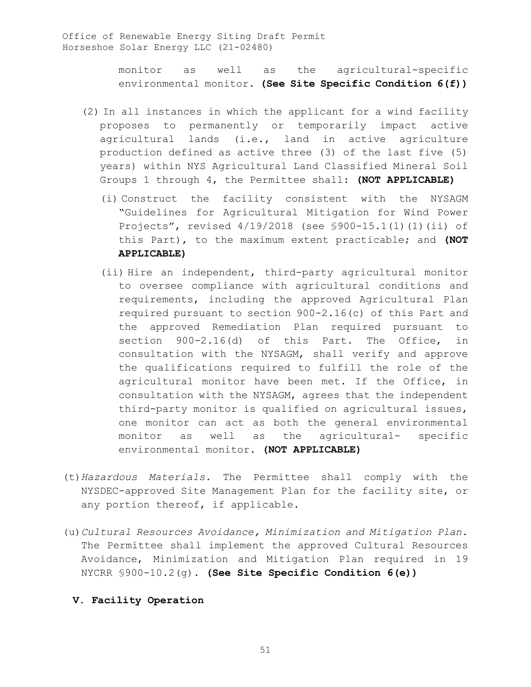monitor as well as the agricultural-specific environmental monitor. **(See Site Specific Condition 6(f))**

- (2) In all instances in which the applicant for a wind facility proposes to permanently or temporarily impact active agricultural lands (i.e., land in active agriculture production defined as active three (3) of the last five (5) years) within NYS Agricultural Land Classified Mineral Soil Groups 1 through 4, the Permittee shall: **(NOT APPLICABLE)**
	- (i) Construct the facility consistent with the NYSAGM "Guidelines for Agricultural Mitigation for Wind Power Projects", revised 4/19/2018 (see §900-15.1(l)(1)(ii) of this Part), to the maximum extent practicable; and **(NOT APPLICABLE)**
	- (ii) Hire an independent, third-party agricultural monitor to oversee compliance with agricultural conditions and requirements, including the approved Agricultural Plan required pursuant to section 900-2.16(c) of this Part and the approved Remediation Plan required pursuant to section 900-2.16(d) of this Part. The Office, in consultation with the NYSAGM, shall verify and approve the qualifications required to fulfill the role of the agricultural monitor have been met. If the Office, in consultation with the NYSAGM, agrees that the independent third-party monitor is qualified on agricultural issues, one monitor can act as both the general environmental monitor as well as the agricultural- specific environmental monitor. **(NOT APPLICABLE)**
- (t)*Hazardous Materials.* The Permittee shall comply with the NYSDEC-approved Site Management Plan for the facility site, or any portion thereof, if applicable.
- (u)*Cultural Resources Avoidance, Minimization and Mitigation Plan*. The Permittee shall implement the approved Cultural Resources Avoidance, Minimization and Mitigation Plan required in 19 NYCRR §900-10.2(g). **(See Site Specific Condition 6(e))**

# **V. Facility Operation**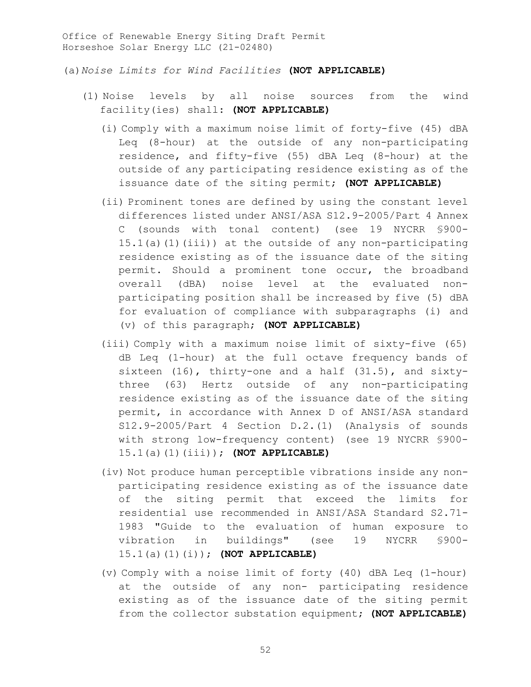(a)*Noise Limits for Wind Facilities* **(NOT APPLICABLE)**

- (1) Noise levels by all noise sources from the wind facility(ies) shall: **(NOT APPLICABLE)**
	- (i) Comply with a maximum noise limit of forty-five (45) dBA Leq (8-hour) at the outside of any non-participating residence, and fifty-five (55) dBA Leq (8-hour) at the outside of any participating residence existing as of the issuance date of the siting permit; **(NOT APPLICABLE)**
	- (ii) Prominent tones are defined by using the constant level differences listed under ANSI/ASA S12.9-2005/Part 4 Annex C (sounds with tonal content) (see 19 NYCRR §900- 15.1(a)(1)(iii)) at the outside of any non-participating residence existing as of the issuance date of the siting permit. Should a prominent tone occur, the broadband overall (dBA) noise level at the evaluated nonparticipating position shall be increased by five (5) dBA for evaluation of compliance with subparagraphs (i) and (v) of this paragraph; **(NOT APPLICABLE)**
	- (iii) Comply with a maximum noise limit of sixty-five (65) dB Leq (1-hour) at the full octave frequency bands of sixteen (16), thirty-one and a half (31.5), and sixtythree (63) Hertz outside of any non-participating residence existing as of the issuance date of the siting permit, in accordance with Annex D of ANSI/ASA standard S12.9-2005/Part 4 Section D.2.(1) (Analysis of sounds with strong low-frequency content) (see 19 NYCRR §900- 15.1(a)(1)(iii)); **(NOT APPLICABLE)**
	- (iv) Not produce human perceptible vibrations inside any nonparticipating residence existing as of the issuance date of the siting permit that exceed the limits for residential use recommended in ANSI/ASA Standard S2.71- 1983 "Guide to the evaluation of human exposure to vibration in buildings" (see 19 NYCRR §900- 15.1(a)(1)(i)); **(NOT APPLICABLE)**
	- (v) Comply with a noise limit of forty (40) dBA Leq (1-hour) at the outside of any non- participating residence existing as of the issuance date of the siting permit from the collector substation equipment; **(NOT APPLICABLE)**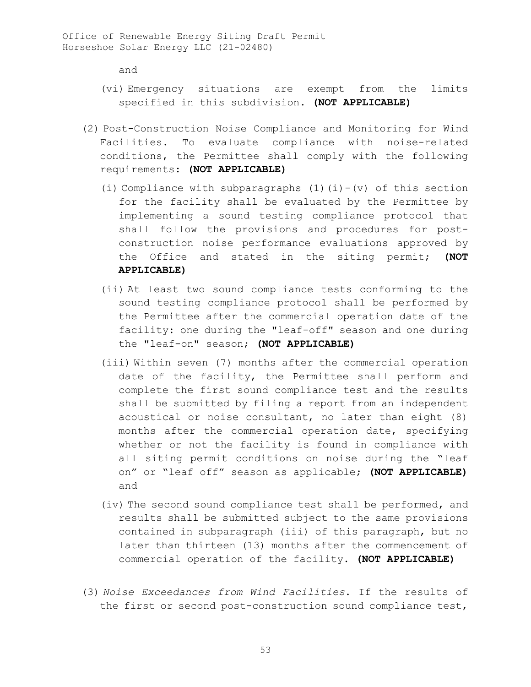and

- (vi) Emergency situations are exempt from the limits specified in this subdivision. **(NOT APPLICABLE)**
- (2) Post-Construction Noise Compliance and Monitoring for Wind Facilities. To evaluate compliance with noise-related conditions, the Permittee shall comply with the following requirements: **(NOT APPLICABLE)**
	- (i) Compliance with subparagraphs  $(1)(i)-(v)$  of this section for the facility shall be evaluated by the Permittee by implementing a sound testing compliance protocol that shall follow the provisions and procedures for postconstruction noise performance evaluations approved by the Office and stated in the siting permit; **(NOT APPLICABLE)**
	- (ii) At least two sound compliance tests conforming to the sound testing compliance protocol shall be performed by the Permittee after the commercial operation date of the facility: one during the "leaf-off" season and one during the "leaf-on" season; **(NOT APPLICABLE)**
	- (iii) Within seven (7) months after the commercial operation date of the facility, the Permittee shall perform and complete the first sound compliance test and the results shall be submitted by filing a report from an independent acoustical or noise consultant, no later than eight (8) months after the commercial operation date, specifying whether or not the facility is found in compliance with all siting permit conditions on noise during the "leaf on" or "leaf off" season as applicable; **(NOT APPLICABLE)**  and
	- (iv) The second sound compliance test shall be performed, and results shall be submitted subject to the same provisions contained in subparagraph (iii) of this paragraph, but no later than thirteen (13) months after the commencement of commercial operation of the facility. **(NOT APPLICABLE)**
- (3) *Noise Exceedances from Wind Facilities*. If the results of the first or second post-construction sound compliance test,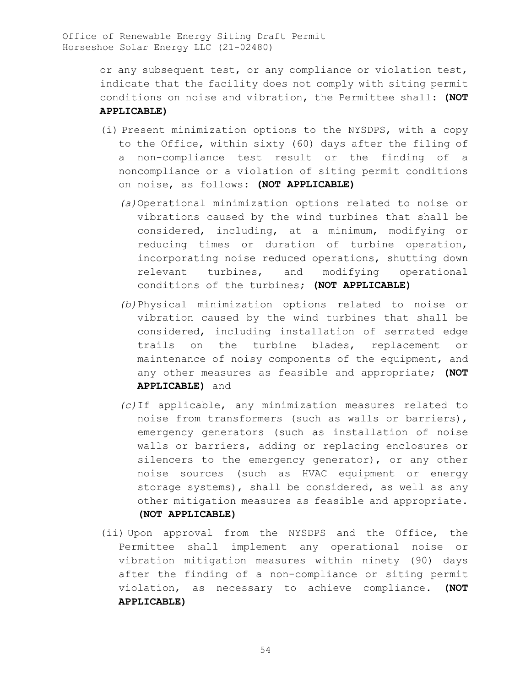> or any subsequent test, or any compliance or violation test, indicate that the facility does not comply with siting permit conditions on noise and vibration, the Permittee shall: **(NOT APPLICABLE)**

- (i) Present minimization options to the NYSDPS, with a copy to the Office, within sixty (60) days after the filing of a non-compliance test result or the finding of a noncompliance or a violation of siting permit conditions on noise, as follows: **(NOT APPLICABLE)**
	- *(a)*Operational minimization options related to noise or vibrations caused by the wind turbines that shall be considered, including, at a minimum, modifying or reducing times or duration of turbine operation, incorporating noise reduced operations, shutting down relevant turbines, and modifying operational conditions of the turbines; **(NOT APPLICABLE)**
	- *(b)*Physical minimization options related to noise or vibration caused by the wind turbines that shall be considered, including installation of serrated edge trails on the turbine blades, replacement or maintenance of noisy components of the equipment, and any other measures as feasible and appropriate; **(NOT APPLICABLE)** and
	- *(c)*If applicable, any minimization measures related to noise from transformers (such as walls or barriers), emergency generators (such as installation of noise walls or barriers, adding or replacing enclosures or silencers to the emergency generator), or any other noise sources (such as HVAC equipment or energy storage systems), shall be considered, as well as any other mitigation measures as feasible and appropriate. **(NOT APPLICABLE)**
- (ii) Upon approval from the NYSDPS and the Office, the Permittee shall implement any operational noise or vibration mitigation measures within ninety (90) days after the finding of a non-compliance or siting permit violation, as necessary to achieve compliance. **(NOT APPLICABLE)**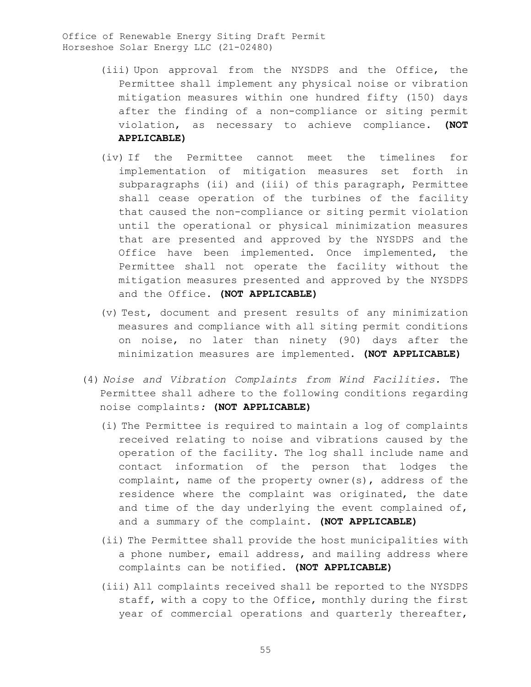- (iii) Upon approval from the NYSDPS and the Office, the Permittee shall implement any physical noise or vibration mitigation measures within one hundred fifty (150) days after the finding of a non-compliance or siting permit violation, as necessary to achieve compliance. **(NOT APPLICABLE)**
- (iv) If the Permittee cannot meet the timelines for implementation of mitigation measures set forth in subparagraphs (ii) and (iii) of this paragraph, Permittee shall cease operation of the turbines of the facility that caused the non-compliance or siting permit violation until the operational or physical minimization measures that are presented and approved by the NYSDPS and the Office have been implemented. Once implemented, the Permittee shall not operate the facility without the mitigation measures presented and approved by the NYSDPS and the Office. **(NOT APPLICABLE)**
- (v) Test, document and present results of any minimization measures and compliance with all siting permit conditions on noise, no later than ninety (90) days after the minimization measures are implemented. **(NOT APPLICABLE)**
- (4) *Noise and Vibration Complaints from Wind Facilities.* The Permittee shall adhere to the following conditions regarding noise complaints*:* **(NOT APPLICABLE)**
	- (i) The Permittee is required to maintain a log of complaints received relating to noise and vibrations caused by the operation of the facility. The log shall include name and contact information of the person that lodges the complaint, name of the property owner(s), address of the residence where the complaint was originated, the date and time of the day underlying the event complained of, and a summary of the complaint. **(NOT APPLICABLE)**
	- (ii) The Permittee shall provide the host municipalities with a phone number, email address, and mailing address where complaints can be notified. **(NOT APPLICABLE)**
	- (iii) All complaints received shall be reported to the NYSDPS staff, with a copy to the Office, monthly during the first year of commercial operations and quarterly thereafter,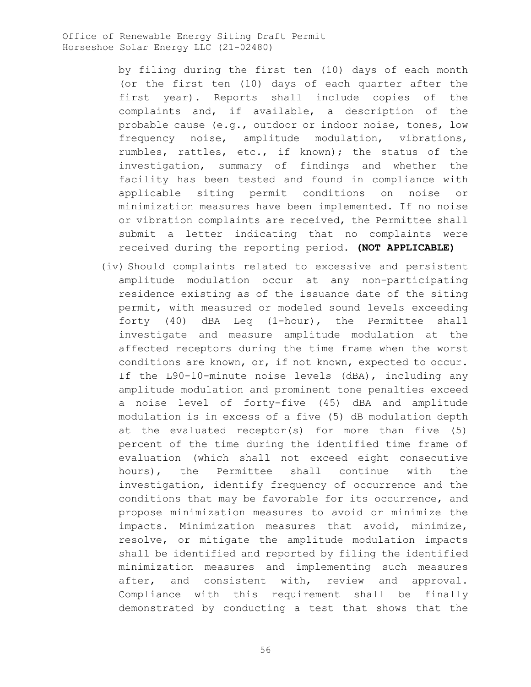> by filing during the first ten (10) days of each month (or the first ten (10) days of each quarter after the first year). Reports shall include copies of the complaints and, if available, a description of the probable cause (e.g., outdoor or indoor noise, tones, low frequency noise, amplitude modulation, vibrations, rumbles, rattles, etc., if known); the status of the investigation, summary of findings and whether the facility has been tested and found in compliance with applicable siting permit conditions on noise or minimization measures have been implemented. If no noise or vibration complaints are received, the Permittee shall submit a letter indicating that no complaints were received during the reporting period. **(NOT APPLICABLE)**

(iv) Should complaints related to excessive and persistent amplitude modulation occur at any non-participating residence existing as of the issuance date of the siting permit, with measured or modeled sound levels exceeding forty (40) dBA Leq (1-hour), the Permittee shall investigate and measure amplitude modulation at the affected receptors during the time frame when the worst conditions are known, or, if not known, expected to occur. If the L90-10-minute noise levels (dBA), including any amplitude modulation and prominent tone penalties exceed a noise level of forty-five (45) dBA and amplitude modulation is in excess of a five (5) dB modulation depth at the evaluated receptor(s) for more than five (5) percent of the time during the identified time frame of evaluation (which shall not exceed eight consecutive hours), the Permittee shall continue with the investigation, identify frequency of occurrence and the conditions that may be favorable for its occurrence, and propose minimization measures to avoid or minimize the impacts. Minimization measures that avoid, minimize, resolve, or mitigate the amplitude modulation impacts shall be identified and reported by filing the identified minimization measures and implementing such measures after, and consistent with, review and approval. Compliance with this requirement shall be finally demonstrated by conducting a test that shows that the

56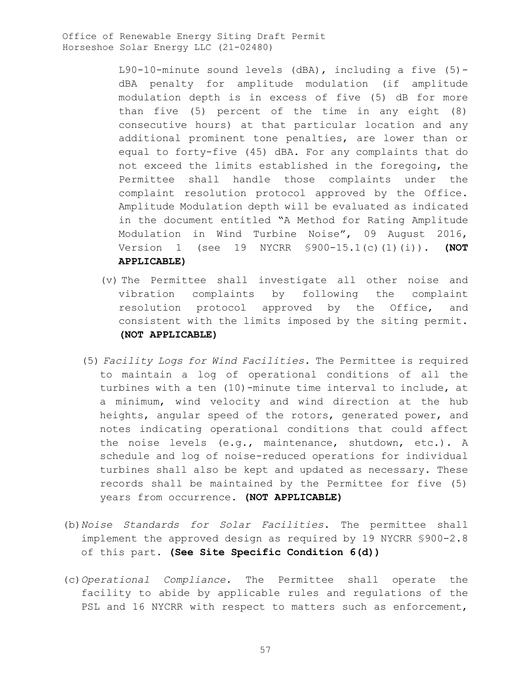> L90-10-minute sound levels (dBA), including a five (5) dBA penalty for amplitude modulation (if amplitude modulation depth is in excess of five (5) dB for more than five (5) percent of the time in any eight (8) consecutive hours) at that particular location and any additional prominent tone penalties, are lower than or equal to forty-five (45) dBA. For any complaints that do not exceed the limits established in the foregoing, the Permittee shall handle those complaints under the complaint resolution protocol approved by the Office. Amplitude Modulation depth will be evaluated as indicated in the document entitled "A Method for Rating Amplitude Modulation in Wind Turbine Noise", 09 August 2016, Version 1 (see 19 NYCRR §900-15.1(c)(1)(i)). **(NOT APPLICABLE)**

- (v) The Permittee shall investigate all other noise and vibration complaints by following the complaint resolution protocol approved by the Office, and consistent with the limits imposed by the siting permit. **(NOT APPLICABLE)**
- (5) *Facility Logs for Wind Facilities.* The Permittee is required to maintain a log of operational conditions of all the turbines with a ten (10)-minute time interval to include, at a minimum, wind velocity and wind direction at the hub heights, angular speed of the rotors, generated power, and notes indicating operational conditions that could affect the noise levels (e.g., maintenance, shutdown, etc.). A schedule and log of noise-reduced operations for individual turbines shall also be kept and updated as necessary. These records shall be maintained by the Permittee for five (5) years from occurrence. **(NOT APPLICABLE)**
- (b)*Noise Standards for Solar Facilities*. The permittee shall implement the approved design as required by 19 NYCRR §900-2.8 of this part. **(See Site Specific Condition 6(d))**
- (c)*Operational Compliance*. The Permittee shall operate the facility to abide by applicable rules and regulations of the PSL and 16 NYCRR with respect to matters such as enforcement,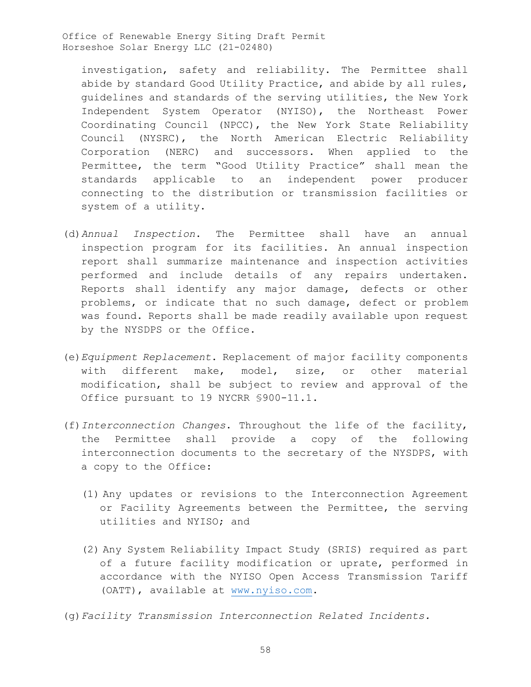investigation, safety and reliability. The Permittee shall abide by standard Good Utility Practice, and abide by all rules, guidelines and standards of the serving utilities, the New York Independent System Operator (NYISO), the Northeast Power Coordinating Council (NPCC), the New York State Reliability Council (NYSRC), the North American Electric Reliability Corporation (NERC) and successors. When applied to the Permittee, the term "Good Utility Practice" shall mean the standards applicable to an independent power producer connecting to the distribution or transmission facilities or system of a utility.

- (d)*Annual Inspection*. The Permittee shall have an annual inspection program for its facilities. An annual inspection report shall summarize maintenance and inspection activities performed and include details of any repairs undertaken. Reports shall identify any major damage, defects or other problems, or indicate that no such damage, defect or problem was found. Reports shall be made readily available upon request by the NYSDPS or the Office.
- (e)*Equipment Replacement*. Replacement of major facility components with different make, model, size, or other material modification, shall be subject to review and approval of the Office pursuant to 19 NYCRR §900-11.1.
- (f)*Interconnection Changes*. Throughout the life of the facility, the Permittee shall provide a copy of the following interconnection documents to the secretary of the NYSDPS, with a copy to the Office:
	- (1) Any updates or revisions to the Interconnection Agreement or Facility Agreements between the Permittee, the serving utilities and NYISO; and
	- (2) Any System Reliability Impact Study (SRIS) required as part of a future facility modification or uprate, performed in accordance with the NYISO Open Access Transmission Tariff (OATT), available at www.nyiso.com.
- (g)*Facility Transmission Interconnection Related Incidents.*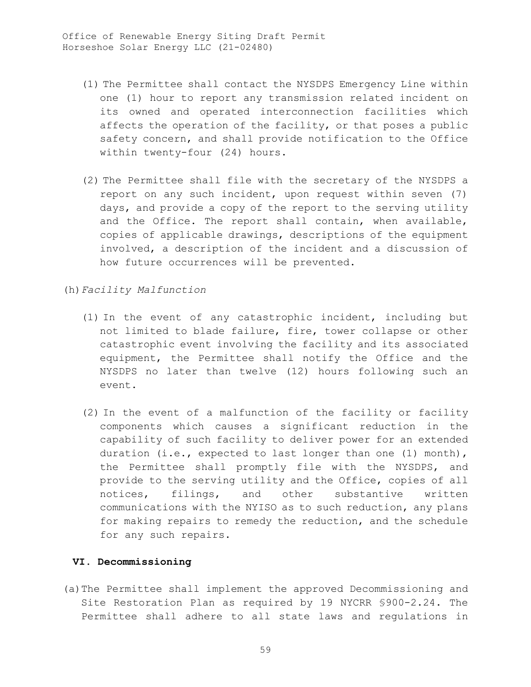- (1) The Permittee shall contact the NYSDPS Emergency Line within one (1) hour to report any transmission related incident on its owned and operated interconnection facilities which affects the operation of the facility, or that poses a public safety concern, and shall provide notification to the Office within twenty-four (24) hours.
- (2) The Permittee shall file with the secretary of the NYSDPS a report on any such incident, upon request within seven (7) days, and provide a copy of the report to the serving utility and the Office. The report shall contain, when available, copies of applicable drawings, descriptions of the equipment involved, a description of the incident and a discussion of how future occurrences will be prevented.

(h)*Facility Malfunction* 

- (1) In the event of any catastrophic incident, including but not limited to blade failure, fire, tower collapse or other catastrophic event involving the facility and its associated equipment, the Permittee shall notify the Office and the NYSDPS no later than twelve (12) hours following such an event.
- (2) In the event of a malfunction of the facility or facility components which causes a significant reduction in the capability of such facility to deliver power for an extended duration (i.e., expected to last longer than one (1) month), the Permittee shall promptly file with the NYSDPS, and provide to the serving utility and the Office, copies of all notices, filings, and other substantive written communications with the NYISO as to such reduction, any plans for making repairs to remedy the reduction, and the schedule for any such repairs.

### **VI. Decommissioning**

(a)The Permittee shall implement the approved Decommissioning and Site Restoration Plan as required by 19 NYCRR §900-2.24. The Permittee shall adhere to all state laws and regulations in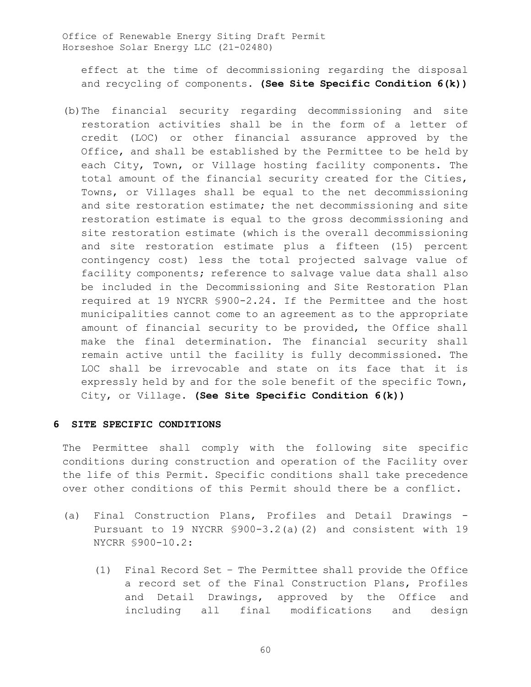effect at the time of decommissioning regarding the disposal and recycling of components**. (See Site Specific Condition 6(k))**

(b)The financial security regarding decommissioning and site restoration activities shall be in the form of a letter of credit (LOC) or other financial assurance approved by the Office, and shall be established by the Permittee to be held by each City, Town, or Village hosting facility components. The total amount of the financial security created for the Cities, Towns, or Villages shall be equal to the net decommissioning and site restoration estimate; the net decommissioning and site restoration estimate is equal to the gross decommissioning and site restoration estimate (which is the overall decommissioning and site restoration estimate plus a fifteen (15) percent contingency cost) less the total projected salvage value of facility components; reference to salvage value data shall also be included in the Decommissioning and Site Restoration Plan required at 19 NYCRR §900-2.24. If the Permittee and the host municipalities cannot come to an agreement as to the appropriate amount of financial security to be provided, the Office shall make the final determination. The financial security shall remain active until the facility is fully decommissioned. The LOC shall be irrevocable and state on its face that it is expressly held by and for the sole benefit of the specific Town, City, or Village. **(See Site Specific Condition 6(k))**

### **6 SITE SPECIFIC CONDITIONS**

The Permittee shall comply with the following site specific conditions during construction and operation of the Facility over the life of this Permit. Specific conditions shall take precedence over other conditions of this Permit should there be a conflict.

- (a) Final Construction Plans, Profiles and Detail Drawings Pursuant to 19 NYCRR §900-3.2(a)(2) and consistent with 19 NYCRR §900-10.2:
	- (1) Final Record Set The Permittee shall provide the Office a record set of the Final Construction Plans, Profiles and Detail Drawings, approved by the Office and including all final modifications and design

60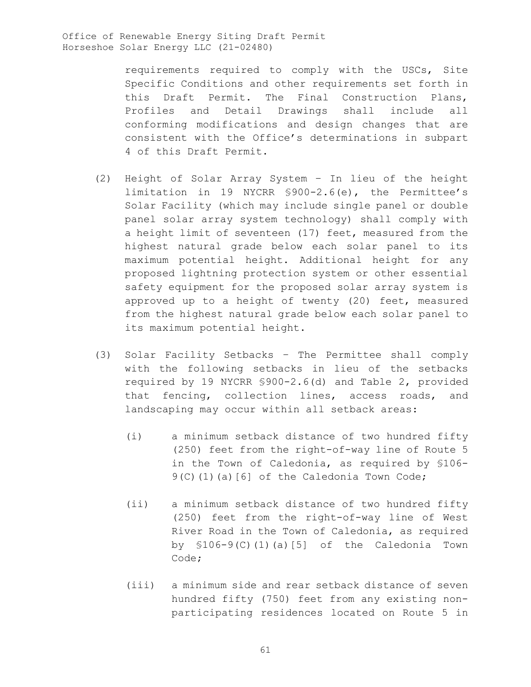requirements required to comply with the USCs, Site Specific Conditions and other requirements set forth in this Draft Permit. The Final Construction Plans, Profiles and Detail Drawings shall include all conforming modifications and design changes that are consistent with the Office's determinations in subpart 4 of this Draft Permit.

- (2) Height of Solar Array System In lieu of the height limitation in 19 NYCRR §900-2.6(e), the Permittee's Solar Facility (which may include single panel or double panel solar array system technology) shall comply with a height limit of seventeen (17) feet, measured from the highest natural grade below each solar panel to its maximum potential height. Additional height for any proposed lightning protection system or other essential safety equipment for the proposed solar array system is approved up to a height of twenty (20) feet, measured from the highest natural grade below each solar panel to its maximum potential height.
- (3) Solar Facility Setbacks The Permittee shall comply with the following setbacks in lieu of the setbacks required by 19 NYCRR §900-2.6(d) and Table 2, provided that fencing, collection lines, access roads, and landscaping may occur within all setback areas:
	- (i) a minimum setback distance of two hundred fifty (250) feet from the right-of-way line of Route 5 in the Town of Caledonia, as required by §106- 9(C)(1)(a)[6] of the Caledonia Town Code;
	- (ii) a minimum setback distance of two hundred fifty (250) feet from the right-of-way line of West River Road in the Town of Caledonia, as required by  $$106-9(C)(1)(a)[5]$  of the Caledonia Town Code;
	- (iii) a minimum side and rear setback distance of seven hundred fifty (750) feet from any existing nonparticipating residences located on Route 5 in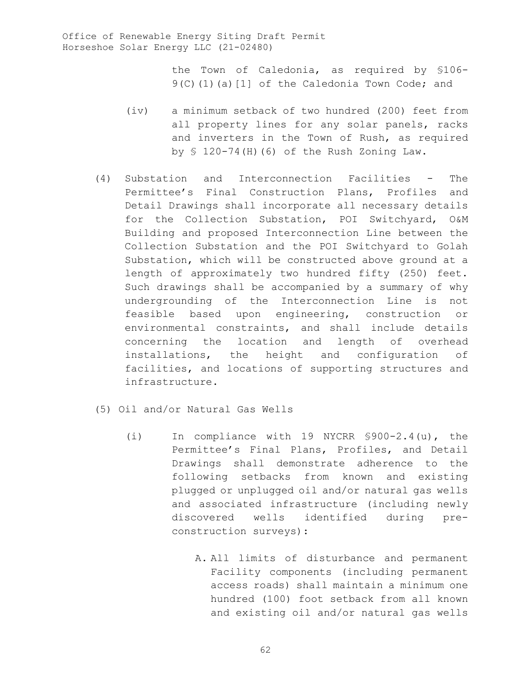the Town of Caledonia, as required by §106- 9(C)(1)(a)[1] of the Caledonia Town Code; and

- (iv) a minimum setback of two hundred (200) feet from all property lines for any solar panels, racks and inverters in the Town of Rush, as required by § 120-74(H)(6) of the Rush Zoning Law.
- (4) Substation and Interconnection Facilities The Permittee's Final Construction Plans, Profiles and Detail Drawings shall incorporate all necessary details for the Collection Substation, POI Switchyard, O&M Building and proposed Interconnection Line between the Collection Substation and the POI Switchyard to Golah Substation, which will be constructed above ground at a length of approximately two hundred fifty (250) feet. Such drawings shall be accompanied by a summary of why undergrounding of the Interconnection Line is not feasible based upon engineering, construction or environmental constraints, and shall include details concerning the location and length of overhead installations, the height and configuration of facilities, and locations of supporting structures and infrastructure.
- (5) Oil and/or Natural Gas Wells
	- (i) In compliance with 19 NYCRR §900-2.4(u), the Permittee's Final Plans, Profiles, and Detail Drawings shall demonstrate adherence to the following setbacks from known and existing plugged or unplugged oil and/or natural gas wells and associated infrastructure (including newly discovered wells identified during preconstruction surveys):
		- A. All limits of disturbance and permanent Facility components (including permanent access roads) shall maintain a minimum one hundred (100) foot setback from all known and existing oil and/or natural gas wells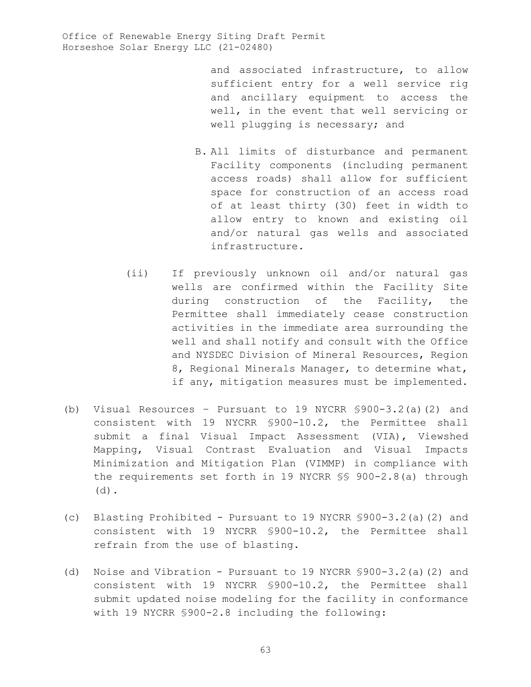and associated infrastructure, to allow sufficient entry for a well service rig and ancillary equipment to access the well, in the event that well servicing or well plugging is necessary; and

- B. All limits of disturbance and permanent Facility components (including permanent access roads) shall allow for sufficient space for construction of an access road of at least thirty (30) feet in width to allow entry to known and existing oil and/or natural gas wells and associated infrastructure.
- (ii) If previously unknown oil and/or natural gas wells are confirmed within the Facility Site during construction of the Facility, the Permittee shall immediately cease construction activities in the immediate area surrounding the well and shall notify and consult with the Office and NYSDEC Division of Mineral Resources, Region 8, Regional Minerals Manager, to determine what, if any, mitigation measures must be implemented.
- (b) Visual Resources Pursuant to 19 NYCRR §900-3.2(a)(2) and consistent with 19 NYCRR §900-10.2, the Permittee shall submit a final Visual Impact Assessment (VIA), Viewshed Mapping, Visual Contrast Evaluation and Visual Impacts Minimization and Mitigation Plan (VIMMP) in compliance with the requirements set forth in 19 NYCRR §§ 900-2.8(a) through (d).
- (c) Blasting Prohibited Pursuant to 19 NYCRR §900-3.2(a)(2) and consistent with 19 NYCRR §900-10.2, the Permittee shall refrain from the use of blasting.
- (d) Noise and Vibration Pursuant to 19 NYCRR §900-3.2(a)(2) and consistent with 19 NYCRR §900-10.2, the Permittee shall submit updated noise modeling for the facility in conformance with 19 NYCRR §900-2.8 including the following: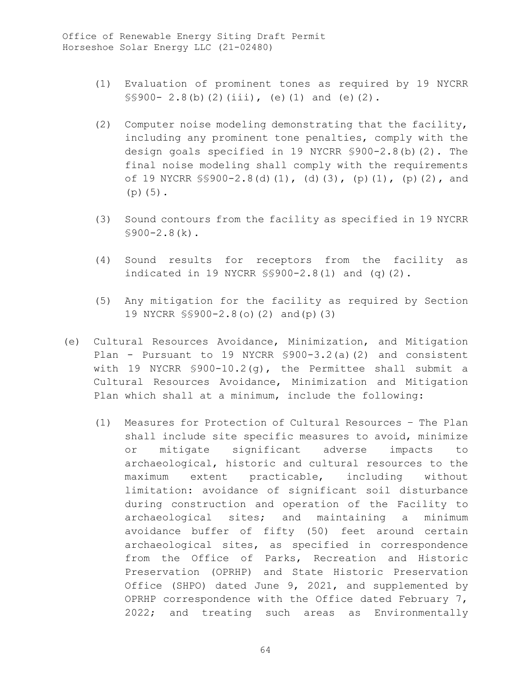- (1) Evaluation of prominent tones as required by 19 NYCRR  $$\$900-2.8(b)(2)(iii), (e)(1)$  and  $(e)(2)$ .
- (2) Computer noise modeling demonstrating that the facility, including any prominent tone penalties, comply with the design goals specified in 19 NYCRR §900-2.8(b)(2). The final noise modeling shall comply with the requirements of 19 NYCRR §§900-2.8(d)(1), (d)(3), (p)(1), (p)(2), and (p)(5).
- (3) Sound contours from the facility as specified in 19 NYCRR  $$900-2.8(k)$ .
- (4) Sound results for receptors from the facility as indicated in 19 NYCRR §§900-2.8(l) and (q)(2).
- (5) Any mitigation for the facility as required by Section 19 NYCRR §§900-2.8(o)(2) and(p)(3)
- (e) Cultural Resources Avoidance, Minimization, and Mitigation Plan - Pursuant to 19 NYCRR §900-3.2(a)(2) and consistent with 19 NYCRR §900-10.2(g), the Permittee shall submit a Cultural Resources Avoidance, Minimization and Mitigation Plan which shall at a minimum, include the following:
	- (1) Measures for Protection of Cultural Resources The Plan shall include site specific measures to avoid, minimize or mitigate significant adverse impacts to archaeological, historic and cultural resources to the maximum extent practicable, including without limitation: avoidance of significant soil disturbance during construction and operation of the Facility to archaeological sites; and maintaining a minimum avoidance buffer of fifty (50) feet around certain archaeological sites, as specified in correspondence from the Office of Parks, Recreation and Historic Preservation (OPRHP) and State Historic Preservation Office (SHPO) dated June 9, 2021, and supplemented by OPRHP correspondence with the Office dated February 7, 2022; and treating such areas as Environmentally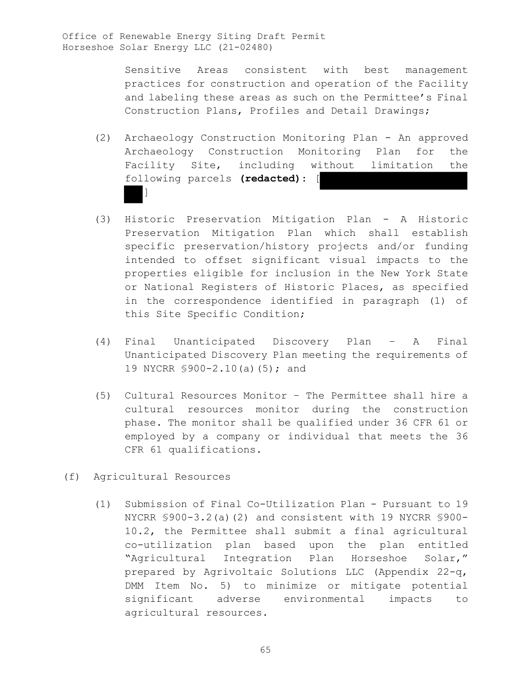Sensitive Areas consistent with best management practices for construction and operation of the Facility and labeling these areas as such on the Permittee's Final Construction Plans, Profiles and Detail Drawings;

- (2) Archaeology Construction Monitoring Plan An approved Archaeology Construction Monitoring Plan for the Facility Site, including without limitation the following parcels **(redacted)**: [  $\mathbf{I}$
- (3) Historic Preservation Mitigation Plan A Historic Preservation Mitigation Plan which shall establish specific preservation/history projects and/or funding intended to offset significant visual impacts to the properties eligible for inclusion in the New York State or National Registers of Historic Places, as specified in the correspondence identified in paragraph (1) of this Site Specific Condition;
- (4) Final Unanticipated Discovery Plan A Final Unanticipated Discovery Plan meeting the requirements of 19 NYCRR §900-2.10(a)(5); and
- (5) Cultural Resources Monitor The Permittee shall hire a cultural resources monitor during the construction phase. The monitor shall be qualified under 36 CFR 61 or employed by a company or individual that meets the 36 CFR 61 qualifications.
- (f) Agricultural Resources
	- (1) Submission of Final Co-Utilization Plan Pursuant to 19 NYCRR §900-3.2(a)(2) and consistent with 19 NYCRR §900- 10.2, the Permittee shall submit a final agricultural co-utilization plan based upon the plan entitled "Agricultural Integration Plan Horseshoe Solar," prepared by Agrivoltaic Solutions LLC (Appendix 22-q, DMM Item No. 5) to minimize or mitigate potential significant adverse environmental impacts to agricultural resources.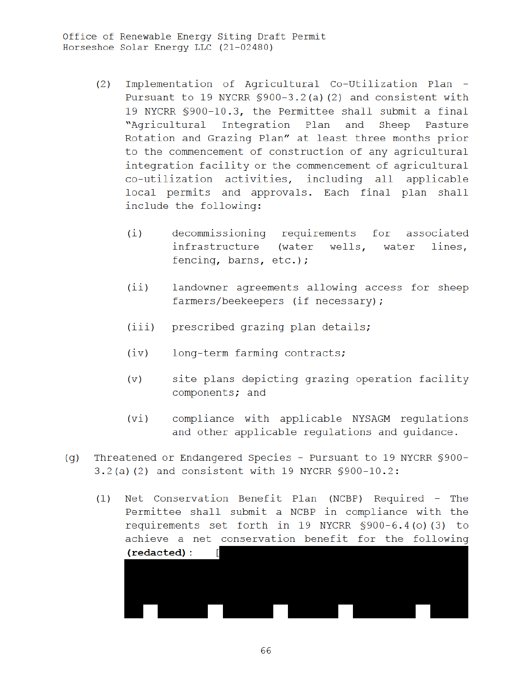- Implementation of Agricultural Co-Utilization Plan - $(2)$ Pursuant to 19 NYCRR \$900-3.2(a)(2) and consistent with 19 NYCRR \$900-10.3, the Permittee shall submit a final "Agricultural Integration Plan and Sheep Pasture Rotation and Grazing Plan" at least three months prior to the commencement of construction of any agricultural integration facility or the commencement of agricultural co-utilization activities, including all applicable local permits and approvals. Each final plan shall include the following:
	- decommissioning requirements for associated  $(i)$ infrastructure (water wells, water lines, fencing, barns, etc.);
	- $(iii)$ landowner agreements allowing access for sheep farmers/beekeepers (if necessary);
	- prescribed grazing plan details;  $(iii)$
	- $(iv)$ long-term farming contracts;
	- site plans depicting grazing operation facility  $(v)$ components; and
	- compliance with applicable NYSAGM requlations  $(vi)$ and other applicable regulations and guidance.
- Threatened or Endangered Species Pursuant to 19 NYCRR \$900- $(q)$ 3.2(a)(2) and consistent with 19 NYCRR \$900-10.2:
	- (1) Net Conservation Benefit Plan (NCBP) Required The Permittee shall submit a NCBP in compliance with the requirements set forth in 19 NYCRR \$900-6.4(o)(3) to achieve a net conservation benefit for the following (redacted):



66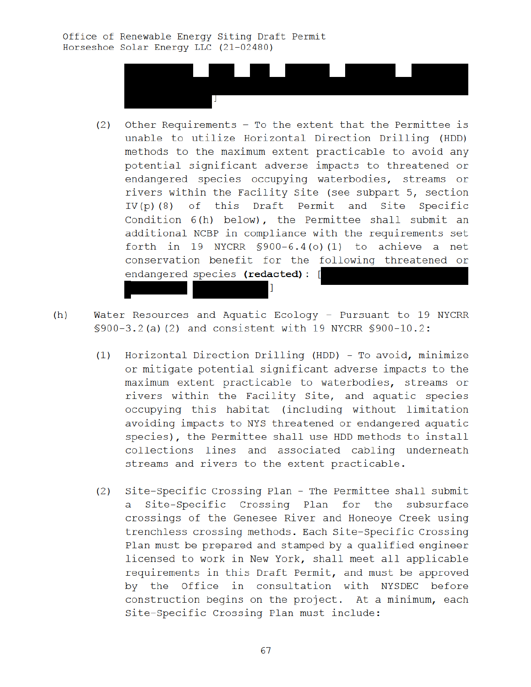

- $(2)$ Other Requirements - To the extent that the Permittee is unable to utilize Horizontal Direction Drilling (HDD) methods to the maximum extent practicable to avoid any potential significant adverse impacts to threatened or endangered species occupying waterbodies, streams or rivers within the Facility Site (see subpart 5, section IV(p)(8) of this Draft Permit and Site Specific Condition 6(h) below), the Permittee shall submit an additional NCBP in compliance with the requirements set forth in 19 NYCRR  $$900-6.4$  (o) (1) to achieve a net conservation benefit for the following threatened or endangered species (redacted): [
- $(h)$ Water Resources and Aquatic Ecology - Pursuant to 19 NYCRR \$900-3.2(a)(2) and consistent with 19 NYCRR \$900-10.2:
	- Horizontal Direction Drilling (HDD) To avoid, minimize  $(1)$ or mitigate potential significant adverse impacts to the maximum extent practicable to waterbodies, streams or rivers within the Facility Site, and aquatic species occupying this habitat (including without limitation avoiding impacts to NYS threatened or endangered aquatic species), the Permittee shall use HDD methods to install collections lines and associated cabling underneath streams and rivers to the extent practicable.
	- Site-Specific Crossing Plan The Permittee shall submit  $(2)$ a Site-Specific Crossing Plan for the subsurface crossings of the Genesee River and Honeoye Creek using trenchless crossing methods. Each Site-Specific Crossing Plan must be prepared and stamped by a qualified engineer licensed to work in New York, shall meet all applicable requirements in this Draft Permit, and must be approved by the Office in consultation with NYSDEC before construction begins on the project. At a minimum, each Site-Specific Crossing Plan must include: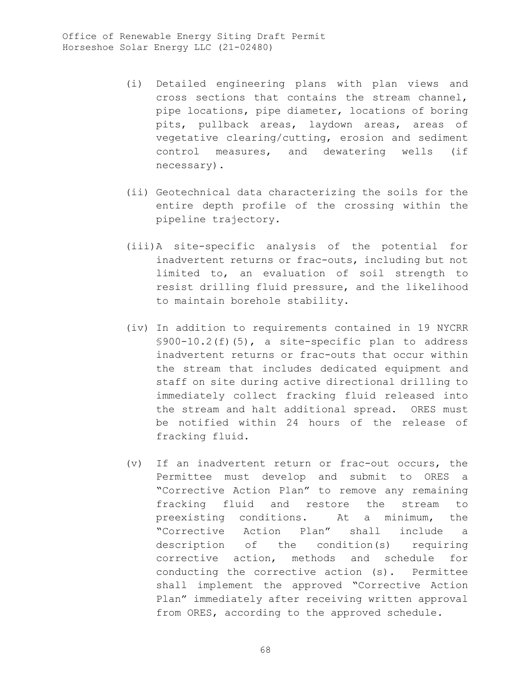- (i) Detailed engineering plans with plan views and cross sections that contains the stream channel, pipe locations, pipe diameter, locations of boring pits, pullback areas, laydown areas, areas of vegetative clearing/cutting, erosion and sediment control measures, and dewatering wells (if necessary).
- (ii) Geotechnical data characterizing the soils for the entire depth profile of the crossing within the pipeline trajectory.
- (iii)A site-specific analysis of the potential for inadvertent returns or frac-outs, including but not limited to, an evaluation of soil strength to resist drilling fluid pressure, and the likelihood to maintain borehole stability.
- (iv) In addition to requirements contained in 19 NYCRR §900-10.2(f)(5), a site-specific plan to address inadvertent returns or frac-outs that occur within the stream that includes dedicated equipment and staff on site during active directional drilling to immediately collect fracking fluid released into the stream and halt additional spread. ORES must be notified within 24 hours of the release of fracking fluid.
- (v) If an inadvertent return or frac-out occurs, the Permittee must develop and submit to ORES a "Corrective Action Plan" to remove any remaining fracking fluid and restore the stream to preexisting conditions. At a minimum, the "Corrective Action Plan" shall include a description of the condition(s) requiring corrective action, methods and schedule for conducting the corrective action (s). Permittee shall implement the approved "Corrective Action Plan" immediately after receiving written approval from ORES, according to the approved schedule.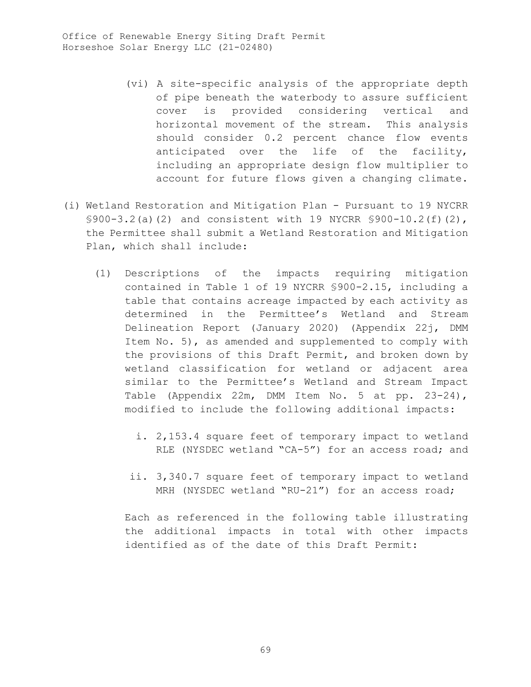- (vi) A site-specific analysis of the appropriate depth of pipe beneath the waterbody to assure sufficient cover is provided considering vertical and horizontal movement of the stream. This analysis should consider 0.2 percent chance flow events anticipated over the life of the facility, including an appropriate design flow multiplier to account for future flows given a changing climate.
- (i) Wetland Restoration and Mitigation Plan Pursuant to 19 NYCRR §900-3.2(a)(2) and consistent with 19 NYCRR §900-10.2(f)(2), the Permittee shall submit a Wetland Restoration and Mitigation Plan, which shall include:
	- (1) Descriptions of the impacts requiring mitigation contained in Table 1 of 19 NYCRR §900-2.15, including a table that contains acreage impacted by each activity as determined in the Permittee's Wetland and Stream Delineation Report (January 2020) (Appendix 22j, DMM Item No. 5), as amended and supplemented to comply with the provisions of this Draft Permit, and broken down by wetland classification for wetland or adjacent area similar to the Permittee's Wetland and Stream Impact Table (Appendix 22m, DMM Item No. 5 at pp. 23-24), modified to include the following additional impacts:
		- i. 2,153.4 square feet of temporary impact to wetland RLE (NYSDEC wetland "CA-5") for an access road; and
		- ii. 3,340.7 square feet of temporary impact to wetland MRH (NYSDEC wetland "RU-21") for an access road;

Each as referenced in the following table illustrating the additional impacts in total with other impacts identified as of the date of this Draft Permit: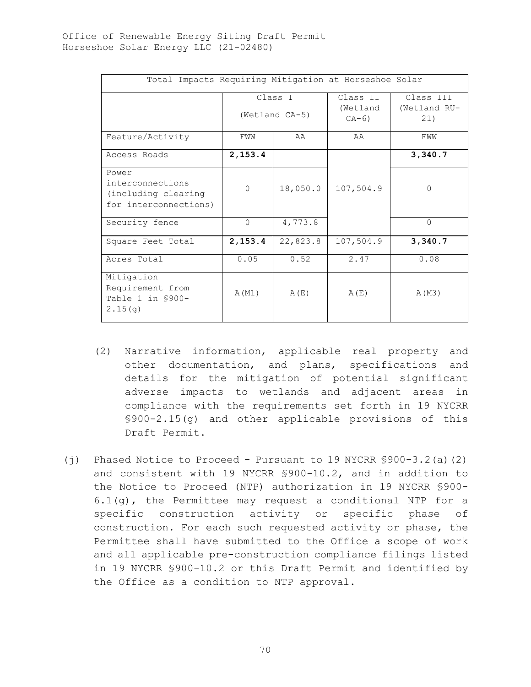| Total Impacts Requiring Mitigation at Horseshoe Solar                     |                           |          |                                  |                                  |
|---------------------------------------------------------------------------|---------------------------|----------|----------------------------------|----------------------------------|
|                                                                           | Class I<br>(Wetland CA-5) |          | Class II<br>(Wetland<br>$CA-6$ ) | Class III<br>(Wetland RU-<br>21) |
| Feature/Activity                                                          | FWW                       | AA       | AA                               | FWW                              |
| Access Roads                                                              | 2,153.4                   |          |                                  | 3,340.7                          |
| Power<br>interconnections<br>(including clearing<br>for interconnections) | $\Omega$                  | 18,050.0 | 107,504.9                        | $\Omega$                         |
| Security fence                                                            | $\Omega$                  | 4,773.8  |                                  | $\Omega$                         |
| Square Feet Total                                                         | 2, 153.4                  | 22,823.8 | 107,504.9                        | 3,340.7                          |
| Acres Total                                                               | 0.05                      | 0.52     | 2.47                             | 0.08                             |
| Mitigation<br>Requirement from<br>Table 1 in \$900-<br>2.15(q)            | A (M1)                    | A(E)     | A(E)                             | A (M3)                           |

- (2) Narrative information, applicable real property and other documentation, and plans, specifications and details for the mitigation of potential significant adverse impacts to wetlands and adjacent areas in compliance with the requirements set forth in 19 NYCRR §900-2.15(g) and other applicable provisions of this Draft Permit.
- (j) Phased Notice to Proceed Pursuant to 19 NYCRR §900-3.2(a)(2) and consistent with 19 NYCRR §900-10.2, and in addition to the Notice to Proceed (NTP) authorization in 19 NYCRR §900- 6.1(g), the Permittee may request a conditional NTP for a specific construction activity or specific phase of construction. For each such requested activity or phase, the Permittee shall have submitted to the Office a scope of work and all applicable pre-construction compliance filings listed in 19 NYCRR §900-10.2 or this Draft Permit and identified by the Office as a condition to NTP approval.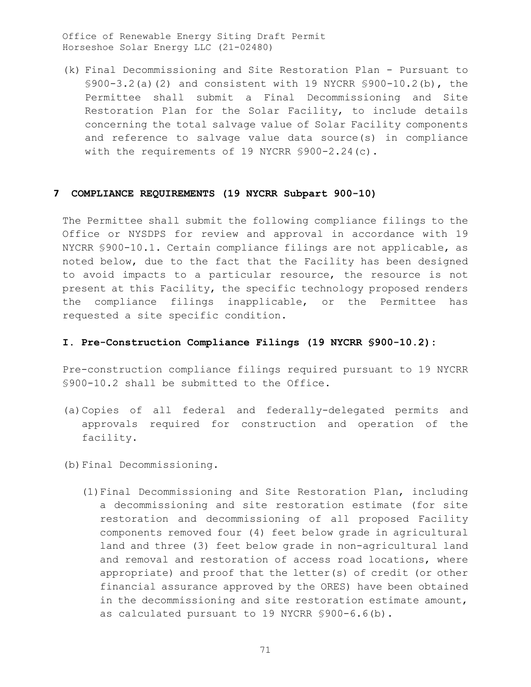(k) Final Decommissioning and Site Restoration Plan - Pursuant to §900-3.2(a)(2) and consistent with 19 NYCRR §900-10.2(b), the Permittee shall submit a Final Decommissioning and Site Restoration Plan for the Solar Facility, to include details concerning the total salvage value of Solar Facility components and reference to salvage value data source(s) in compliance with the requirements of 19 NYCRR \$900-2.24(c).

## **7 COMPLIANCE REQUIREMENTS (19 NYCRR Subpart 900-10)**

The Permittee shall submit the following compliance filings to the Office or NYSDPS for review and approval in accordance with 19 NYCRR §900-10.1. Certain compliance filings are not applicable, as noted below, due to the fact that the Facility has been designed to avoid impacts to a particular resource, the resource is not present at this Facility, the specific technology proposed renders the compliance filings inapplicable, or the Permittee has requested a site specific condition.

### **I. Pre-Construction Compliance Filings (19 NYCRR §900-10.2):**

Pre-construction compliance filings required pursuant to 19 NYCRR §900-10.2 shall be submitted to the Office.

- (a)Copies of all federal and federally-delegated permits and approvals required for construction and operation of the facility.
- (b)Final Decommissioning.
	- (1)Final Decommissioning and Site Restoration Plan, including a decommissioning and site restoration estimate (for site restoration and decommissioning of all proposed Facility components removed four (4) feet below grade in agricultural land and three (3) feet below grade in non-agricultural land and removal and restoration of access road locations, where appropriate) and proof that the letter(s) of credit (or other financial assurance approved by the ORES) have been obtained in the decommissioning and site restoration estimate amount, as calculated pursuant to 19 NYCRR §900-6.6(b).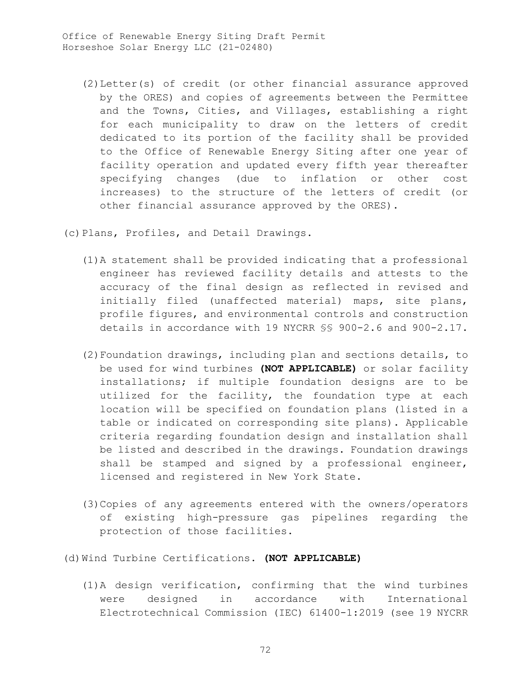(2)Letter(s) of credit (or other financial assurance approved by the ORES) and copies of agreements between the Permittee and the Towns, Cities, and Villages, establishing a right for each municipality to draw on the letters of credit dedicated to its portion of the facility shall be provided to the Office of Renewable Energy Siting after one year of facility operation and updated every fifth year thereafter specifying changes (due to inflation or other cost increases) to the structure of the letters of credit (or other financial assurance approved by the ORES).

(c)Plans, Profiles, and Detail Drawings.

- (1)A statement shall be provided indicating that a professional engineer has reviewed facility details and attests to the accuracy of the final design as reflected in revised and initially filed (unaffected material) maps, site plans, profile figures, and environmental controls and construction details in accordance with 19 NYCRR §§ 900-2.6 and 900-2.17.
- (2)Foundation drawings, including plan and sections details, to be used for wind turbines **(NOT APPLICABLE)** or solar facility installations; if multiple foundation designs are to be utilized for the facility, the foundation type at each location will be specified on foundation plans (listed in a table or indicated on corresponding site plans). Applicable criteria regarding foundation design and installation shall be listed and described in the drawings. Foundation drawings shall be stamped and signed by a professional engineer, licensed and registered in New York State.
- (3)Copies of any agreements entered with the owners/operators of existing high-pressure gas pipelines regarding the protection of those facilities.

(d)Wind Turbine Certifications. **(NOT APPLICABLE)**

(1)A design verification, confirming that the wind turbines were designed in accordance with International Electrotechnical Commission (IEC) 61400-1:2019 (see 19 NYCRR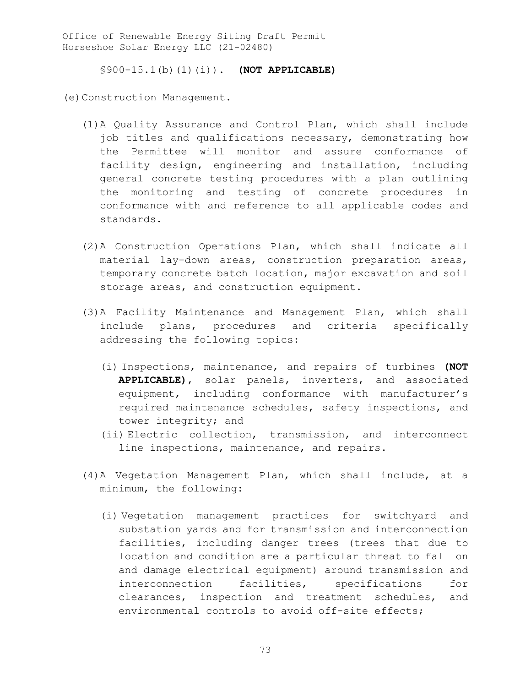§900-15.1(b)(1)(i)). **(NOT APPLICABLE)**

(e)Construction Management.

- (1)A Quality Assurance and Control Plan, which shall include job titles and qualifications necessary, demonstrating how the Permittee will monitor and assure conformance of facility design, engineering and installation, including general concrete testing procedures with a plan outlining the monitoring and testing of concrete procedures in conformance with and reference to all applicable codes and standards.
- (2)A Construction Operations Plan, which shall indicate all material lay-down areas, construction preparation areas, temporary concrete batch location, major excavation and soil storage areas, and construction equipment.
- (3)A Facility Maintenance and Management Plan, which shall include plans, procedures and criteria specifically addressing the following topics:
	- (i) Inspections, maintenance, and repairs of turbines **(NOT APPLICABLE)**, solar panels, inverters, and associated equipment, including conformance with manufacturer's required maintenance schedules, safety inspections, and tower integrity; and
	- (ii) Electric collection, transmission, and interconnect line inspections, maintenance, and repairs.
- (4)A Vegetation Management Plan, which shall include, at a minimum, the following:
	- (i) Vegetation management practices for switchyard and substation yards and for transmission and interconnection facilities, including danger trees (trees that due to location and condition are a particular threat to fall on and damage electrical equipment) around transmission and interconnection facilities, specifications for clearances, inspection and treatment schedules, and environmental controls to avoid off-site effects;

73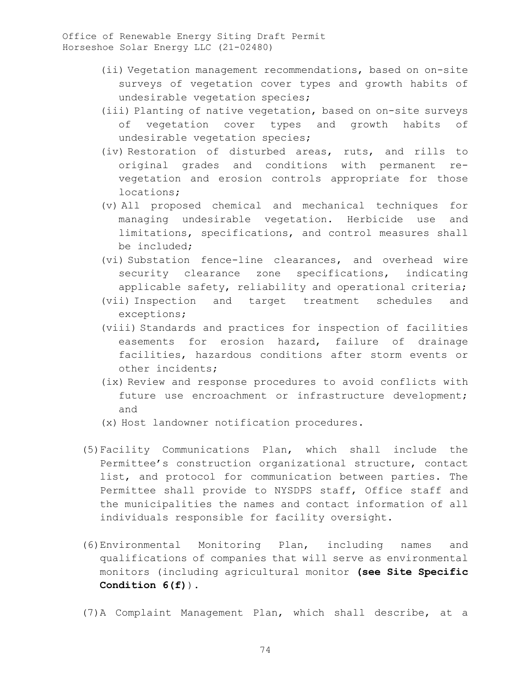- (ii) Vegetation management recommendations, based on on-site surveys of vegetation cover types and growth habits of undesirable vegetation species;
- (iii) Planting of native vegetation, based on on-site surveys of vegetation cover types and growth habits of undesirable vegetation species;
- (iv) Restoration of disturbed areas, ruts, and rills to original grades and conditions with permanent revegetation and erosion controls appropriate for those locations;
- (v) All proposed chemical and mechanical techniques for managing undesirable vegetation. Herbicide use and limitations, specifications, and control measures shall be included;
- (vi) Substation fence-line clearances, and overhead wire security clearance zone specifications, indicating applicable safety, reliability and operational criteria;
- (vii) Inspection and target treatment schedules and exceptions;
- (viii) Standards and practices for inspection of facilities easements for erosion hazard, failure of drainage facilities, hazardous conditions after storm events or other incidents;
- (ix) Review and response procedures to avoid conflicts with future use encroachment or infrastructure development; and
- (x) Host landowner notification procedures.
- (5)Facility Communications Plan, which shall include the Permittee's construction organizational structure, contact list, and protocol for communication between parties. The Permittee shall provide to NYSDPS staff, Office staff and the municipalities the names and contact information of all individuals responsible for facility oversight.
- (6)Environmental Monitoring Plan, including names and qualifications of companies that will serve as environmental monitors (including agricultural monitor **(see Site Specific Condition 6(f)**).
- (7)A Complaint Management Plan, which shall describe, at a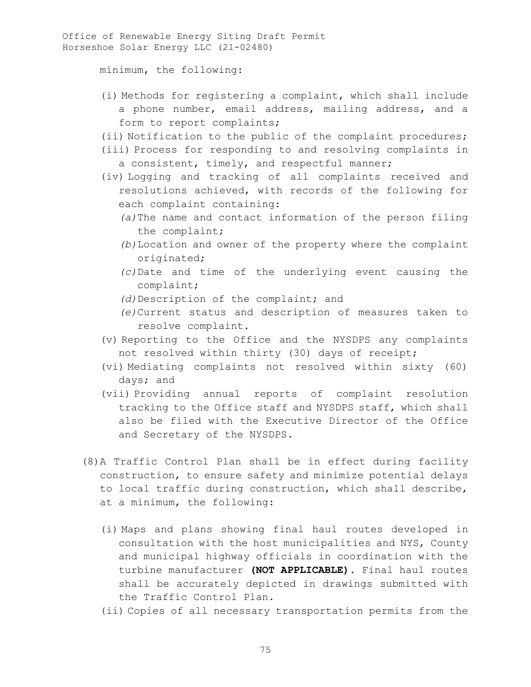minimum, the following:

- (i) Methods for registering a complaint, which shall include a phone number, email address, mailing address, and a form to report complaints;
- (ii) Notification to the public of the complaint procedures;
- (iii) Process for responding to and resolving complaints in a consistent, timely, and respectful manner;
- (iv) Logging and tracking of all complaints received and resolutions achieved, with records of the following for each complaint containing:
	- *(a)*The name and contact information of the person filing the complaint;
	- *(b)*Location and owner of the property where the complaint originated;
	- *(c)*Date and time of the underlying event causing the complaint;
	- *(d)*Description of the complaint; and
	- *(e)*Current status and description of measures taken to resolve complaint.
- (v) Reporting to the Office and the NYSDPS any complaints not resolved within thirty (30) days of receipt;
- (vi) Mediating complaints not resolved within sixty (60) days; and
- (vii) Providing annual reports of complaint resolution tracking to the Office staff and NYSDPS staff, which shall also be filed with the Executive Director of the Office and Secretary of the NYSDPS.
- (8)A Traffic Control Plan shall be in effect during facility construction, to ensure safety and minimize potential delays to local traffic during construction, which shall describe, at a minimum, the following:
	- (i) Maps and plans showing final haul routes developed in consultation with the host municipalities and NYS, County and municipal highway officials in coordination with the turbine manufacturer **(NOT APPLICABLE)**. Final haul routes shall be accurately depicted in drawings submitted with the Traffic Control Plan.
	- (ii) Copies of all necessary transportation permits from the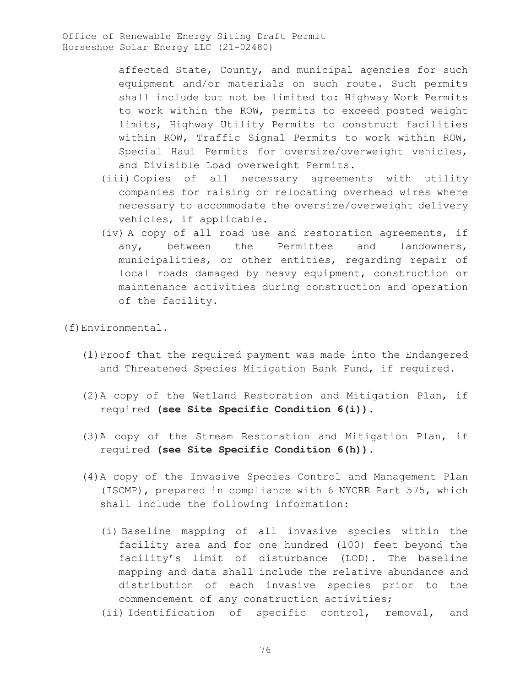> affected State, County, and municipal agencies for such equipment and/or materials on such route. Such permits shall include but not be limited to: Highway Work Permits to work within the ROW, permits to exceed posted weight limits, Highway Utility Permits to construct facilities within ROW, Traffic Signal Permits to work within ROW, Special Haul Permits for oversize/overweight vehicles, and Divisible Load overweight Permits.

- (iii) Copies of all necessary agreements with utility companies for raising or relocating overhead wires where necessary to accommodate the oversize/overweight delivery vehicles, if applicable.
- (iv) A copy of all road use and restoration agreements, if any, between the Permittee and landowners, municipalities, or other entities, regarding repair of local roads damaged by heavy equipment, construction or maintenance activities during construction and operation of the facility.

(f)Environmental.

- (1)Proof that the required payment was made into the Endangered and Threatened Species Mitigation Bank Fund, if required.
- (2)A copy of the Wetland Restoration and Mitigation Plan, if required **(see Site Specific Condition 6(i))**.
- (3)A copy of the Stream Restoration and Mitigation Plan, if required **(see Site Specific Condition 6(h))**.
- (4)A copy of the Invasive Species Control and Management Plan (ISCMP), prepared in compliance with 6 NYCRR Part 575, which shall include the following information:
	- (i) Baseline mapping of all invasive species within the facility area and for one hundred (100) feet beyond the facility's limit of disturbance (LOD). The baseline mapping and data shall include the relative abundance and distribution of each invasive species prior to the commencement of any construction activities;
	- (ii) Identification of specific control, removal, and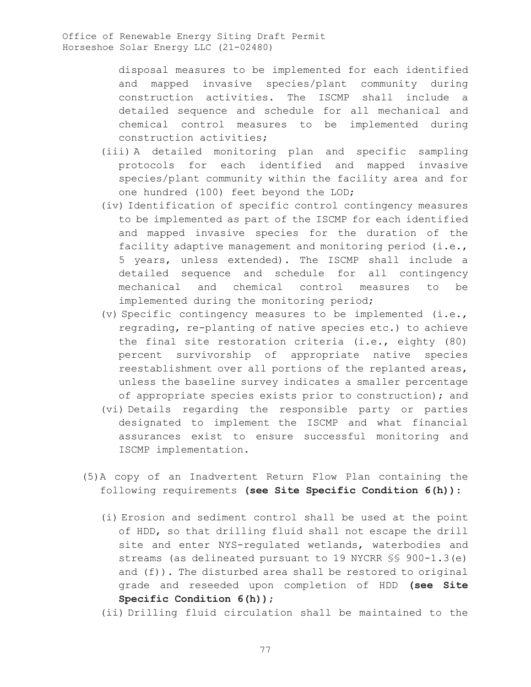disposal measures to be implemented for each identified and mapped invasive species/plant community during construction activities. The ISCMP shall include a detailed sequence and schedule for all mechanical and chemical control measures to be implemented during construction activities;

- (iii) A detailed monitoring plan and specific sampling protocols for each identified and mapped invasive species/plant community within the facility area and for one hundred (100) feet beyond the LOD;
- (iv) Identification of specific control contingency measures to be implemented as part of the ISCMP for each identified and mapped invasive species for the duration of the facility adaptive management and monitoring period (i.e., 5 years, unless extended). The ISCMP shall include a detailed sequence and schedule for all contingency mechanical and chemical control measures to be implemented during the monitoring period;
- (v) Specific contingency measures to be implemented (i.e., regrading, re-planting of native species etc.) to achieve the final site restoration criteria (i.e., eighty (80) percent survivorship of appropriate native species reestablishment over all portions of the replanted areas, unless the baseline survey indicates a smaller percentage of appropriate species exists prior to construction); and
- (vi) Details regarding the responsible party or parties designated to implement the ISCMP and what financial assurances exist to ensure successful monitoring and ISCMP implementation.
- (5)A copy of an Inadvertent Return Flow Plan containing the following requirements **(see Site Specific Condition 6(h))**:
	- (i) Erosion and sediment control shall be used at the point of HDD, so that drilling fluid shall not escape the drill site and enter NYS-regulated wetlands, waterbodies and streams (as delineated pursuant to 19 NYCRR §§ 900-1.3(e) and (f)). The disturbed area shall be restored to original grade and reseeded upon completion of HDD **(see Site Specific Condition 6(h))**;
	- (ii) Drilling fluid circulation shall be maintained to the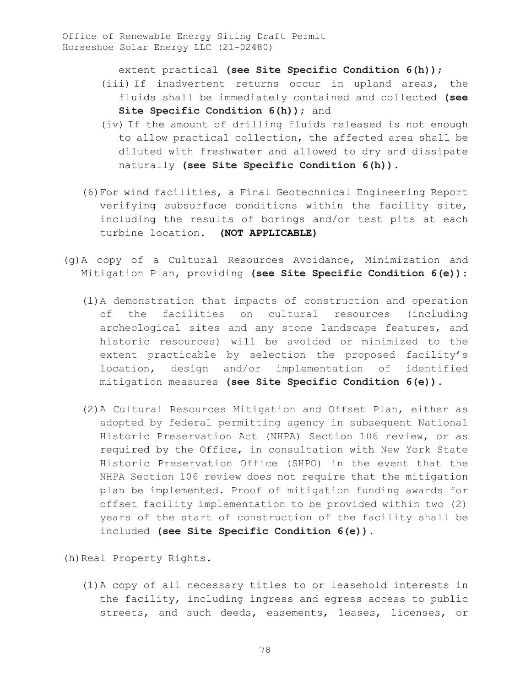extent practical **(see Site Specific Condition 6(h))**;

- (iii) If inadvertent returns occur in upland areas, the fluids shall be immediately contained and collected **(see Site Specific Condition 6(h))**; and
- (iv) If the amount of drilling fluids released is not enough to allow practical collection, the affected area shall be diluted with freshwater and allowed to dry and dissipate naturally **(see Site Specific Condition 6(h))**.
- (6)For wind facilities, a Final Geotechnical Engineering Report verifying subsurface conditions within the facility site, including the results of borings and/or test pits at each turbine location. **(NOT APPLICABLE)**
- (g)A copy of a Cultural Resources Avoidance, Minimization and Mitigation Plan, providing **(see Site Specific Condition 6(e))**:
	- (1)A demonstration that impacts of construction and operation of the facilities on cultural resources (including archeological sites and any stone landscape features, and historic resources) will be avoided or minimized to the extent practicable by selection the proposed facility's location, design and/or implementation of identified mitigation measures **(see Site Specific Condition 6(e))**.
	- (2)A Cultural Resources Mitigation and Offset Plan, either as adopted by federal permitting agency in subsequent National Historic Preservation Act (NHPA) Section 106 review, or as required by the Office, in consultation with New York State Historic Preservation Office (SHPO) in the event that the NHPA Section 106 review does not require that the mitigation plan be implemented. Proof of mitigation funding awards for offset facility implementation to be provided within two (2) years of the start of construction of the facility shall be included **(see Site Specific Condition 6(e))**.

(h) Real Property Rights.

(1)A copy of all necessary titles to or leasehold interests in the facility, including ingress and egress access to public streets, and such deeds, easements, leases, licenses, or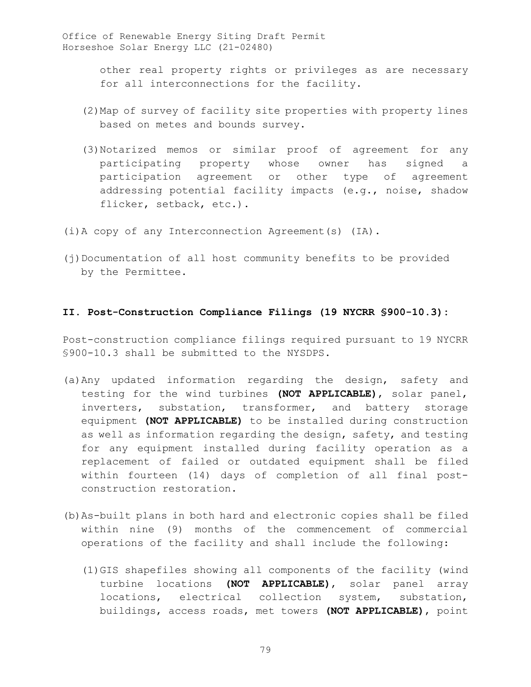> other real property rights or privileges as are necessary for all interconnections for the facility.

- (2)Map of survey of facility site properties with property lines based on metes and bounds survey.
- (3)Notarized memos or similar proof of agreement for any participating property whose owner has signed a participation agreement or other type of agreement addressing potential facility impacts (e.g., noise, shadow flicker, setback, etc.).
- (i)A copy of any Interconnection Agreement(s) (IA).
- (j)Documentation of all host community benefits to be provided by the Permittee.

## **II. Post-Construction Compliance Filings (19 NYCRR §900-10.3):**

Post-construction compliance filings required pursuant to 19 NYCRR §900-10.3 shall be submitted to the NYSDPS.

- (a)Any updated information regarding the design, safety and testing for the wind turbines **(NOT APPLICABLE)**, solar panel, inverters, substation, transformer, and battery storage equipment **(NOT APPLICABLE)** to be installed during construction as well as information regarding the design, safety, and testing for any equipment installed during facility operation as a replacement of failed or outdated equipment shall be filed within fourteen (14) days of completion of all final postconstruction restoration.
- (b)As-built plans in both hard and electronic copies shall be filed within nine (9) months of the commencement of commercial operations of the facility and shall include the following:
	- (1)GIS shapefiles showing all components of the facility (wind turbine locations **(NOT APPLICABLE)**, solar panel array locations, electrical collection system, substation, buildings, access roads, met towers **(NOT APPLICABLE)**, point

79